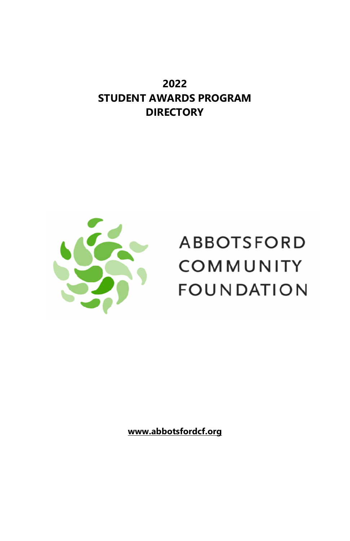**2022 STUDENT AWARDS PROGRAM DIRECTORY**



# **ABBOTSFORD** COMMUNITY **FOUNDATION**

**[www.abbotsfordcf.org](http://www.abbotsfordcf.org/)**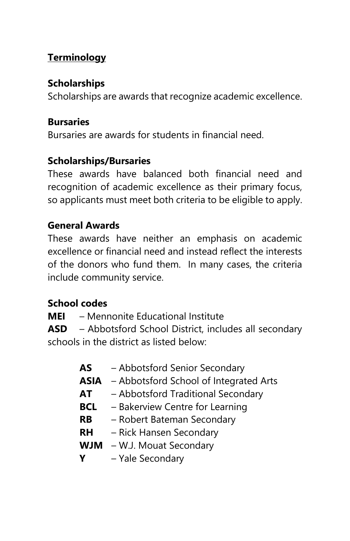# **Terminology**

# **Scholarships**

Scholarships are awards that recognize academic excellence.

# **Bursaries**

Bursaries are awards for students in financial need.

# **Scholarships/Bursaries**

These awards have balanced both financial need and recognition of academic excellence as their primary focus, so applicants must meet both criteria to be eligible to apply.

# **General Awards**

These awards have neither an emphasis on academic excellence or financial need and instead reflect the interests of the donors who fund them. In many cases, the criteria include community service.

# **School codes**

**MEI** – Mennonite Educational Institute

**ASD** – Abbotsford School District, includes all secondary schools in the district as listed below:

| AS   | - Abbotsford Senior Secondary          |
|------|----------------------------------------|
| ASIA | - Abbotsford School of Integrated Arts |
| AT   | - Abbotsford Traditional Secondary     |
| BCL  | - Bakerview Centre for Learning        |
| RB   | - Robert Bateman Secondary             |
| RН   | - Rick Hansen Secondary                |
|      | <b>WJM</b> - W.J. Mouat Secondary      |
| Υ    | - Yale Secondary                       |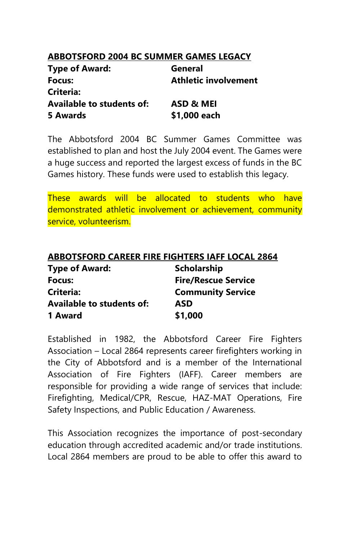## **ABBOTSFORD 2004 BC SUMMER GAMES LEGACY**

| <b>Type of Award:</b>            | General              |  |
|----------------------------------|----------------------|--|
| Focus:                           | Athletic involvement |  |
| Criteria:                        |                      |  |
| <b>Available to students of:</b> | ASD & MEI            |  |
| 5 Awards                         | \$1,000 each         |  |

The Abbotsford 2004 BC Summer Games Committee was established to plan and host the July 2004 event. The Games were a huge success and reported the largest excess of funds in the BC Games history. These funds were used to establish this legacy.

These awards will be allocated to students who have demonstrated athletic involvement or achievement, community service, volunteerism.

| <b>ABBOTSFORD CAREER FIRE FIGHTERS IAFF LOCAL 2864</b> |                            |  |
|--------------------------------------------------------|----------------------------|--|
| <b>Type of Award:</b>                                  | <b>Scholarship</b>         |  |
| Focus:                                                 | <b>Fire/Rescue Service</b> |  |
| <b>Criteria:</b>                                       | <b>Community Service</b>   |  |
| <b>Available to students of:</b>                       | <b>ASD</b>                 |  |
| 1 Award                                                | \$1,000                    |  |

Established in 1982, the Abbotsford Career Fire Fighters Association – Local 2864 represents career firefighters working in the City of Abbotsford and is a member of the International Association of Fire Fighters (IAFF). Career members are responsible for providing a wide range of services that include: Firefighting, Medical/CPR, Rescue, HAZ-MAT Operations, Fire Safety Inspections, and Public Education / Awareness.

This Association recognizes the importance of post-secondary education through accredited academic and/or trade institutions. Local 2864 members are proud to be able to offer this award to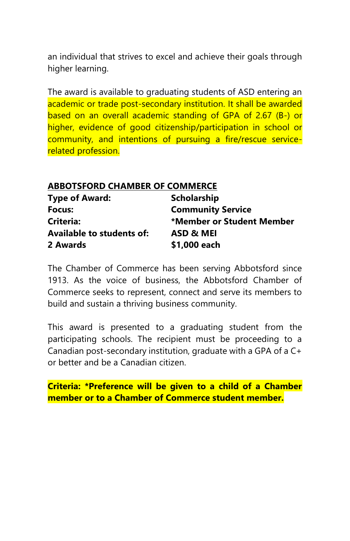an individual that strives to excel and achieve their goals through higher learning.

The award is available to graduating students of ASD entering an academic or trade post-secondary institution. It shall be awarded based on an overall academic standing of GPA of 2.67 (B-) or higher, evidence of good citizenship/participation in school or community, and intentions of pursuing a fire/rescue servicerelated profession.

# **ABBOTSFORD CHAMBER OF COMMERCE**

| <b>Type of Award:</b>            | <b>Scholarship</b>        |
|----------------------------------|---------------------------|
| Focus:                           | <b>Community Service</b>  |
| Criteria:                        | *Member or Student Member |
| <b>Available to students of:</b> | ASD & MEI                 |
| 2 Awards                         | \$1,000 each              |

The Chamber of Commerce has been serving Abbotsford since 1913. As the voice of business, the Abbotsford Chamber of Commerce seeks to represent, connect and serve its members to build and sustain a thriving business community.

This award is presented to a graduating student from the participating schools. The recipient must be proceeding to a Canadian post-secondary institution, graduate with a GPA of a C+ or better and be a Canadian citizen.

**Criteria: \*Preference will be given to a child of a Chamber member or to a Chamber of Commerce student member.**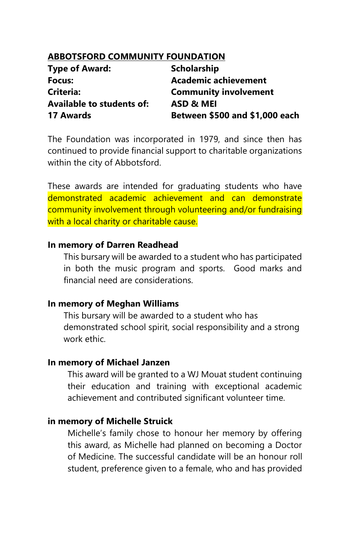#### **ABBOTSFORD COMMUNITY FOUNDATION**

| <b>Type of Award:</b>            | Scholarship                    |
|----------------------------------|--------------------------------|
| Focus:                           | Academic achievement           |
| Criteria:                        | <b>Community involvement</b>   |
| <b>Available to students of:</b> | ASD & MEI                      |
| 17 Awards                        | Between \$500 and \$1,000 each |

The Foundation was incorporated in 1979, and since then has continued to provide financial support to charitable organizations within the city of Abbotsford.

These awards are intended for graduating students who have demonstrated academic achievement and can demonstrate community involvement through volunteering and/or fundraising with a local charity or charitable cause.

#### **In memory of Darren Readhead**

This bursary will be awarded to a student who has participated in both the music program and sports. Good marks and financial need are considerations.

#### **In memory of Meghan Williams**

This bursary will be awarded to a student who has demonstrated school spirit, social responsibility and a strong work ethic.

#### **In memory of Michael Janzen**

This award will be granted to a WJ Mouat student continuing their education and training with exceptional academic achievement and contributed significant volunteer time.

#### **in memory of Michelle Struick**

Michelle's family chose to honour her memory by offering this award, as Michelle had planned on becoming a Doctor of Medicine. The successful candidate will be an honour roll student, preference given to a female, who and has provided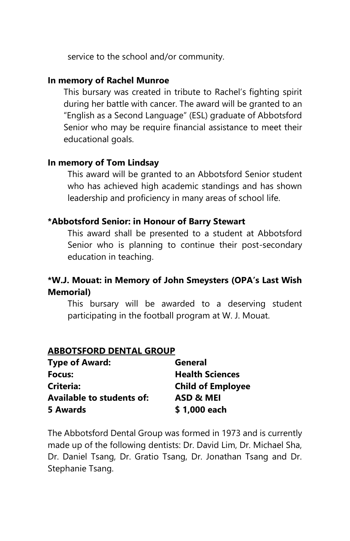service to the school and/or community.

#### **In memory of Rachel Munroe**

This bursary was created in tribute to Rachel's fighting spirit during her battle with cancer. The award will be granted to an "English as a Second Language" (ESL) graduate of Abbotsford Senior who may be require financial assistance to meet their educational goals.

#### **In memory of Tom Lindsay**

This award will be granted to an Abbotsford Senior student who has achieved high academic standings and has shown leadership and proficiency in many areas of school life.

# **\*Abbotsford Senior: in Honour of Barry Stewart**

This award shall be presented to a student at Abbotsford Senior who is planning to continue their post-secondary education in teaching.

# **\*W.J. Mouat: in Memory of John Smeysters (OPA's Last Wish Memorial)**

This bursary will be awarded to a deserving student participating in the football program at W. J. Mouat.

#### **ABBOTSFORD DENTAL GROUP**

| <b>Type of Award:</b>            | General                  |
|----------------------------------|--------------------------|
| Focus:                           | <b>Health Sciences</b>   |
| Criteria:                        | <b>Child of Employee</b> |
| <b>Available to students of:</b> | ASD & MEI                |
| 5 Awards                         | \$1,000 each             |

The Abbotsford Dental Group was formed in 1973 and is currently made up of the following dentists: Dr. David Lim, Dr. Michael Sha, Dr. Daniel Tsang, Dr. Gratio Tsang, Dr. Jonathan Tsang and Dr. Stephanie Tsang.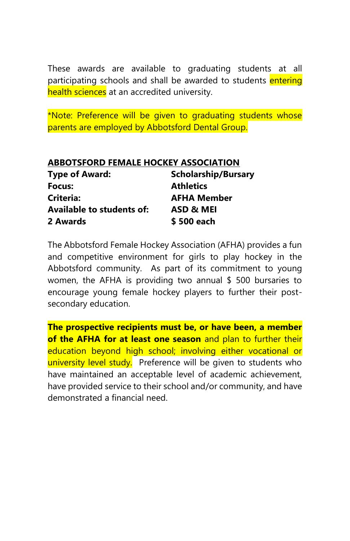These awards are available to graduating students at all participating schools and shall be awarded to students entering health sciences at an accredited university.

\*Note: Preference will be given to graduating students whose parents are employed by Abbotsford Dental Group.

| <b>ABBOTSFORD FEMALE HOCKEY ASSOCIATION</b> |                            |  |
|---------------------------------------------|----------------------------|--|
| <b>Type of Award:</b>                       | <b>Scholarship/Bursary</b> |  |
| Focus:                                      | <b>Athletics</b>           |  |
| <b>Criteria:</b>                            | <b>AFHA Member</b>         |  |
| <b>Available to students of:</b>            | ASD & MEI                  |  |
| 2 Awards                                    | \$500 each                 |  |

The Abbotsford Female Hockey Association (AFHA) provides a fun and competitive environment for girls to play hockey in the Abbotsford community. As part of its commitment to young women, the AFHA is providing two annual \$ 500 bursaries to encourage young female hockey players to further their postsecondary education.

**The prospective recipients must be, or have been, a member of the AFHA for at least one season** and plan to further their education beyond high school; involving either vocational or university level study. Preference will be given to students who have maintained an acceptable level of academic achievement, have provided service to their school and/or community, and have demonstrated a financial need.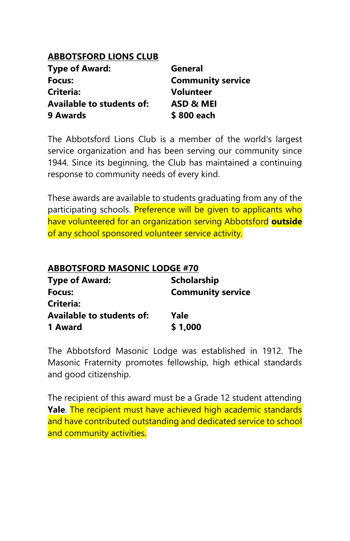# **ABBOTSFORD LIONS CLUB**

| <b>Type of Award:</b>            | General                  |
|----------------------------------|--------------------------|
| Focus:                           | <b>Community service</b> |
| Criteria:                        | <b>Volunteer</b>         |
| <b>Available to students of:</b> | ASD & MEI                |
| 9 Awards                         | \$800 each               |

The Abbotsford Lions Club is a member of the world's largest service organization and has been serving our community since 1944. Since its beginning, the Club has maintained a continuing response to community needs of every kind.

These awards are available to students graduating from any of the participating schools. Preference will be given to applicants who have volunteered for an organization serving Abbotsford **outside** of any school sponsored volunteer service activity.

| <b>ABBOTSFORD MASONIC LODGE #70</b> |                          |
|-------------------------------------|--------------------------|
| <b>Type of Award:</b>               | <b>Scholarship</b>       |
| Focus:                              | <b>Community service</b> |
| Criteria:                           |                          |
| <b>Available to students of:</b>    | Yale                     |
| 1 Award                             | \$1,000                  |

The Abbotsford Masonic Lodge was established in 1912. The Masonic Fraternity promotes fellowship, high ethical standards and good citizenship.

The recipient of this award must be a Grade 12 student attending **Yale**. The recipient must have achieved high academic standards and have contributed outstanding and dedicated service to school and community activities.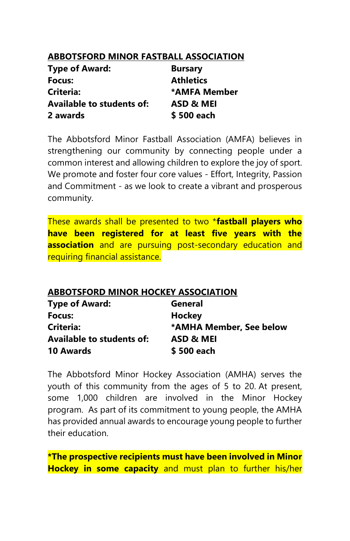## **ABBOTSFORD MINOR FASTBALL ASSOCIATION**

| <b>Type of Award:</b>            | <b>Bursary</b>   |
|----------------------------------|------------------|
| Focus:                           | <b>Athletics</b> |
| Criteria:                        | *AMFA Member     |
| <b>Available to students of:</b> | ASD & MEI        |
| 2 awards                         | \$500 each       |

The Abbotsford Minor Fastball Association (AMFA) believes in strengthening our community by connecting people under a common interest and allowing children to explore the joy of sport. We promote and foster four core values - Effort, Integrity, Passion and Commitment - as we look to create a vibrant and prosperous community.

These awards shall be presented to two \***fastball players who have been registered for at least five years with the association** and are pursuing post-secondary education and requiring financial assistance.

#### **ABBOTSFORD MINOR HOCKEY ASSOCIATION**

| <b>Type of Award:</b>            | General                 |
|----------------------------------|-------------------------|
| Focus:                           | Hockey                  |
| Criteria:                        | *AMHA Member, See below |
| <b>Available to students of:</b> | ASD & MEI               |
| <b>10 Awards</b>                 | \$500 each              |

The Abbotsford Minor Hockey Association (AMHA) serves the youth of this community from the ages of 5 to 20. At present, some 1,000 children are involved in the Minor Hockey program. As part of its commitment to young people, the AMHA has provided annual awards to encourage young people to further their education.

**\*The prospective recipients must have been involved in Minor Hockey in some capacity** and must plan to further his/her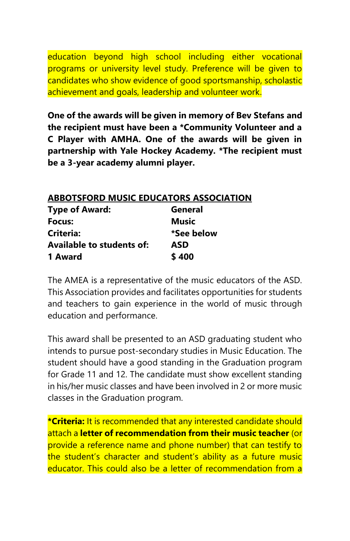education beyond high school including either vocational programs or university level study. Preference will be given to candidates who show evidence of good sportsmanship, scholastic achievement and goals, leadership and volunteer work.

**One of the awards will be given in memory of Bev Stefans and the recipient must have been a \*Community Volunteer and a C Player with AMHA. One of the awards will be given in partnership with Yale Hockey Academy. \*The recipient must be a 3-year academy alumni player.**

# **ABBOTSFORD MUSIC EDUCATORS ASSOCIATION**

| <b>Type of Award:</b>     | General      |
|---------------------------|--------------|
| Focus:                    | <b>Music</b> |
| Criteria:                 | *See below   |
| Available to students of: | ASD          |
| 1 Award                   | \$400        |

The AMEA is a representative of the music educators of the ASD. This Association provides and facilitates opportunities for students and teachers to gain experience in the world of music through education and performance.

This award shall be presented to an ASD graduating student who intends to pursue post-secondary studies in Music Education. The student should have a good standing in the Graduation program for Grade 11 and 12. The candidate must show excellent standing in his/her music classes and have been involved in 2 or more music classes in the Graduation program.

**\*Criteria:** It is recommended that any interested candidate should attach a **letter of recommendation from their music teacher** (or provide a reference name and phone number) that can testify to the student's character and student's ability as a future music educator. This could also be a letter of recommendation from a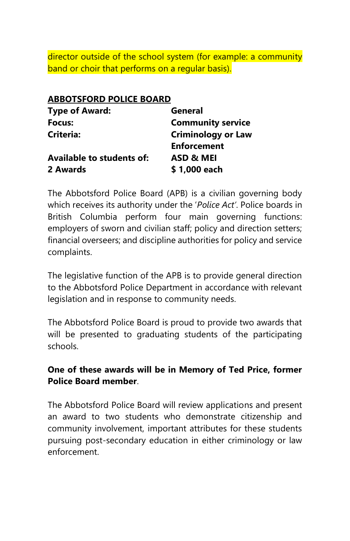director outside of the school system (for example: a community band or choir that performs on a regular basis).

| <b>ABBOTSFORD POLICE BOARD</b>   |                           |
|----------------------------------|---------------------------|
| <b>Type of Award:</b>            | General                   |
| Focus:                           | <b>Community service</b>  |
| Criteria:                        | <b>Criminology or Law</b> |
|                                  | <b>Enforcement</b>        |
| <b>Available to students of:</b> | ASD & MEI                 |
| 2 Awards                         | \$1,000 each              |
|                                  |                           |

The Abbotsford Police Board (APB) is a civilian governing body which receives its authority under the '*Police Act'*. Police boards in British Columbia perform four main governing functions: employers of sworn and civilian staff; policy and direction setters; financial overseers; and discipline authorities for policy and service complaints.

The legislative function of the APB is to provide general direction to the Abbotsford Police Department in accordance with relevant legislation and in response to community needs.

The Abbotsford Police Board is proud to provide two awards that will be presented to graduating students of the participating schools.

# **One of these awards will be in Memory of Ted Price, former Police Board member**.

The Abbotsford Police Board will review applications and present an award to two students who demonstrate citizenship and community involvement, important attributes for these students pursuing post-secondary education in either criminology or law enforcement.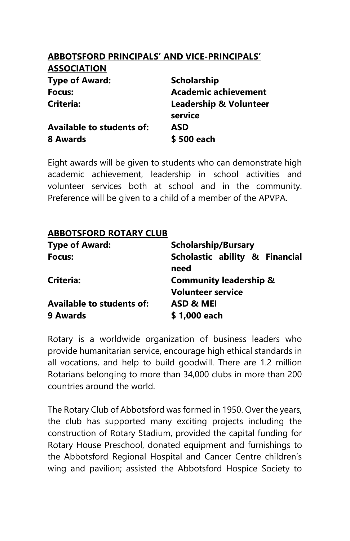# **ABBOTSFORD PRINCIPALS' AND VICE-PRINCIPALS'**

| <b>ASSULIATIUM</b>               |                                              |
|----------------------------------|----------------------------------------------|
| <b>Type of Award:</b>            | <b>Scholarship</b>                           |
| Focus:                           | <b>Academic achievement</b>                  |
| Criteria:                        | <b>Leadership &amp; Volunteer</b><br>service |
| <b>Available to students of:</b> | <b>ASD</b>                                   |
| 8 Awards                         | \$500 each                                   |
|                                  |                                              |

Eight awards will be given to students who can demonstrate high academic achievement, leadership in school activities and volunteer services both at school and in the community. Preference will be given to a child of a member of the APVPA.

# **ABBOTSFORD ROTARY CLUB**

**ASSOCIATION**

| <b>Type of Award:</b>            | <b>Scholarship/Bursary</b>             |  |
|----------------------------------|----------------------------------------|--|
| Focus:                           | Scholastic ability & Financial<br>need |  |
| Criteria:                        | <b>Community leadership &amp;</b>      |  |
|                                  | <b>Volunteer service</b>               |  |
| <b>Available to students of:</b> | ASD & MEI                              |  |
| 9 Awards                         | \$1,000 each                           |  |

Rotary is a worldwide organization of business leaders who provide humanitarian service, encourage high ethical standards in all vocations, and help to build goodwill. There are 1.2 million Rotarians belonging to more than 34,000 clubs in more than 200 countries around the world.

The Rotary Club of Abbotsford was formed in 1950. Over the years, the club has supported many exciting projects including the construction of Rotary Stadium, provided the capital funding for Rotary House Preschool, donated equipment and furnishings to the Abbotsford Regional Hospital and Cancer Centre children's wing and pavilion; assisted the Abbotsford Hospice Society to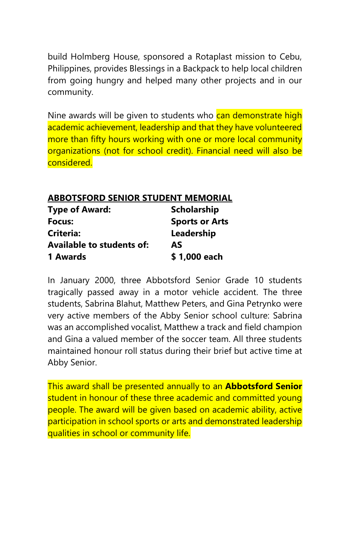build Holmberg House, sponsored a Rotaplast mission to Cebu, Philippines, provides Blessings in a Backpack to help local children from going hungry and helped many other projects and in our community.

Nine awards will be given to students who can demonstrate high academic achievement, leadership and that they have volunteered more than fifty hours working with one or more local community organizations (not for school credit). Financial need will also be considered.

#### **ABBOTSFORD SENIOR STUDENT MEMORIAL**

| <b>Type of Award:</b>            | <b>Scholarship</b>    |
|----------------------------------|-----------------------|
| Focus:                           | <b>Sports or Arts</b> |
| Criteria:                        | Leadership            |
| <b>Available to students of:</b> | <b>AS</b>             |
| 1 Awards                         | \$1,000 each          |

In January 2000, three Abbotsford Senior Grade 10 students tragically passed away in a motor vehicle accident. The three students, Sabrina Blahut, Matthew Peters, and Gina Petrynko were very active members of the Abby Senior school culture: Sabrina was an accomplished vocalist, Matthew a track and field champion and Gina a valued member of the soccer team. All three students maintained honour roll status during their brief but active time at Abby Senior.

This award shall be presented annually to an **Abbotsford Senior** student in honour of these three academic and committed young people. The award will be given based on academic ability, active participation in school sports or arts and demonstrated leadership qualities in school or community life.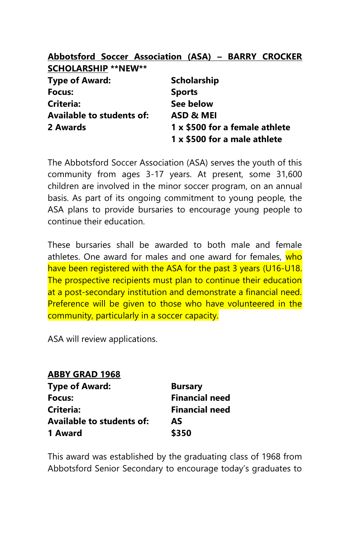#### **Abbotsford Soccer Association (ASA) – BARRY CROCKER SCHOLARSHIP \*\*NEW\*\***

| <b>Type of Award:</b>            | Scholarship                    |
|----------------------------------|--------------------------------|
| Focus:                           | <b>Sports</b>                  |
| Criteria:                        | See below                      |
| <b>Available to students of:</b> | ASD & MEI                      |
| 2 Awards                         | 1 x \$500 for a female athlete |
|                                  | 1 x \$500 for a male athlete   |

The Abbotsford Soccer Association (ASA) serves the youth of this community from ages 3-17 years. At present, some 31,600 children are involved in the minor soccer program, on an annual basis. As part of its ongoing commitment to young people, the ASA plans to provide bursaries to encourage young people to continue their education.

These bursaries shall be awarded to both male and female athletes. One award for males and one award for females, who have been registered with the ASA for the past 3 years (U16-U18. The prospective recipients must plan to continue their education at a post-secondary institution and demonstrate a financial need. Preference will be given to those who have volunteered in the community, particularly in a soccer capacity.

ASA will review applications.

#### **ABBY GRAD 1968**

| <b>Type of Award:</b>     | <b>Bursary</b>        |
|---------------------------|-----------------------|
| Focus:                    | <b>Financial need</b> |
| Criteria:                 | <b>Financial need</b> |
| Available to students of: | AS                    |
| 1 Award                   | \$350                 |

This award was established by the graduating class of 1968 from Abbotsford Senior Secondary to encourage today's graduates to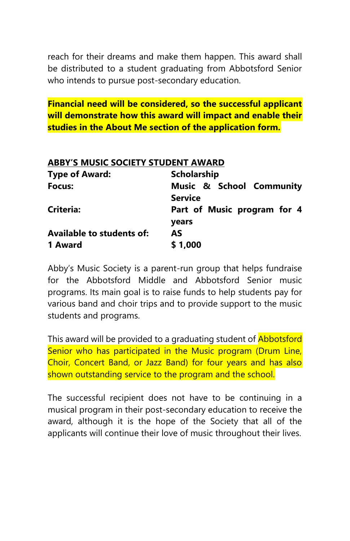reach for their dreams and make them happen. This award shall be distributed to a student graduating from Abbotsford Senior who intends to pursue post-secondary education.

**Financial need will be considered, so the successful applicant will demonstrate how this award will impact and enable their studies in the About Me section of the application form.**

| <b>ABBY'S MUSIC SOCIETY STUDENT AWARD</b> |                                            |
|-------------------------------------------|--------------------------------------------|
| <b>Type of Award:</b>                     | <b>Scholarship</b>                         |
| <b>Focus:</b>                             | Music & School Community<br><b>Service</b> |
| Criteria:                                 | Part of Music program for 4                |
|                                           | years                                      |
| Available to students of:                 | AS                                         |
| 1 Award                                   | \$1.000                                    |

Abby's Music Society is a parent-run group that helps fundraise for the Abbotsford Middle and Abbotsford Senior music programs. Its main goal is to raise funds to help students pay for various band and choir trips and to provide support to the music students and programs.

This award will be provided to a graduating student of **Abbotsford** Senior who has participated in the Music program (Drum Line, Choir, Concert Band, or Jazz Band) for four years and has also shown outstanding service to the program and the school.

The successful recipient does not have to be continuing in a musical program in their post-secondary education to receive the award, although it is the hope of the Society that all of the applicants will continue their love of music throughout their lives.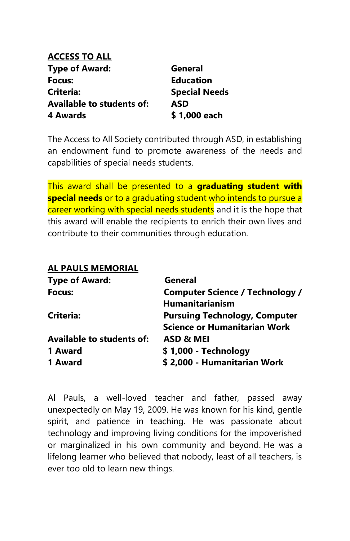| ACCESS TO ALL             |                      |
|---------------------------|----------------------|
| Type of Award:            | General              |
| Focus:                    | <b>Education</b>     |
| Criteria:                 | <b>Special Needs</b> |
| Available to students of: | <b>ASD</b>           |
| 4 Awards                  | \$1,000 each         |

The Access to All Society contributed through ASD, in establishing an endowment fund to promote awareness of the needs and capabilities of special needs students.

This award shall be presented to a **graduating student with special needs** or to a graduating student who intends to pursue a career working with special needs students and it is the hope that this award will enable the recipients to enrich their own lives and contribute to their communities through education.

#### **AL PAULS MEMORIAL**

| General                                |
|----------------------------------------|
| <b>Computer Science / Technology /</b> |
| <b>Humanitarianism</b>                 |
| <b>Pursuing Technology, Computer</b>   |
| <b>Science or Humanitarian Work</b>    |
| ASD & MEI                              |
| \$1,000 - Technology                   |
| \$2,000 - Humanitarian Work            |
|                                        |

Al Pauls, a well-loved teacher and father, passed away unexpectedly on May 19, 2009. He was known for his kind, gentle spirit, and patience in teaching. He was passionate about technology and improving living conditions for the impoverished or marginalized in his own community and beyond. He was a lifelong learner who believed that nobody, least of all teachers, is ever too old to learn new things.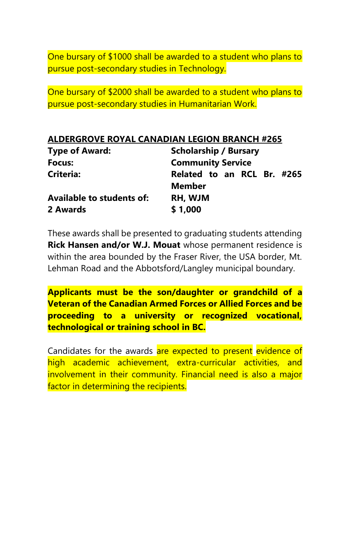One bursary of \$1000 shall be awarded to a student who plans to pursue post-secondary studies in Technology.

One bursary of \$2000 shall be awarded to a student who plans to pursue post-secondary studies in Humanitarian Work.

| <b>Type of Award:</b>            | <b>Scholarship / Bursary</b> |  |
|----------------------------------|------------------------------|--|
| Focus:                           | <b>Community Service</b>     |  |
| Criteria:                        | Related to an RCL Br. #265   |  |
|                                  | <b>Member</b>                |  |
| <b>Available to students of:</b> | RH, WJM                      |  |
| 2 Awards                         | \$1,000                      |  |

These awards shall be presented to graduating students attending **Rick Hansen and/or W.J. Mouat** whose permanent residence is within the area bounded by the Fraser River, the USA border, Mt. Lehman Road and the Abbotsford/Langley municipal boundary.

**Applicants must be the son/daughter or grandchild of a Veteran of the Canadian Armed Forces or Allied Forces and be proceeding to a university or recognized vocational, technological or training school in BC.**

Candidates for the awards are expected to present evidence of high academic achievement, extra-curricular activities, and involvement in their community. Financial need is also a major factor in determining the recipients.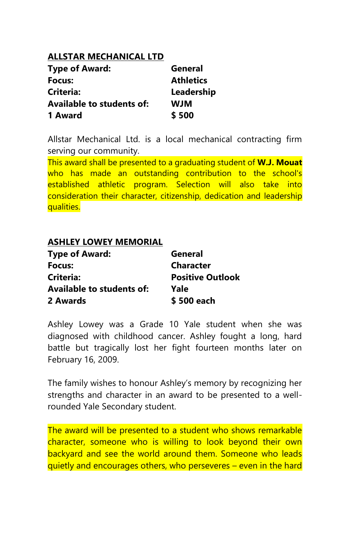# **ALLSTAR MECHANICAL LTD**

| <b>Type of Award:</b>            | General          |
|----------------------------------|------------------|
| Focus:                           | <b>Athletics</b> |
| Criteria:                        | Leadership       |
| <b>Available to students of:</b> | <b>WIW</b>       |
| 1 Award                          | \$500            |

Allstar Mechanical Ltd. is a local mechanical contracting firm serving our community.

This award shall be presented to a graduating student of **W.J. Mouat** who has made an outstanding contribution to the school's established athletic program. Selection will also take into consideration their character, citizenship, dedication and leadership qualities.

#### **ASHLEY LOWEY MEMORIAL**

| <b>Type of Award:</b>            | General                 |
|----------------------------------|-------------------------|
| Focus:                           | <b>Character</b>        |
| Criteria:                        | <b>Positive Outlook</b> |
| <b>Available to students of:</b> | Yale                    |
| 2 Awards                         | \$500 each              |

Ashley Lowey was a Grade 10 Yale student when she was diagnosed with childhood cancer. Ashley fought a long, hard battle but tragically lost her fight fourteen months later on February 16, 2009.

The family wishes to honour Ashley's memory by recognizing her strengths and character in an award to be presented to a wellrounded Yale Secondary student.

The award will be presented to a student who shows remarkable character, someone who is willing to look beyond their own backyard and see the world around them. Someone who leads quietly and encourages others, who perseveres – even in the hard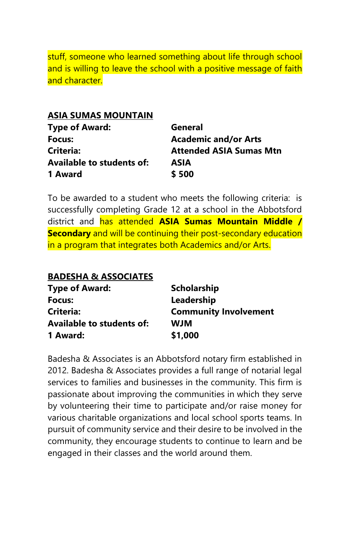stuff, someone who learned something about life through school and is willing to leave the school with a positive message of faith and character.

#### **ASIA SUMAS MOUNTAIN**

| <b>Type of Award:</b>            | General                        |
|----------------------------------|--------------------------------|
| Focus:                           | <b>Academic and/or Arts</b>    |
| Criteria:                        | <b>Attended ASIA Sumas Mtn</b> |
| <b>Available to students of:</b> | ASIA                           |
| 1 Award                          | \$500                          |

To be awarded to a student who meets the following criteria: is successfully completing Grade 12 at a school in the Abbotsford district and has attended **ASIA Sumas Mountain Middle / Secondary** and will be continuing their post-secondary education in a program that integrates both Academics and/or Arts.

| <b>Scholarship</b>           |
|------------------------------|
| Leadership                   |
| <b>Community Involvement</b> |
| <b>WIW</b>                   |
| \$1,000                      |
|                              |

Badesha & Associates is an Abbotsford notary firm established in 2012. Badesha & Associates provides a full range of notarial legal services to families and businesses in the community. This firm is passionate about improving the communities in which they serve by volunteering their time to participate and/or raise money for various charitable organizations and local school sports teams. In pursuit of community service and their desire to be involved in the community, they encourage students to continue to learn and be engaged in their classes and the world around them.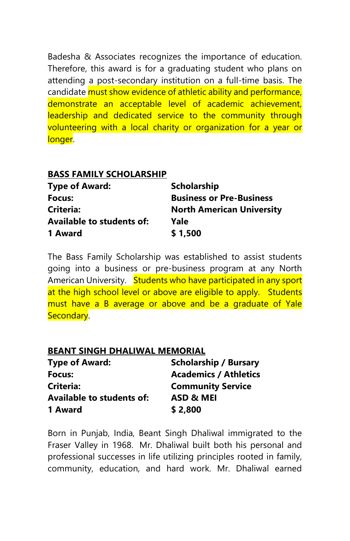Badesha & Associates recognizes the importance of education. Therefore, this award is for a graduating student who plans on attending a post-secondary institution on a full-time basis. The candidate must show evidence of athletic ability and performance, demonstrate an acceptable level of academic achievement, leadership and dedicated service to the community through volunteering with a local charity or organization for a year or longer.

| <b>BASS FAMILY SCHOLARSHIP</b>   |
|----------------------------------|
| <b>Scholarship</b>               |
| <b>Business or Pre-Business</b>  |
| <b>North American University</b> |
| Yale                             |
| \$1,500                          |
|                                  |

The Bass Family Scholarship was established to assist students going into a business or pre-business program at any North American University. Students who have participated in any sport at the high school level or above are eligible to apply. Students must have a B average or above and be a graduate of Yale Secondary.

#### **BEANT SINGH DHALIWAL MEMORIAL**

| <b>Type of Award:</b>            | <b>Scholarship / Bursary</b> |
|----------------------------------|------------------------------|
| Focus:                           | <b>Academics / Athletics</b> |
| Criteria:                        | <b>Community Service</b>     |
| <b>Available to students of:</b> | ASD & MEI                    |
| 1 Award                          | \$2,800                      |

Born in Punjab, India, Beant Singh Dhaliwal immigrated to the Fraser Valley in 1968. Mr. Dhaliwal built both his personal and professional successes in life utilizing principles rooted in family, community, education, and hard work. Mr. Dhaliwal earned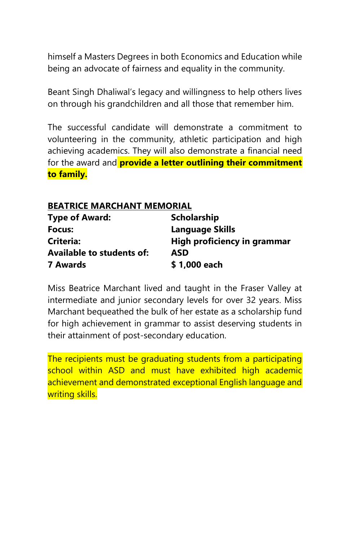himself a Masters Degrees in both Economics and Education while being an advocate of fairness and equality in the community.

Beant Singh Dhaliwal's legacy and willingness to help others lives on through his grandchildren and all those that remember him.

The successful candidate will demonstrate a commitment to volunteering in the community, athletic participation and high achieving academics. They will also demonstrate a financial need for the award and **provide a letter outlining their commitment to family.**

# **BEATRICE MARCHANT MEMORIAL**

| <b>Type of Award:</b>     | Scholarship                 |
|---------------------------|-----------------------------|
| Focus:                    | Language Skills             |
| <b>Criteria:</b>          | High proficiency in grammar |
| Available to students of: | <b>ASD</b>                  |
| 7 Awards                  | \$1,000 each                |

Miss Beatrice Marchant lived and taught in the Fraser Valley at intermediate and junior secondary levels for over 32 years. Miss Marchant bequeathed the bulk of her estate as a scholarship fund for high achievement in grammar to assist deserving students in their attainment of post-secondary education.

The recipients must be graduating students from a participating school within ASD and must have exhibited high academic achievement and demonstrated exceptional English language and writing skills.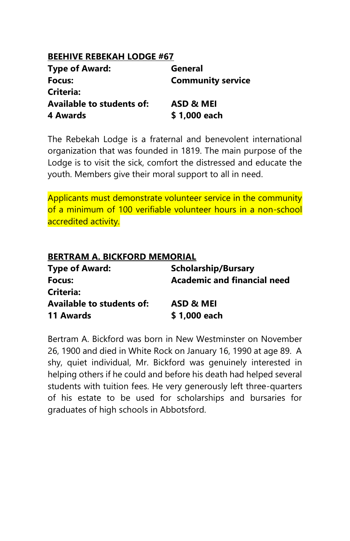# **BEEHIVE REBEKAH LODGE #67**

| <b>Type of Award:</b>            | General                  |
|----------------------------------|--------------------------|
| Focus:                           | <b>Community service</b> |
| <b>Criteria:</b>                 |                          |
| <b>Available to students of:</b> | ASD & MEI                |
| 4 Awards                         | \$1,000 each             |

The Rebekah Lodge is a fraternal and benevolent international organization that was founded in 1819. The main purpose of the Lodge is to visit the sick, comfort the distressed and educate the youth. Members give their moral support to all in need.

Applicants must demonstrate volunteer service in the community of a minimum of 100 verifiable volunteer hours in a non-school accredited activity.

| <b>BERTRAM A. BICKFORD MEMORIAL</b> |                             |
|-------------------------------------|-----------------------------|
| <b>Type of Award:</b>               | <b>Scholarship/Bursary</b>  |
| Focus:                              | Academic and financial need |
| Criteria:                           |                             |
| <b>Available to students of:</b>    | ASD & MEI                   |
| 11 Awards                           | \$1,000 each                |

Bertram A. Bickford was born in New Westminster on November 26, 1900 and died in White Rock on January 16, 1990 at age 89. A shy, quiet individual, Mr. Bickford was genuinely interested in helping others if he could and before his death had helped several students with tuition fees. He very generously left three-quarters of his estate to be used for scholarships and bursaries for graduates of high schools in Abbotsford.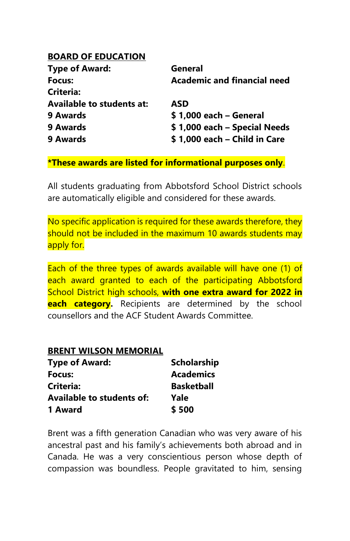#### **BOARD OF EDUCATION**

| <b>Type of Award:</b>            | General                            |
|----------------------------------|------------------------------------|
| Focus:                           | <b>Academic and financial need</b> |
| Criteria:                        |                                    |
| <b>Available to students at:</b> | <b>ASD</b>                         |
| 9 Awards                         | \$1,000 each - General             |
| 9 Awards                         | \$1,000 each - Special Needs       |
| 9 Awards                         | \$1,000 each - Child in Care       |

# **\*These awards are listed for informational purposes only**.

All students graduating from Abbotsford School District schools are automatically eligible and considered for these awards.

No specific application is required for these awards therefore, they should not be included in the maximum 10 awards students may apply for.

Each of the three types of awards available will have one (1) of each award granted to each of the participating Abbotsford School District high schools, **with one extra award for 2022 in each category.** Recipients are determined by the school counsellors and the ACF Student Awards Committee.

#### **BRENT WILSON MEMORIAL**

| <b>Type of Award:</b>            | <b>Scholarship</b> |
|----------------------------------|--------------------|
| Focus:                           | <b>Academics</b>   |
| Criteria:                        | <b>Basketball</b>  |
| <b>Available to students of:</b> | Yale               |
| 1 Award                          | \$500              |

Brent was a fifth generation Canadian who was very aware of his ancestral past and his family's achievements both abroad and in Canada. He was a very conscientious person whose depth of compassion was boundless. People gravitated to him, sensing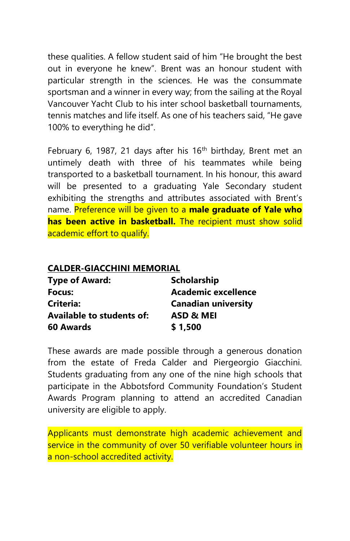these qualities. A fellow student said of him "He brought the best out in everyone he knew". Brent was an honour student with particular strength in the sciences. He was the consummate sportsman and a winner in every way; from the sailing at the Royal Vancouver Yacht Club to his inter school basketball tournaments, tennis matches and life itself. As one of his teachers said, "He gave 100% to everything he did".

February 6, 1987, 21 days after his  $16<sup>th</sup>$  birthday, Brent met an untimely death with three of his teammates while being transported to a basketball tournament. In his honour, this award will be presented to a graduating Yale Secondary student exhibiting the strengths and attributes associated with Brent's name. Preference will be given to a **male graduate of Yale who has been active in basketball.** The recipient must show solid academic effort to qualify.

#### **CALDER-GIACCHINI MEMORIAL**

| <b>Type of Award:</b>            | <b>Scholarship</b>         |
|----------------------------------|----------------------------|
| Focus:                           | <b>Academic excellence</b> |
| Criteria:                        | <b>Canadian university</b> |
| <b>Available to students of:</b> | ASD & MEI                  |
| 60 Awards                        | \$1,500                    |

These awards are made possible through a generous donation from the estate of Freda Calder and Piergeorgio Giacchini. Students graduating from any one of the nine high schools that participate in the Abbotsford Community Foundation's Student Awards Program planning to attend an accredited Canadian university are eligible to apply.

Applicants must demonstrate high academic achievement and service in the community of over 50 verifiable volunteer hours in a non-school accredited activity.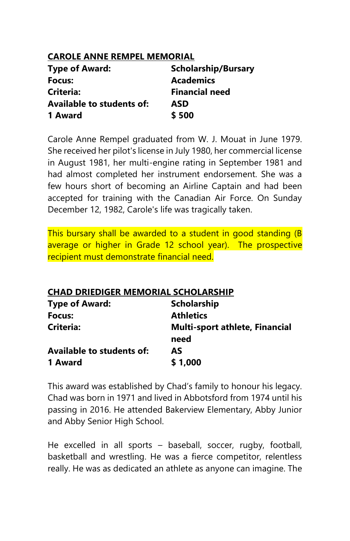# **CAROLE ANNE REMPEL MEMORIAL**

| <b>Type of Award:</b>            | <b>Scholarship/Bursary</b> |
|----------------------------------|----------------------------|
| Focus:                           | <b>Academics</b>           |
| Criteria:                        | <b>Financial need</b>      |
| <b>Available to students of:</b> | ASD                        |
| 1 Award                          | \$500                      |

Carole Anne Rempel graduated from W. J. Mouat in June 1979. She received her pilot's license in July 1980, her commercial license in August 1981, her multi-engine rating in September 1981 and had almost completed her instrument endorsement. She was a few hours short of becoming an Airline Captain and had been accepted for training with the Canadian Air Force. On Sunday December 12, 1982, Carole's life was tragically taken.

This bursary shall be awarded to a student in good standing (B average or higher in Grade 12 school year). The prospective recipient must demonstrate financial need.

# **CHAD DRIEDIGER MEMORIAL SCHOLARSHIP**

| <b>Type of Award:</b>            | <b>Scholarship</b>                    |
|----------------------------------|---------------------------------------|
| Focus:                           | <b>Athletics</b>                      |
| Criteria:                        | <b>Multi-sport athlete, Financial</b> |
|                                  | need                                  |
| <b>Available to students of:</b> | AS                                    |
| 1 Award                          | \$1,000                               |

This award was established by Chad's family to honour his legacy. Chad was born in 1971 and lived in Abbotsford from 1974 until his passing in 2016. He attended Bakerview Elementary, Abby Junior and Abby Senior High School.

He excelled in all sports – baseball, soccer, rugby, football, basketball and wrestling. He was a fierce competitor, relentless really. He was as dedicated an athlete as anyone can imagine. The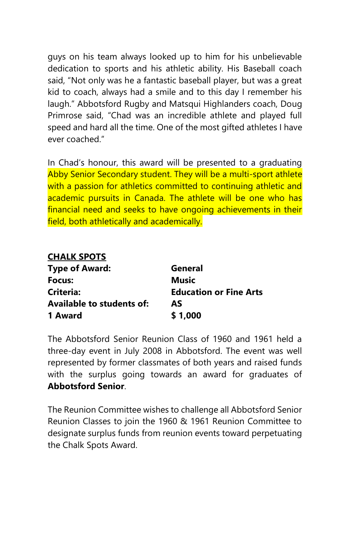guys on his team always looked up to him for his unbelievable dedication to sports and his athletic ability. His Baseball coach said, "Not only was he a fantastic baseball player, but was a great kid to coach, always had a smile and to this day I remember his laugh." Abbotsford Rugby and Matsqui Highlanders coach, Doug Primrose said, "Chad was an incredible athlete and played full speed and hard all the time. One of the most gifted athletes I have ever coached."

In Chad's honour, this award will be presented to a graduating Abby Senior Secondary student. They will be a multi-sport athlete with a passion for athletics committed to continuing athletic and academic pursuits in Canada. The athlete will be one who has financial need and seeks to have ongoing achievements in their field, both athletically and academically.

#### **CHALK SPOTS**

| <b>Type of Award:</b>            | General                       |
|----------------------------------|-------------------------------|
| Focus:                           | Music                         |
| Criteria:                        | <b>Education or Fine Arts</b> |
| <b>Available to students of:</b> | AS                            |
| 1 Award                          | \$1,000                       |

The Abbotsford Senior Reunion Class of 1960 and 1961 held a three-day event in July 2008 in Abbotsford. The event was well represented by former classmates of both years and raised funds with the surplus going towards an award for graduates of **Abbotsford Senior**.

The Reunion Committee wishes to challenge all Abbotsford Senior Reunion Classes to join the 1960 & 1961 Reunion Committee to designate surplus funds from reunion events toward perpetuating the Chalk Spots Award.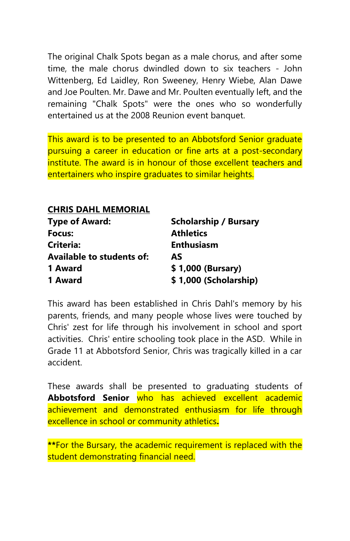The original Chalk Spots began as a male chorus, and after some time, the male chorus dwindled down to six teachers - John Wittenberg, Ed Laidley, Ron Sweeney, Henry Wiebe, Alan Dawe and Joe Poulten. Mr. Dawe and Mr. Poulten eventually left, and the remaining "Chalk Spots" were the ones who so wonderfully entertained us at the 2008 Reunion event banquet.

This award is to be presented to an Abbotsford Senior graduate pursuing a career in education or fine arts at a post-secondary institute. The award is in honour of those excellent teachers and entertainers who inspire graduates to similar heights.

**CHRIS DAHL MEMORIAL Type of Award: Scholarship / Bursary Focus: Athletics Criteria: Enthusiasm Available to students of: AS 1 Award \$ 1,000 (Bursary) 1 Award \$ 1,000 (Scholarship)**

This award has been established in Chris Dahl's memory by his parents, friends, and many people whose lives were touched by Chris' zest for life through his involvement in school and sport activities. Chris' entire schooling took place in the ASD. While in Grade 11 at Abbotsford Senior, Chris was tragically killed in a car accident.

These awards shall be presented to graduating students of **Abbotsford Senior** who has achieved excellent academic achievement and demonstrated enthusiasm for life through excellence in school or community athletics**.**

**\*\***For the Bursary, the academic requirement is replaced with the student demonstrating financial need.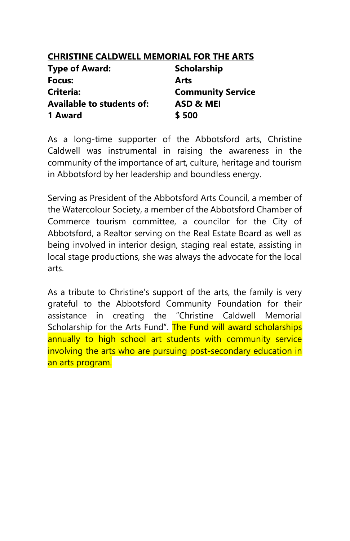# **CHRISTINE CALDWELL MEMORIAL FOR THE ARTS**

| <b>Type of Award:</b>            | <b>Scholarship</b>       |
|----------------------------------|--------------------------|
| Focus:                           | Arts                     |
| Criteria:                        | <b>Community Service</b> |
| <b>Available to students of:</b> | ASD & MEI                |
| 1 Award                          | \$500                    |

As a long-time supporter of the Abbotsford arts, Christine Caldwell was instrumental in raising the awareness in the community of the importance of art, culture, heritage and tourism in Abbotsford by her leadership and boundless energy.

Serving as President of the Abbotsford Arts Council, a member of the Watercolour Society, a member of the Abbotsford Chamber of Commerce tourism committee, a councilor for the City of Abbotsford, a Realtor serving on the Real Estate Board as well as being involved in interior design, staging real estate, assisting in local stage productions, she was always the advocate for the local arts.

As a tribute to Christine's support of the arts, the family is very grateful to the Abbotsford Community Foundation for their assistance in creating the "Christine Caldwell Memorial Scholarship for the Arts Fund". The Fund will award scholarships annually to high school art students with community service involving the arts who are pursuing post-secondary education in an arts program.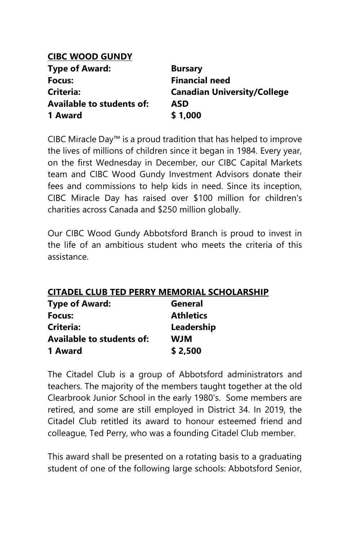# **CIBC WOOD GUNDY Type of Award:** Bursary **Focus: Financial need Criteria: Canadian University/College Available to students of: ASD 1 Award \$ 1,000**

CIBC Miracle Day™ is a proud tradition that has helped to improve the lives of millions of children since it began in 1984. Every year, on the first Wednesday in December, our CIBC Capital Markets team and CIBC Wood Gundy Investment Advisors donate their fees and commissions to help kids in need. Since its inception, CIBC Miracle Day has raised over \$100 million for children's charities across Canada and \$250 million globally.

Our CIBC Wood Gundy Abbotsford Branch is proud to invest in the life of an ambitious student who meets the criteria of this assistance.

# **CITADEL CLUB TED PERRY MEMORIAL SCHOLARSHIP**

| <b>Type of Award:</b>     | General          |
|---------------------------|------------------|
| Focus:                    | <b>Athletics</b> |
| Criteria:                 | Leadership       |
| Available to students of: | WJM              |
| 1 Award                   | \$2,500          |

The Citadel Club is a group of Abbotsford administrators and teachers. The majority of the members taught together at the old Clearbrook Junior School in the early 1980's. Some members are retired, and some are still employed in District 34. In 2019, the Citadel Club retitled its award to honour esteemed friend and colleague, Ted Perry, who was a founding Citadel Club member.

This award shall be presented on a rotating basis to a graduating student of one of the following large schools: Abbotsford Senior,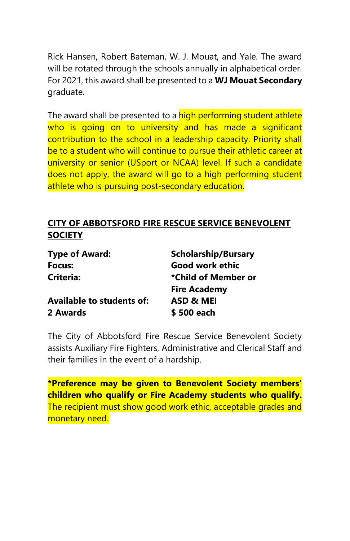Rick Hansen, Robert Bateman, W. J. Mouat, and Yale. The award will be rotated through the schools annually in alphabetical order. For 2021, this award shall be presented to a **WJ Mouat Secondary** graduate.

The award shall be presented to a **high performing student athlete** who is going on to university and has made a significant contribution to the school in a leadership capacity. Priority shall be to a student who will continue to pursue their athletic career at university or senior (USport or NCAA) level. If such a candidate does not apply, the award will go to a high performing student athlete who is pursuing post-secondary education.

# **CITY OF ABBOTSFORD FIRE RESCUE SERVICE BENEVOLENT SOCIETY**

| <b>Type of Award:</b>            | <b>Scholarship/Bursary</b> |
|----------------------------------|----------------------------|
| Focus:                           | Good work ethic            |
| Criteria:                        | *Child of Member or        |
|                                  | <b>Fire Academy</b>        |
| <b>Available to students of:</b> | ASD & MEI                  |
| 2 Awards                         | \$500 each                 |

The City of Abbotsford Fire Rescue Service Benevolent Society assists Auxiliary Fire Fighters, Administrative and Clerical Staff and their families in the event of a hardship.

**\*Preference may be given to Benevolent Society members' children who qualify or Fire Academy students who qualify.** The recipient must show good work ethic, acceptable grades and monetary need.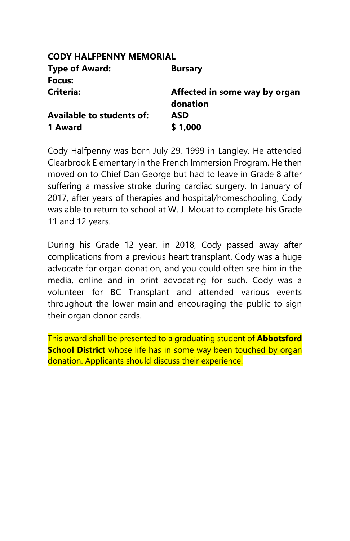## **CODY HALFPENNY MEMORIAL**

| <b>Bursary</b>                |
|-------------------------------|
|                               |
| Affected in some way by organ |
| donation                      |
| ASD                           |
| \$1,000                       |
|                               |

Cody Halfpenny was born July 29, 1999 in Langley. He attended Clearbrook Elementary in the French Immersion Program. He then moved on to Chief Dan George but had to leave in Grade 8 after suffering a massive stroke during cardiac surgery. In January of 2017, after years of therapies and hospital/homeschooling, Cody was able to return to school at W. J. Mouat to complete his Grade 11 and 12 years.

During his Grade 12 year, in 2018, Cody passed away after complications from a previous heart transplant. Cody was a huge advocate for organ donation, and you could often see him in the media, online and in print advocating for such. Cody was a volunteer for BC Transplant and attended various events throughout the lower mainland encouraging the public to sign their organ donor cards.

This award shall be presented to a graduating student of **Abbotsford School District** whose life has in some way been touched by organ donation. Applicants should discuss their experience.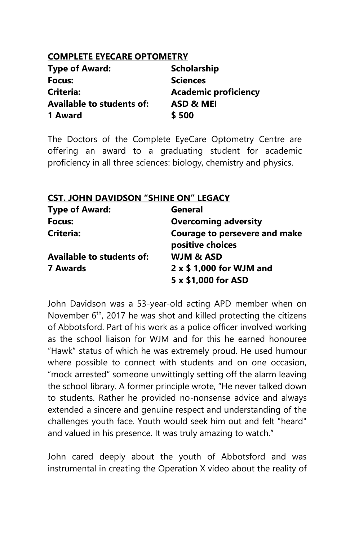# **COMPLETE EYECARE OPTOMETRY**

| <b>Type of Award:</b>            | <b>Scholarship</b>          |
|----------------------------------|-----------------------------|
| Focus:                           | <b>Sciences</b>             |
| Criteria:                        | <b>Academic proficiency</b> |
| <b>Available to students of:</b> | ASD & MEI                   |
| 1 Award                          | \$500                       |

**CST. JOHN DAVIDSON "SHINE ON" LEGACY**

The Doctors of the Complete EyeCare Optometry Centre are offering an award to a graduating student for academic proficiency in all three sciences: biology, chemistry and physics.

| CST. JOHN DAVIDSON "SHINE ON" LEGACY |                                                   |
|--------------------------------------|---------------------------------------------------|
| <b>Type of Award:</b>                | <b>General</b>                                    |
| Focus:                               | <b>Overcoming adversity</b>                       |
| Criteria:                            | Courage to persevere and make<br>positive choices |
| <b>Available to students of:</b>     | <b>WJM &amp; ASD</b>                              |
| <b>7 Awards</b>                      | $2 \times $1,000$ for WJM and                     |
|                                      | 5 x \$1,000 for ASD                               |

John Davidson was a 53-year-old acting APD member when on November  $6<sup>th</sup>$ , 2017 he was shot and killed protecting the citizens of Abbotsford. Part of his work as a police officer involved working as the school liaison for WJM and for this he earned honouree "Hawk" status of which he was extremely proud. He used humour where possible to connect with students and on one occasion, "mock arrested" someone unwittingly setting off the alarm leaving the school library. A former principle wrote, "He never talked down to students. Rather he provided no-nonsense advice and always extended a sincere and genuine respect and understanding of the challenges youth face. Youth would seek him out and felt "heard" and valued in his presence. It was truly amazing to watch."

John cared deeply about the youth of Abbotsford and was instrumental in creating the Operation X video about the reality of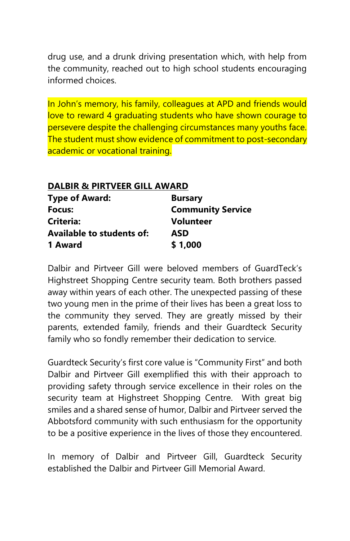drug use, and a drunk driving presentation which, with help from the community, reached out to high school students encouraging informed choices.

In John's memory, his family, colleagues at APD and friends would love to reward 4 graduating students who have shown courage to persevere despite the challenging circumstances many youths face. The student must show evidence of commitment to post-secondary academic or vocational training.

| <b>DALBIR &amp; PIRTVEER GILL AWARD</b> |                          |  |
|-----------------------------------------|--------------------------|--|
| <b>Type of Award:</b>                   | <b>Bursary</b>           |  |
| Focus:                                  | <b>Community Service</b> |  |
| <b>Criteria:</b>                        | <b>Volunteer</b>         |  |
| <b>Available to students of:</b>        | ASD                      |  |
| 1 Award                                 | \$1,000                  |  |

Dalbir and Pirtveer Gill were beloved members of GuardTeck's Highstreet Shopping Centre security team. Both brothers passed away within years of each other. The unexpected passing of these two young men in the prime of their lives has been a great loss to the community they served. They are greatly missed by their parents, extended family, friends and their Guardteck Security family who so fondly remember their dedication to service.

Guardteck Security's first core value is "Community First" and both Dalbir and Pirtveer Gill exemplified this with their approach to providing safety through service excellence in their roles on the security team at Highstreet Shopping Centre. With great big smiles and a shared sense of humor, Dalbir and Pirtveer served the Abbotsford community with such enthusiasm for the opportunity to be a positive experience in the lives of those they encountered.

In memory of Dalbir and Pirtveer Gill, Guardteck Security established the Dalbir and Pirtveer Gill Memorial Award.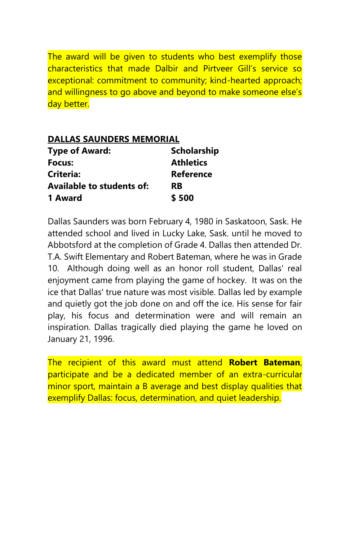The award will be given to students who best exemplify those characteristics that made Dalbir and Pirtveer Gill's service so exceptional: commitment to community; kind-hearted approach; and willingness to go above and beyond to make someone else's day better.

| <b>DALLAS SAUNDERS MEMORIAL</b>  |                    |  |
|----------------------------------|--------------------|--|
| <b>Type of Award:</b>            | <b>Scholarship</b> |  |
| Focus:                           | <b>Athletics</b>   |  |
| Criteria:                        | <b>Reference</b>   |  |
| <b>Available to students of:</b> | <b>RB</b>          |  |
| 1 Award                          | \$500              |  |

Dallas Saunders was born February 4, 1980 in Saskatoon, Sask. He attended school and lived in Lucky Lake, Sask. until he moved to Abbotsford at the completion of Grade 4. Dallas then attended Dr. T.A. Swift Elementary and Robert Bateman, where he was in Grade 10. Although doing well as an honor roll student, Dallas' real enjoyment came from playing the game of hockey. It was on the ice that Dallas' true nature was most visible. Dallas led by example and quietly got the job done on and off the ice. His sense for fair play, his focus and determination were and will remain an inspiration. Dallas tragically died playing the game he loved on January 21, 1996.

The recipient of this award must attend **Robert Bateman**, participate and be a dedicated member of an extra-curricular minor sport, maintain a B average and best display qualities that exemplify Dallas: focus, determination, and quiet leadership.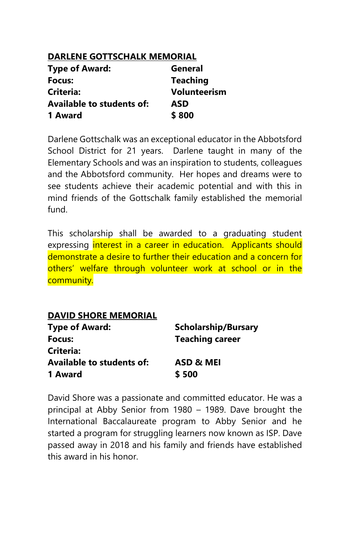|  | <b>DARLENE GOTTSCHALK MEMORIAL</b> |
|--|------------------------------------|
|  |                                    |

| <b>Type of Award:</b>            | General             |
|----------------------------------|---------------------|
| Focus:                           | <b>Teaching</b>     |
| Criteria:                        | <b>Volunteerism</b> |
| <b>Available to students of:</b> | <b>ASD</b>          |
| 1 Award                          | \$800               |

Darlene Gottschalk was an exceptional educator in the Abbotsford School District for 21 years. Darlene taught in many of the Elementary Schools and was an inspiration to students, colleagues and the Abbotsford community. Her hopes and dreams were to see students achieve their academic potential and with this in mind friends of the Gottschalk family established the memorial fund.

This scholarship shall be awarded to a graduating student expressing interest in a career in education. Applicants should demonstrate a desire to further their education and a concern for others' welfare through volunteer work at school or in the community.

| <b>Scholarship/Bursary</b> |
|----------------------------|
| <b>Teaching career</b>     |
|                            |
| ASD & MEI                  |
| \$500                      |
|                            |

David Shore was a passionate and committed educator. He was a principal at Abby Senior from 1980 – 1989. Dave brought the International Baccalaureate program to Abby Senior and he started a program for struggling learners now known as ISP. Dave passed away in 2018 and his family and friends have established this award in his honor.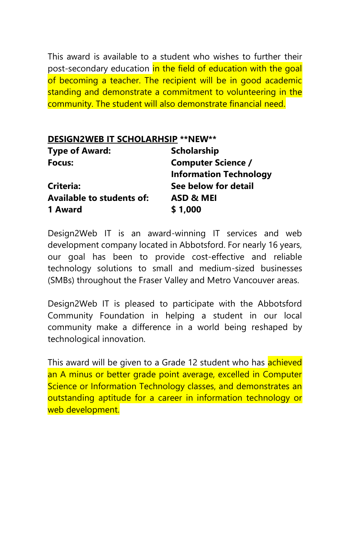This award is available to a student who wishes to further their post-secondary education in the field of education with the goal of becoming a teacher. The recipient will be in good academic standing and demonstrate a commitment to volunteering in the community. The student will also demonstrate financial need.

| DESIGN2WEB IT SCHOLARHSIP ** NEW** |                               |
|------------------------------------|-------------------------------|
| <b>Type of Award:</b>              | Scholarship                   |
| Focus:                             | <b>Computer Science /</b>     |
|                                    | <b>Information Technology</b> |
| Criteria:                          | See below for detail          |
| <b>Available to students of:</b>   | ASD & MEI                     |
| 1 Award                            | \$1,000                       |

Design2Web IT is an award-winning IT services and web development company located in Abbotsford. For nearly 16 years, our goal has been to provide cost-effective and reliable technology solutions to small and medium-sized businesses (SMBs) throughout the Fraser Valley and Metro Vancouver areas.

Design2Web IT is pleased to participate with the Abbotsford Community Foundation in helping a student in our local community make a difference in a world being reshaped by technological innovation.

This award will be given to a Grade 12 student who has **achieved** an A minus or better grade point average, excelled in Computer Science or Information Technology classes, and demonstrates an outstanding aptitude for a career in information technology or web development.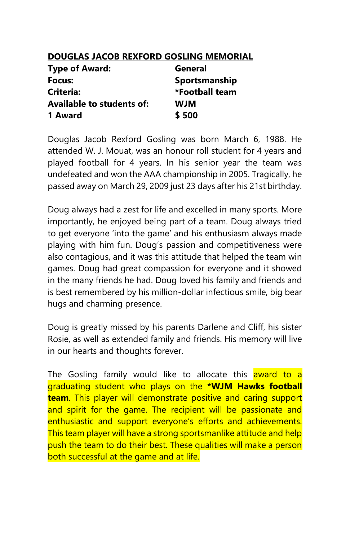# **DOUGLAS JACOB REXFORD GOSLING MEMORIAL**

| <b>Type of Award:</b>            | General        |
|----------------------------------|----------------|
| Focus:                           | Sportsmanship  |
| Criteria:                        | *Football team |
| <b>Available to students of:</b> | <b>WJM</b>     |
| 1 Award                          | \$500          |

Douglas Jacob Rexford Gosling was born March 6, 1988. He attended W. J. Mouat, was an honour roll student for 4 years and played football for 4 years. In his senior year the team was undefeated and won the AAA championship in 2005. Tragically, he passed away on March 29, 2009 just 23 days after his 21st birthday.

Doug always had a zest for life and excelled in many sports. More importantly, he enjoyed being part of a team. Doug always tried to get everyone 'into the game' and his enthusiasm always made playing with him fun. Doug's passion and competitiveness were also contagious, and it was this attitude that helped the team win games. Doug had great compassion for everyone and it showed in the many friends he had. Doug loved his family and friends and is best remembered by his million-dollar infectious smile, big bear hugs and charming presence.

Doug is greatly missed by his parents Darlene and Cliff, his sister Rosie, as well as extended family and friends. His memory will live in our hearts and thoughts forever.

The Gosling family would like to allocate this award to a graduating student who plays on the **\*WJM Hawks football team**. This player will demonstrate positive and caring support and spirit for the game. The recipient will be passionate and enthusiastic and support everyone's efforts and achievements. This team player will have a strong sportsmanlike attitude and help push the team to do their best. These qualities will make a person both successful at the game and at life.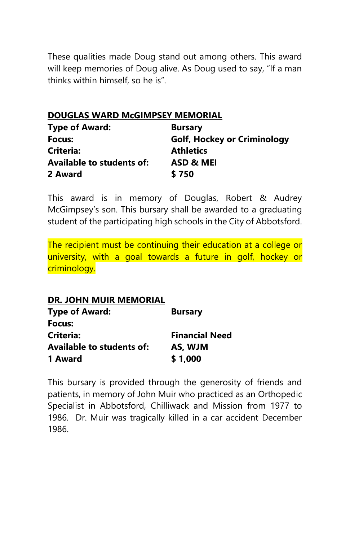These qualities made Doug stand out among others. This award will keep memories of Doug alive. As Doug used to say, "If a man thinks within himself, so he is".

# **DOUGLAS WARD McGIMPSEY MEMORIAL**

| <b>Type of Award:</b>            | <b>Bursary</b>                     |
|----------------------------------|------------------------------------|
| Focus:                           | <b>Golf, Hockey or Criminology</b> |
| Criteria:                        | <b>Athletics</b>                   |
| <b>Available to students of:</b> | ASD & MEI                          |
| 2 Award                          | \$750                              |

This award is in memory of Douglas, Robert & Audrey McGimpsey's son. This bursary shall be awarded to a graduating student of the participating high schools in the City of Abbotsford.

The recipient must be continuing their education at a college or university, with a goal towards a future in golf, hockey or criminology.

# **DR. JOHN MUIR MEMORIAL Type of Award:** Bursary **Focus: Criteria: Financial Need Available to students of: AS, WJM 1 Award \$ 1,000**

This bursary is provided through the generosity of friends and patients, in memory of John Muir who practiced as an Orthopedic Specialist in Abbotsford, Chilliwack and Mission from 1977 to 1986. Dr. Muir was tragically killed in a car accident December 1986.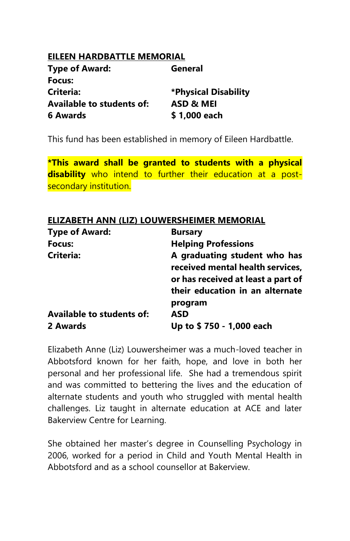### **EILEEN HARDBATTLE MEMORIAL**

| <b>Type of Award:</b>            | General              |
|----------------------------------|----------------------|
| Focus:                           |                      |
| Criteria:                        | *Physical Disability |
| <b>Available to students of:</b> | ASD & MEI            |
| 6 Awards                         | \$1,000 each         |

This fund has been established in memory of Eileen Hardbattle.

**\*This award shall be granted to students with a physical disability** who intend to further their education at a postsecondary institution.

### **ELIZABETH ANN (LIZ) LOUWERSHEIMER MEMORIAL**

| <b>Type of Award:</b>     | <b>Bursary</b>                                                                                                                            |
|---------------------------|-------------------------------------------------------------------------------------------------------------------------------------------|
| Focus:                    | <b>Helping Professions</b>                                                                                                                |
| <b>Criteria:</b>          | A graduating student who has<br>received mental health services,<br>or has received at least a part of<br>their education in an alternate |
|                           | program                                                                                                                                   |
| Available to students of: | ASD                                                                                                                                       |
| 2 Awards                  | Up to \$750 - 1,000 each                                                                                                                  |

Elizabeth Anne (Liz) Louwersheimer was a much-loved teacher in Abbotsford known for her faith, hope, and love in both her personal and her professional life. She had a tremendous spirit and was committed to bettering the lives and the education of alternate students and youth who struggled with mental health challenges. Liz taught in alternate education at ACE and later Bakerview Centre for Learning.

She obtained her master's degree in Counselling Psychology in 2006, worked for a period in Child and Youth Mental Health in Abbotsford and as a school counsellor at Bakerview.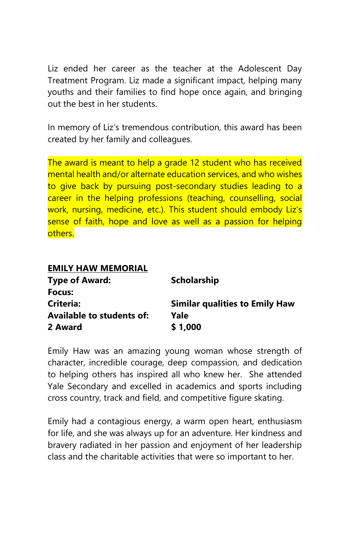Liz ended her career as the teacher at the Adolescent Day Treatment Program. Liz made a significant impact, helping many youths and their families to find hope once again, and bringing out the best in her students.

In memory of Liz's tremendous contribution, this award has been created by her family and colleagues.

The award is meant to help a grade 12 student who has received mental health and/or alternate education services, and who wishes to give back by pursuing post-secondary studies leading to a career in the helping professions (teaching, counselling, social work, nursing, medicine, etc.). This student should embody Liz's sense of faith, hope and love as well as a passion for helping others.

| <b>EMILY HAW MEMORIAL</b>        |                                       |
|----------------------------------|---------------------------------------|
| <b>Type of Award:</b>            | <b>Scholarship</b>                    |
| Focus:                           |                                       |
| Criteria:                        | <b>Similar qualities to Emily Haw</b> |
| <b>Available to students of:</b> | Yale                                  |
| 2 Award                          | \$1,000                               |

Emily Haw was an amazing young woman whose strength of character, incredible courage, deep compassion, and dedication to helping others has inspired all who knew her. She attended Yale Secondary and excelled in academics and sports including cross country, track and field, and competitive figure skating.

Emily had a contagious energy, a warm open heart, enthusiasm for life, and she was always up for an adventure. Her kindness and bravery radiated in her passion and enjoyment of her leadership class and the charitable activities that were so important to her.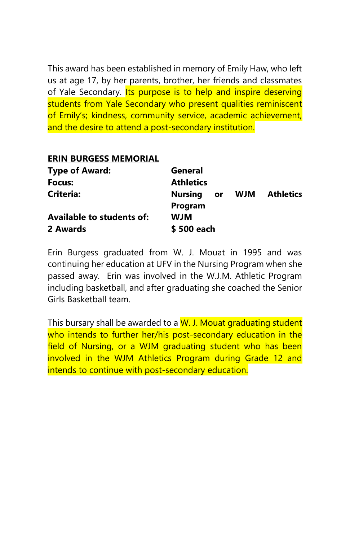This award has been established in memory of Emily Haw, who left us at age 17, by her parents, brother, her friends and classmates of Yale Secondary. Its purpose is to help and inspire deserving students from Yale Secondary who present qualities reminiscent of Emily's; kindness, community service, academic achievement, and the desire to attend a post-secondary institution.

### **ERIN BURGESS MEMORIAL**

| <b>Type of Award:</b>            | General               |     |           |
|----------------------------------|-----------------------|-----|-----------|
| Focus:                           | <b>Athletics</b>      |     |           |
| <b>Criteria:</b>                 | <b>Nursing</b><br>or. | WJM | Athletics |
|                                  | Program               |     |           |
| <b>Available to students of:</b> | <b>WIW</b>            |     |           |
| 2 Awards                         | \$500 each            |     |           |

Erin Burgess graduated from W. J. Mouat in 1995 and was continuing her education at UFV in the Nursing Program when she passed away. Erin was involved in the W.J.M. Athletic Program including basketball, and after graduating she coached the Senior Girls Basketball team.

This bursary shall be awarded to a W. J. Mouat graduating student who intends to further her/his post-secondary education in the field of Nursing, or a WJM graduating student who has been involved in the WJM Athletics Program during Grade 12 and intends to continue with post-secondary education.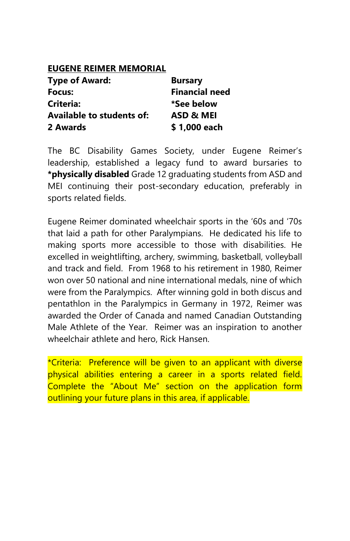### **EUGENE REIMER MEMORIAL**

| <b>Type of Award:</b>            | <b>Bursary</b>        |
|----------------------------------|-----------------------|
| Focus:                           | <b>Financial need</b> |
| Criteria:                        | *See below            |
| <b>Available to students of:</b> | ASD & MEI             |
| 2 Awards                         | \$1,000 each          |

The BC Disability Games Society, under Eugene Reimer's leadership, established a legacy fund to award bursaries to **\*physically disabled** Grade 12 graduating students from ASD and MEI continuing their post-secondary education, preferably in sports related fields.

Eugene Reimer dominated wheelchair sports in the '60s and '70s that laid a path for other Paralympians. He dedicated his life to making sports more accessible to those with disabilities. He excelled in weightlifting, archery, swimming, basketball, volleyball and track and field. From 1968 to his retirement in 1980, Reimer won over 50 national and nine international medals, nine of which were from the Paralympics. After winning gold in both discus and pentathlon in the Paralympics in Germany in 1972, Reimer was awarded the Order of Canada and named Canadian Outstanding Male Athlete of the Year. Reimer was an inspiration to another wheelchair athlete and hero, Rick Hansen.

\*Criteria: Preference will be given to an applicant with diverse physical abilities entering a career in a sports related field. Complete the "About Me" section on the application form outlining your future plans in this area, if applicable.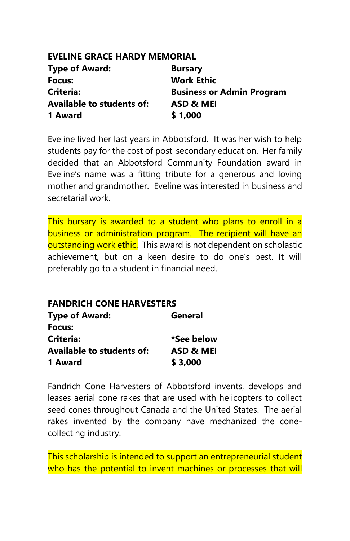# **EVELINE GRACE HARDY MEMORIAL**

| <b>Type of Award:</b>            | <b>Bursary</b>                   |
|----------------------------------|----------------------------------|
| Focus:                           | <b>Work Ethic</b>                |
| Criteria:                        | <b>Business or Admin Program</b> |
| <b>Available to students of:</b> | ASD & MEI                        |
| 1 Award                          | \$1,000                          |

Eveline lived her last years in Abbotsford. It was her wish to help students pay for the cost of post-secondary education. Her family decided that an Abbotsford Community Foundation award in Eveline's name was a fitting tribute for a generous and loving mother and grandmother. Eveline was interested in business and secretarial work.

This bursary is awarded to a student who plans to enroll in a business or administration program. The recipient will have an outstanding work ethic. This award is not dependent on scholastic achievement, but on a keen desire to do one's best. It will preferably go to a student in financial need.

# **FANDRICH CONE HARVESTERS Type of Award: General Focus: Criteria: \*See below**

| Available to students of: | ASD & MEI |
|---------------------------|-----------|
| 1 Award                   | \$3,000   |

Fandrich Cone Harvesters of Abbotsford invents, develops and leases aerial cone rakes that are used with helicopters to collect seed cones throughout Canada and the United States. The aerial rakes invented by the company have mechanized the conecollecting industry.

This scholarship is intended to support an entrepreneurial student who has the potential to invent machines or processes that will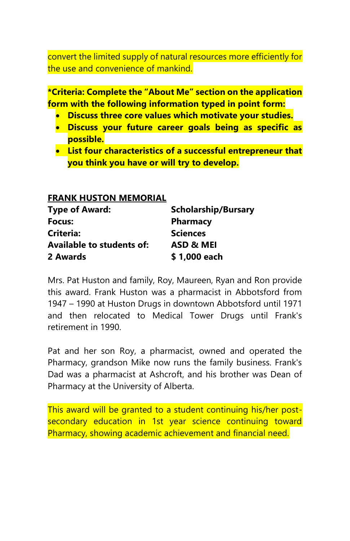convert the limited supply of natural resources more efficiently for the use and convenience of mankind.

**\*Criteria: Complete the "About Me" section on the application form with the following information typed in point form:**

- **Discuss three core values which motivate your studies.**
- **Discuss your future career goals being as specific as possible.**
- **List four characteristics of a successful entrepreneur that you think you have or will try to develop.**

### **FRANK HUSTON MEMORIAL**

| <b>Type of Award:</b>            | <b>Scholarship/Bursary</b> |
|----------------------------------|----------------------------|
| Focus:                           | <b>Pharmacy</b>            |
| <b>Criteria:</b>                 | <b>Sciences</b>            |
| <b>Available to students of:</b> | ASD & MEI                  |
| 2 Awards                         | \$1,000 each               |

Mrs. Pat Huston and family, Roy, Maureen, Ryan and Ron provide this award. Frank Huston was a pharmacist in Abbotsford from 1947 – 1990 at Huston Drugs in downtown Abbotsford until 1971 and then relocated to Medical Tower Drugs until Frank's retirement in 1990.

Pat and her son Roy, a pharmacist, owned and operated the Pharmacy, grandson Mike now runs the family business. Frank's Dad was a pharmacist at Ashcroft, and his brother was Dean of Pharmacy at the University of Alberta.

This award will be granted to a student continuing his/her postsecondary education in 1st year science continuing toward Pharmacy, showing academic achievement and financial need.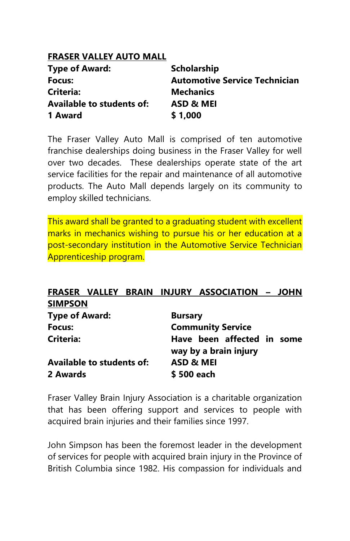# **FRASER VALLEY AUTO MALL**

| <b>Type of Award:</b>            | <b>Scholarship</b>                   |
|----------------------------------|--------------------------------------|
| Focus:                           | <b>Automotive Service Technician</b> |
| <b>Criteria:</b>                 | <b>Mechanics</b>                     |
| <b>Available to students of:</b> | ASD & MEI                            |
| 1 Award                          | \$1,000                              |

The Fraser Valley Auto Mall is comprised of ten automotive franchise dealerships doing business in the Fraser Valley for well over two decades. These dealerships operate state of the art service facilities for the repair and maintenance of all automotive products. The Auto Mall depends largely on its community to employ skilled technicians.

This award shall be granted to a graduating student with excellent marks in mechanics wishing to pursue his or her education at a post-secondary institution in the Automotive Service Technician Apprenticeship program.

# **FRASER VALLEY BRAIN INJURY ASSOCIATION – JOHN SIMPSON**

| <b>Type of Award:</b>            | <b>Bursary</b>                                      |
|----------------------------------|-----------------------------------------------------|
| Focus:                           | <b>Community Service</b>                            |
| Criteria:                        | Have been affected in some<br>way by a brain injury |
| <b>Available to students of:</b> | ASD & MEI                                           |
| 2 Awards                         | \$500 each                                          |

Fraser Valley Brain Injury Association is a charitable organization that has been offering support and services to people with acquired brain injuries and their families since 1997.

John Simpson has been the foremost leader in the development of services for people with acquired brain injury in the Province of British Columbia since 1982. His compassion for individuals and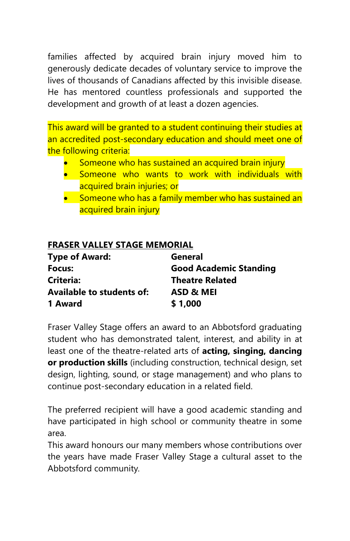families affected by acquired brain injury moved him to generously dedicate decades of voluntary service to improve the lives of thousands of Canadians affected by this invisible disease. He has mentored countless professionals and supported the development and growth of at least a dozen agencies.

This award will be granted to a student continuing their studies at an accredited post-secondary education and should meet one of the following criteria:

- Someone who has sustained an acquired brain injury
- Someone who wants to work with individuals with acquired brain injuries; or
- Someone who has a family member who has sustained an acquired brain injury

# **FRASER VALLEY STAGE MEMORIAL**

| <b>Type of Award:</b>            | General                       |
|----------------------------------|-------------------------------|
| Focus:                           | <b>Good Academic Standing</b> |
| Criteria:                        | <b>Theatre Related</b>        |
| <b>Available to students of:</b> | ASD & MEI                     |
| 1 Award                          | \$1,000                       |

Fraser Valley Stage offers an award to an Abbotsford graduating student who has demonstrated talent, interest, and ability in at least one of the theatre-related arts of **acting, singing, dancing or production skills** (including construction, technical design, set design, lighting, sound, or stage management) and who plans to continue post-secondary education in a related field.

The preferred recipient will have a good academic standing and have participated in high school or community theatre in some area.

This award honours our many members whose contributions over the years have made Fraser Valley Stage a cultural asset to the Abbotsford community*.*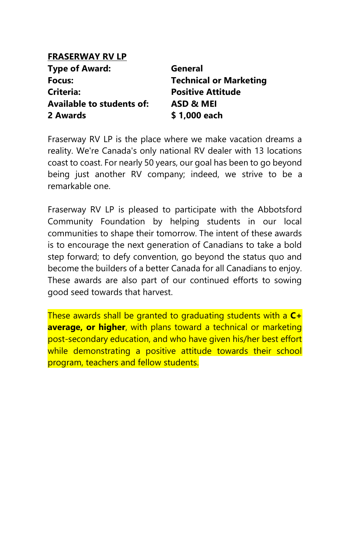# **FRASERWAY RV LP**

| <b>Type of Award:</b>            | General                       |
|----------------------------------|-------------------------------|
| Focus:                           | <b>Technical or Marketing</b> |
| Criteria:                        | <b>Positive Attitude</b>      |
| <b>Available to students of:</b> | ASD & MEI                     |
| 2 Awards                         | \$1,000 each                  |

Fraserway RV LP is the place where we make vacation dreams a reality. We're Canada's only national RV dealer with 13 locations coast to coast. For nearly 50 years, our goal has been to go beyond being just another RV company; indeed, we strive to be a remarkable one.

Fraserway RV LP is pleased to participate with the Abbotsford Community Foundation by helping students in our local communities to shape their tomorrow. The intent of these awards is to encourage the next generation of Canadians to take a bold step forward; to defy convention, go beyond the status quo and become the builders of a better Canada for all Canadians to enjoy. These awards are also part of our continued efforts to sowing good seed towards that harvest.

These awards shall be granted to graduating students with a **C+ average, or higher**, with plans toward a technical or marketing post-secondary education, and who have given his/her best effort while demonstrating a positive attitude towards their school program, teachers and fellow students.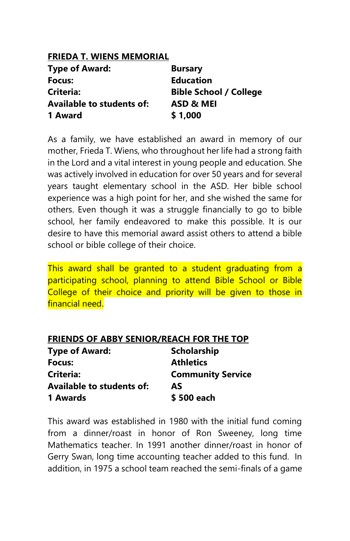| <b>FRIEDA T. WIENS MEMORIAL</b> |
|---------------------------------|
| <b>Bursary</b>                  |
| <b>Education</b>                |
| <b>Bible School / College</b>   |
| ASD & MEI                       |
| \$1,000                         |
|                                 |

As a family, we have established an award in memory of our mother, Frieda T. Wiens, who throughout her life had a strong faith in the Lord and a vital interest in young people and education. She was actively involved in education for over 50 years and for several years taught elementary school in the ASD. Her bible school experience was a high point for her, and she wished the same for others. Even though it was a struggle financially to go to bible school, her family endeavored to make this possible. It is our desire to have this memorial award assist others to attend a bible school or bible college of their choice.

This award shall be granted to a student graduating from a participating school, planning to attend Bible School or Bible College of their choice and priority will be given to those in financial need.

| <b>Type of Award:</b>            | <b>Scholarship</b>       |
|----------------------------------|--------------------------|
| Focus:                           | <b>Athletics</b>         |
| Criteria:                        | <b>Community Service</b> |
| <b>Available to students of:</b> | AS                       |
| 1 Awards                         | \$500 each               |

This award was established in 1980 with the initial fund coming from a dinner/roast in honor of Ron Sweeney, long time Mathematics teacher. In 1991 another dinner/roast in honor of Gerry Swan, long time accounting teacher added to this fund. In addition, in 1975 a school team reached the semi-finals of a game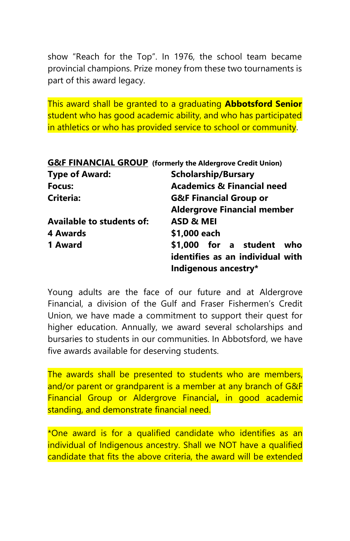show "Reach for the Top". In 1976, the school team became provincial champions. Prize money from these two tournaments is part of this award legacy.

This award shall be granted to a graduating **Abbotsford Senior** student who has good academic ability, and who has participated in athletics or who has provided service to school or community.

|                           | <b>G&amp;F FINANCIAL GROUP</b> (formerly the Aldergrove Credit Union) |
|---------------------------|-----------------------------------------------------------------------|
| <b>Type of Award:</b>     | <b>Scholarship/Bursary</b>                                            |
| Focus:                    | <b>Academics &amp; Financial need</b>                                 |
| Criteria:                 | <b>G&amp;F Financial Group or</b>                                     |
|                           | <b>Aldergrove Financial member</b>                                    |
| Available to students of: | ASD & MEI                                                             |
| 4 Awards                  | \$1,000 each                                                          |
| 1 Award                   | \$1,000 for a student who                                             |
|                           | identifies as an individual with                                      |
|                           | Indigenous ancestry*                                                  |

Young adults are the face of our future and at Aldergrove Financial, a division of the Gulf and Fraser Fishermen's Credit Union, we have made a commitment to support their quest for higher education. Annually, we award several scholarships and bursaries to students in our communities. In Abbotsford, we have five awards available for deserving students.

The awards shall be presented to students who are members, and/or parent or grandparent is a member at any branch of G&F Financial Group or Aldergrove Financial**,** in good academic standing, and demonstrate financial need.

\*One award is for a qualified candidate who identifies as an individual of Indigenous ancestry. Shall we NOT have a qualified candidate that fits the above criteria, the award will be extended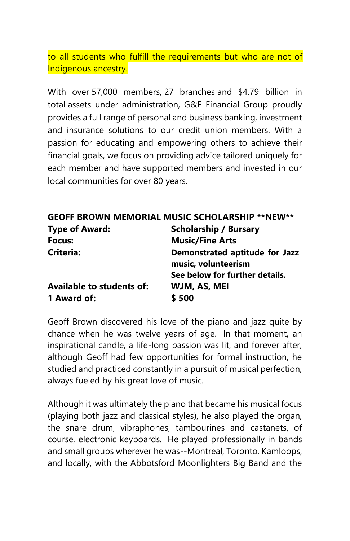to all students who fulfill the requirements but who are not of Indigenous ancestry.

With over 57,000 members, 27 branches and \$4.79 billion in total assets under administration, G&F Financial Group proudly provides a full range of personal and business banking, investment and insurance solutions to our credit union members. With a passion for educating and empowering others to achieve their financial goals, we focus on providing advice tailored uniquely for each member and have supported members and invested in our local communities for over 80 years.

|                                  | <b>GEOFF BROWN MEMORIAL MUSIC SCHOLARSHIP ** NEW**</b>                                  |
|----------------------------------|-----------------------------------------------------------------------------------------|
| <b>Type of Award:</b>            | <b>Scholarship / Bursary</b>                                                            |
| Focus:                           | <b>Music/Fine Arts</b>                                                                  |
| Criteria:                        | Demonstrated aptitude for Jazz<br>music, volunteerism<br>See below for further details. |
|                                  |                                                                                         |
| <b>Available to students of:</b> | WJM, AS, MEI                                                                            |
| 1 Award of:                      | \$500                                                                                   |

Geoff Brown discovered his love of the piano and jazz quite by chance when he was twelve years of age. In that moment, an inspirational candle, a life-long passion was lit, and forever after, although Geoff had few opportunities for formal instruction, he studied and practiced constantly in a pursuit of musical perfection, always fueled by his great love of music.

Although it was ultimately the piano that became his musical focus (playing both jazz and classical styles), he also played the organ, the snare drum, vibraphones, tambourines and castanets, of course, electronic keyboards. He played professionally in bands and small groups wherever he was--Montreal, Toronto, Kamloops, and locally, with the Abbotsford Moonlighters Big Band and the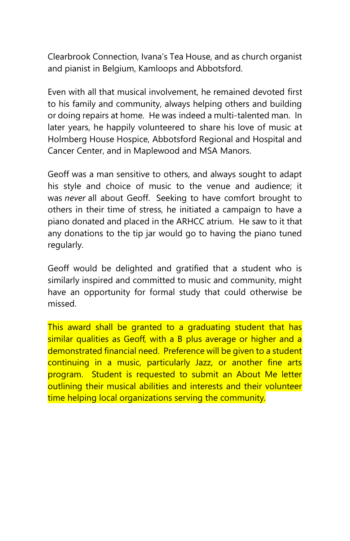Clearbrook Connection, Ivana's Tea House, and as church organist and pianist in Belgium, Kamloops and Abbotsford.

Even with all that musical involvement, he remained devoted first to his family and community, always helping others and building or doing repairs at home. He was indeed a multi-talented man. In later years, he happily volunteered to share his love of music at Holmberg House Hospice, Abbotsford Regional and Hospital and Cancer Center, and in Maplewood and MSA Manors.

Geoff was a man sensitive to others, and always sought to adapt his style and choice of music to the venue and audience; it was *never* all about Geoff. Seeking to have comfort brought to others in their time of stress, he initiated a campaign to have a piano donated and placed in the ARHCC atrium. He saw to it that any donations to the tip jar would go to having the piano tuned regularly.

Geoff would be delighted and gratified that a student who is similarly inspired and committed to music and community, might have an opportunity for formal study that could otherwise be missed.

This award shall be granted to a graduating student that has similar qualities as Geoff, with a B plus average or higher and a demonstrated financial need. Preference will be given to a student continuing in a music, particularly Jazz, or another fine arts program. Student is requested to submit an About Me letter outlining their musical abilities and interests and their volunteer time helping local organizations serving the community.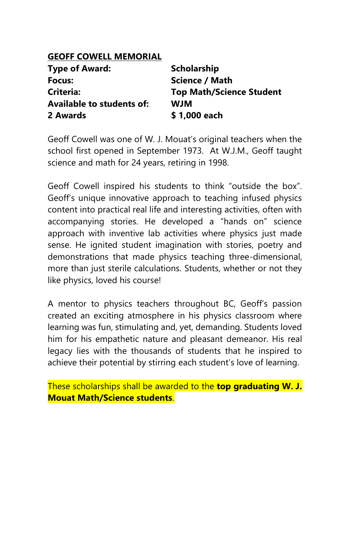# **GEOFF COWELL MEMORIAL**

| <b>Type of Award:</b>            | <b>Scholarship</b>              |
|----------------------------------|---------------------------------|
| Focus:                           | Science / Math                  |
| Criteria:                        | <b>Top Math/Science Student</b> |
| <b>Available to students of:</b> | <b>WJM</b>                      |
| 2 Awards                         | \$1,000 each                    |

Geoff Cowell was one of W. J. Mouat's original teachers when the school first opened in September 1973. At W.J.M., Geoff taught science and math for 24 years, retiring in 1998.

Geoff Cowell inspired his students to think "outside the box". Geoff's unique innovative approach to teaching infused physics content into practical real life and interesting activities, often with accompanying stories. He developed a "hands on" science approach with inventive lab activities where physics just made sense. He ignited student imagination with stories, poetry and demonstrations that made physics teaching three-dimensional, more than just sterile calculations. Students, whether or not they like physics, loved his course!

A mentor to physics teachers throughout BC, Geoff's passion created an exciting atmosphere in his physics classroom where learning was fun, stimulating and, yet, demanding. Students loved him for his empathetic nature and pleasant demeanor. His real legacy lies with the thousands of students that he inspired to achieve their potential by stirring each student's love of learning.

These scholarships shall be awarded to the **top graduating W. J. Mouat Math/Science students**.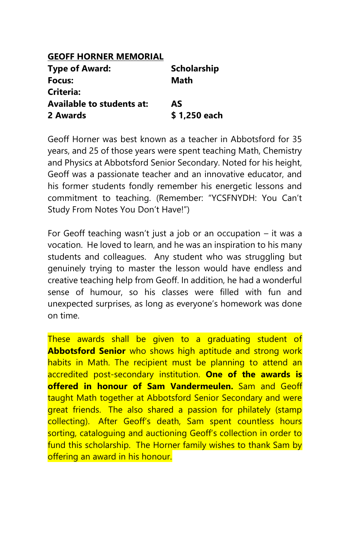# **GEOFF HORNER MEMORIAL Type of Award: Scholarship Focus: Math Criteria: Available to students at: AS 2 Awards \$ 1,250 each**

Geoff Horner was best known as a teacher in Abbotsford for 35 years, and 25 of those years were spent teaching Math, Chemistry and Physics at Abbotsford Senior Secondary. Noted for his height, Geoff was a passionate teacher and an innovative educator, and his former students fondly remember his energetic lessons and commitment to teaching. (Remember: "YCSFNYDH: You Can't Study From Notes You Don't Have!")

For Geoff teaching wasn't just a job or an occupation – it was a vocation. He loved to learn, and he was an inspiration to his many students and colleagues. Any student who was struggling but genuinely trying to master the lesson would have endless and creative teaching help from Geoff. In addition, he had a wonderful sense of humour, so his classes were filled with fun and unexpected surprises, as long as everyone's homework was done on time.

These awards shall be given to a graduating student of **Abbotsford Senior** who shows high aptitude and strong work habits in Math. The recipient must be planning to attend an accredited post-secondary institution. **One of the awards is offered in honour of Sam Vandermeulen.** Sam and Geoff taught Math together at Abbotsford Senior Secondary and were great friends. The also shared a passion for philately (stamp collecting). After Geoff's death, Sam spent countless hours sorting, cataloguing and auctioning Geoff's collection in order to fund this scholarship. The Horner family wishes to thank Sam by offering an award in his honour.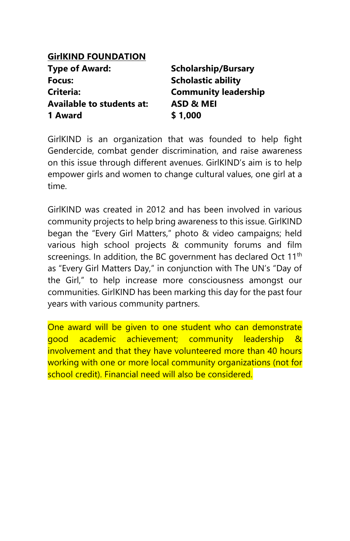# **GirlKIND FOUNDATION**

| <b>Type of Award:</b>            | <b>Scholarship/Bursary</b>  |
|----------------------------------|-----------------------------|
| Focus:                           | <b>Scholastic ability</b>   |
| <b>Criteria:</b>                 | <b>Community leadership</b> |
| <b>Available to students at:</b> | ASD & MEI                   |
| 1 Award                          | \$1,000                     |

GirlKIND is an organization that was founded to help fight Gendercide, combat gender discrimination, and raise awareness on this issue through different avenues. GirlKIND's aim is to help empower girls and women to change cultural values, one girl at a time.

GirlKIND was created in 2012 and has been involved in various community projects to help bring awareness to this issue. GirlKIND began the "Every Girl Matters," photo & video campaigns; held various high school projects & community forums and film screenings. In addition, the BC government has declared Oct 11<sup>th</sup> as "Every Girl Matters Day," in conjunction with The UN's "Day of the Girl," to help increase more consciousness amongst our communities. GirlKIND has been marking this day for the past four years with various community partners.

One award will be given to one student who can demonstrate good academic achievement; community leadership & involvement and that they have volunteered more than 40 hours working with one or more local community organizations (not for school credit). Financial need will also be considered.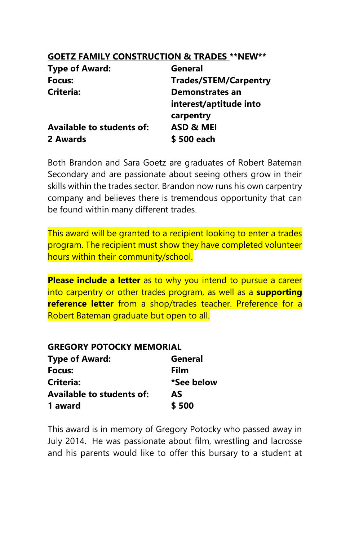### **GOETZ FAMILY CONSTRUCTION & TRADES \*\*NEW\*\***

| <b>Type of Award:</b>     | General                      |
|---------------------------|------------------------------|
| Focus:                    | <b>Trades/STEM/Carpentry</b> |
| Criteria:                 | Demonstrates an              |
|                           | interest/aptitude into       |
|                           | carpentry                    |
| Available to students of: | ASD & MEI                    |
| 2 Awards                  | \$500 each                   |

Both Brandon and Sara Goetz are graduates of Robert Bateman Secondary and are passionate about seeing others grow in their skills within the trades sector. Brandon now runs his own carpentry company and believes there is tremendous opportunity that can be found within many different trades.

This award will be granted to a recipient looking to enter a trades program. The recipient must show they have completed volunteer hours within their community/school.

**Please include a letter** as to why you intend to pursue a career into carpentry or other trades program, as well as a **supporting reference letter** from a shop/trades teacher. Preference for a Robert Bateman graduate but open to all.

#### **GREGORY POTOCKY MEMORIAL**

| <b>Type of Award:</b>            | General    |
|----------------------------------|------------|
| Focus:                           | Film       |
| Criteria:                        | *See below |
| <b>Available to students of:</b> | AS         |
| 1 award                          | \$500      |

This award is in memory of Gregory Potocky who passed away in July 2014. He was passionate about film, wrestling and lacrosse and his parents would like to offer this bursary to a student at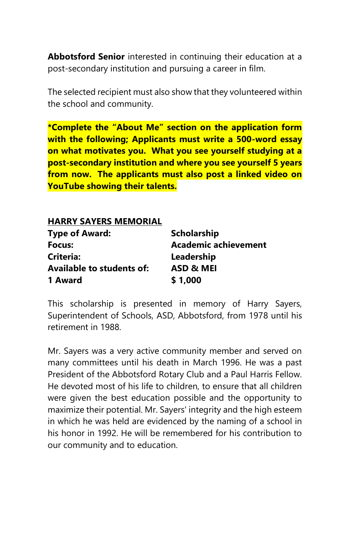**Abbotsford Senior** interested in continuing their education at a post-secondary institution and pursuing a career in film.

The selected recipient must also show that they volunteered within the school and community.

**\*Complete the "About Me" section on the application form with the following; Applicants must write a 500-word essay on what motivates you. What you see yourself studying at a post-secondary institution and where you see yourself 5 years from now. The applicants must also post a linked video on YouTube showing their talents.**

#### **HARRY SAYERS MEMORIAL Type of Award: Scholarship**

| Type of Award:                   | Scholarship          |
|----------------------------------|----------------------|
| Focus:                           | Academic achievement |
| Criteria:                        | Leadership           |
| <b>Available to students of:</b> | ASD & MEI            |
| 1 Award                          | \$1,000              |

This scholarship is presented in memory of Harry Sayers, Superintendent of Schools, ASD, Abbotsford, from 1978 until his retirement in 1988.

Mr. Sayers was a very active community member and served on many committees until his death in March 1996. He was a past President of the Abbotsford Rotary Club and a Paul Harris Fellow. He devoted most of his life to children, to ensure that all children were given the best education possible and the opportunity to maximize their potential. Mr. Sayers' integrity and the high esteem in which he was held are evidenced by the naming of a school in his honor in 1992. He will be remembered for his contribution to our community and to education.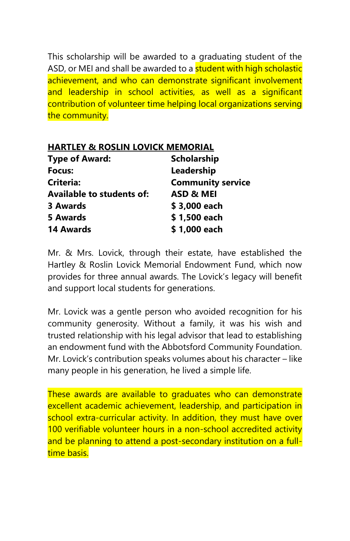This scholarship will be awarded to a graduating student of the ASD, or MEI and shall be awarded to a **student with high scholastic** achievement, and who can demonstrate significant involvement and leadership in school activities, as well as a significant contribution of volunteer time helping local organizations serving the community.

|  |  |  | <b>HARTLEY &amp; ROSLIN LOVICK MEMORIAL</b> |
|--|--|--|---------------------------------------------|
|--|--|--|---------------------------------------------|

| <b>Scholarship</b>       |
|--------------------------|
| Leadership               |
| <b>Community service</b> |
| <b>ASD &amp; MEI</b>     |
| \$3,000 each             |
| \$1,500 each             |
| \$1,000 each             |
|                          |

Mr. & Mrs. Lovick, through their estate, have established the Hartley & Roslin Lovick Memorial Endowment Fund, which now provides for three annual awards. The Lovick's legacy will benefit and support local students for generations.

Mr. Lovick was a gentle person who avoided recognition for his community generosity. Without a family, it was his wish and trusted relationship with his legal advisor that lead to establishing an endowment fund with the Abbotsford Community Foundation. Mr. Lovick's contribution speaks volumes about his character – like many people in his generation, he lived a simple life.

These awards are available to graduates who can demonstrate excellent academic achievement, leadership, and participation in school extra-curricular activity. In addition, they must have over 100 verifiable volunteer hours in a non-school accredited activity and be planning to attend a post-secondary institution on a fulltime basis.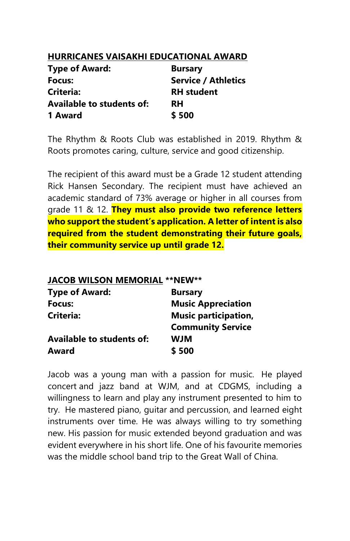### **HURRICANES VAISAKHI EDUCATIONAL AWARD**

| <b>Type of Award:</b>            | <b>Bursary</b>             |
|----------------------------------|----------------------------|
| Focus:                           | <b>Service / Athletics</b> |
| Criteria:                        | <b>RH</b> student          |
| <b>Available to students of:</b> | <b>RH</b>                  |
| 1 Award                          | \$500                      |

The Rhythm & Roots Club was established in 2019. Rhythm & Roots promotes caring, culture, service and good citizenship.

The recipient of this award must be a Grade 12 student attending Rick Hansen Secondary. The recipient must have achieved an academic standard of 73% average or higher in all courses from grade 11 & 12. **They must also provide two reference letters who support the student's application. A letter of intent is also required from the student demonstrating their future goals, their community service up until grade 12.**

| JACOB WILSON MEMORIAL ** NEW** |
|--------------------------------|
| <b>Bursary</b>                 |
| <b>Music Appreciation</b>      |
| <b>Music participation,</b>    |
| <b>Community Service</b>       |
| <b>WJM</b>                     |
| \$500                          |
|                                |

Jacob was a young man with a passion for music. He played concert and jazz band at WJM, and at CDGMS, including a willingness to learn and play any instrument presented to him to try. He mastered piano, guitar and percussion, and learned eight instruments over time. He was always willing to try something new. His passion for music extended beyond graduation and was evident everywhere in his short life. One of his favourite memories was the middle school band trip to the Great Wall of China.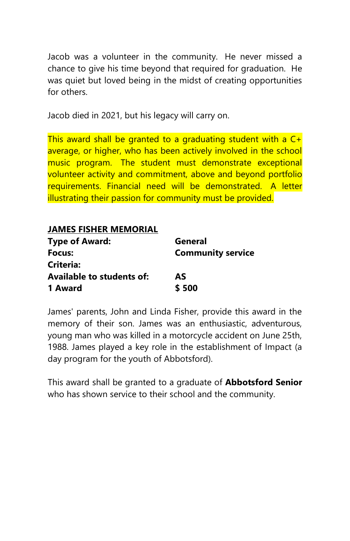Jacob was a volunteer in the community. He never missed a chance to give his time beyond that required for graduation. He was quiet but loved being in the midst of creating opportunities for others.

Jacob died in 2021, but his legacy will carry on.

This award shall be granted to a graduating student with a  $C_{\pm}$ average, or higher, who has been actively involved in the school music program. The student must demonstrate exceptional volunteer activity and commitment, above and beyond portfolio requirements. Financial need will be demonstrated. A letter illustrating their passion for community must be provided.

| <b>JAMES FISHER MEMORIAL</b>     |                          |
|----------------------------------|--------------------------|
| <b>Type of Award:</b>            | General                  |
| Focus:                           | <b>Community service</b> |
| Criteria:                        |                          |
| <b>Available to students of:</b> | AS                       |
| 1 Award                          | \$500                    |

James' parents, John and Linda Fisher, provide this award in the memory of their son. James was an enthusiastic, adventurous, young man who was killed in a motorcycle accident on June 25th, 1988. James played a key role in the establishment of Impact (a day program for the youth of Abbotsford).

This award shall be granted to a graduate of **Abbotsford Senior** who has shown service to their school and the community.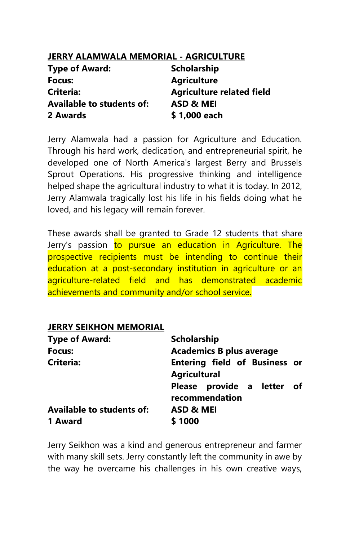# **JERRY ALAMWALA MEMORIAL - AGRICULTURE**

| <b>Type of Award:</b>            | <b>Scholarship</b>               |
|----------------------------------|----------------------------------|
| Focus:                           | <b>Agriculture</b>               |
| <b>Criteria:</b>                 | <b>Agriculture related field</b> |
| <b>Available to students of:</b> | ASD & MEI                        |
| 2 Awards                         | \$1,000 each                     |

Jerry Alamwala had a passion for Agriculture and Education. Through his hard work, dedication, and entrepreneurial spirit, he developed one of North America's largest Berry and Brussels Sprout Operations. His progressive thinking and intelligence helped shape the agricultural industry to what it is today. In 2012, Jerry Alamwala tragically lost his life in his fields doing what he loved, and his legacy will remain forever.

These awards shall be granted to Grade 12 students that share Jerry's passion to pursue an education in Agriculture. The prospective recipients must be intending to continue their education at a post-secondary institution in agriculture or an agriculture-related field and has demonstrated academic achievements and community and/or school service.

#### **JERRY SEIKHON MEMORIAL**

| <b>Type of Award:</b>            | <b>Scholarship</b>                                          |
|----------------------------------|-------------------------------------------------------------|
| Focus:                           | <b>Academics B plus average</b>                             |
| <b>Criteria:</b>                 | <b>Entering field of Business or</b><br><b>Agricultural</b> |
|                                  | Please provide a letter of<br>recommendation                |
| <b>Available to students of:</b> | ASD & MEI                                                   |
| 1 Award                          | \$1000                                                      |

Jerry Seikhon was a kind and generous entrepreneur and farmer with many skill sets. Jerry constantly left the community in awe by the way he overcame his challenges in his own creative ways,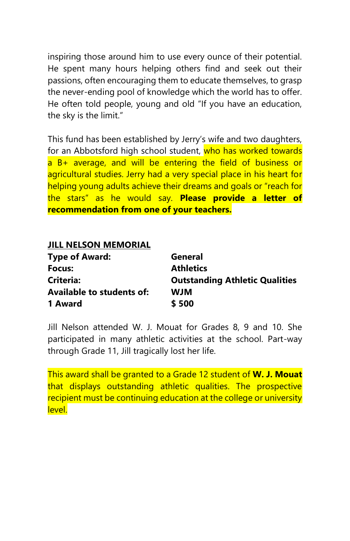inspiring those around him to use every ounce of their potential. He spent many hours helping others find and seek out their passions, often encouraging them to educate themselves, to grasp the never-ending pool of knowledge which the world has to offer. He often told people, young and old "If you have an education, the sky is the limit."

This fund has been established by Jerry's wife and two daughters, for an Abbotsford high school student, who has worked towards a B+ average, and will be entering the field of business or agricultural studies. Jerry had a very special place in his heart for helping young adults achieve their dreams and goals or "reach for the stars" as he would say. **Please provide a letter of recommendation from one of your teachers.**

### **JILL NELSON MEMORIAL**

| <b>Type of Award:</b>            | General                               |
|----------------------------------|---------------------------------------|
| Focus:                           | <b>Athletics</b>                      |
| Criteria:                        | <b>Outstanding Athletic Qualities</b> |
| <b>Available to students of:</b> | <b>WJM</b>                            |
| 1 Award                          | \$500                                 |

Jill Nelson attended W. J. Mouat for Grades 8, 9 and 10. She participated in many athletic activities at the school. Part-way through Grade 11, Jill tragically lost her life.

This award shall be granted to a Grade 12 student of **W. J. Mouat** that displays outstanding athletic qualities. The prospective recipient must be continuing education at the college or university level.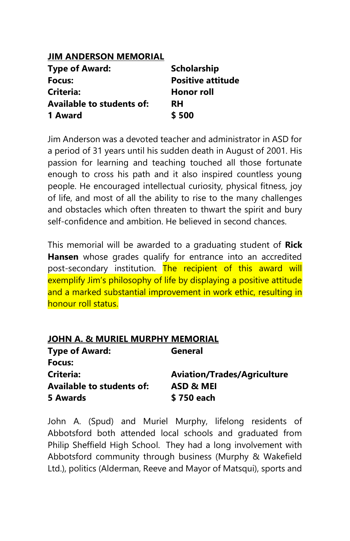### **JIM ANDERSON MEMORIAL**

| <b>Type of Award:</b>     | <b>Scholarship</b>       |
|---------------------------|--------------------------|
| Focus:                    | <b>Positive attitude</b> |
| Criteria:                 | <b>Honor roll</b>        |
| Available to students of: | <b>RH</b>                |
| 1 Award                   | \$500                    |

Jim Anderson was a devoted teacher and administrator in ASD for a period of 31 years until his sudden death in August of 2001. His passion for learning and teaching touched all those fortunate enough to cross his path and it also inspired countless young people. He encouraged intellectual curiosity, physical fitness, joy of life, and most of all the ability to rise to the many challenges and obstacles which often threaten to thwart the spirit and bury self-confidence and ambition. He believed in second chances.

This memorial will be awarded to a graduating student of **Rick Hansen** whose grades qualify for entrance into an accredited post-secondary institution. The recipient of this award will exemplify Jim's philosophy of life by displaying a positive attitude and a marked substantial improvement in work ethic, resulting in honour roll status.

| <b>JOHN A. &amp; MURIEL MURPHY MEMORIAL</b> |                                    |
|---------------------------------------------|------------------------------------|
| <b>Type of Award:</b>                       | General                            |
| Focus:                                      |                                    |
| Criteria:                                   | <b>Aviation/Trades/Agriculture</b> |
| <b>Available to students of:</b>            | ASD & MEI                          |
| 5 Awards                                    | \$750 each                         |

John A. (Spud) and Muriel Murphy, lifelong residents of Abbotsford both attended local schools and graduated from Philip Sheffield High School. They had a long involvement with Abbotsford community through business (Murphy & Wakefield Ltd.), politics (Alderman, Reeve and Mayor of Matsqui), sports and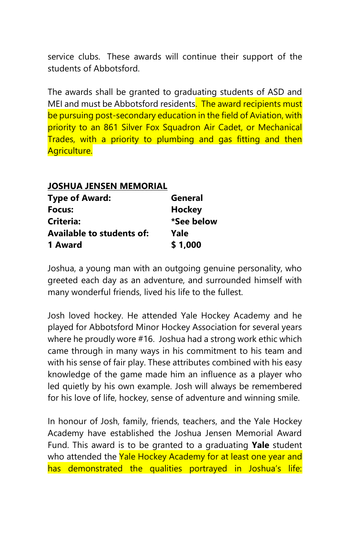service clubs. These awards will continue their support of the students of Abbotsford.

The awards shall be granted to graduating students of ASD and MEI and must be Abbotsford residents. The award recipients must be pursuing post-secondary education in the field of Aviation, with priority to an 861 Silver Fox Squadron Air Cadet, or Mechanical Trades, with a priority to plumbing and gas fitting and then Agriculture.

| JOSHUA JENSEN MEMORIAL |
|------------------------|
| General                |
| Hockey                 |
| *See below             |
| Yale                   |
| \$1,000                |
|                        |

Joshua, a young man with an outgoing genuine personality, who greeted each day as an adventure, and surrounded himself with many wonderful friends, lived his life to the fullest.

Josh loved hockey. He attended Yale Hockey Academy and he played for Abbotsford Minor Hockey Association for several years where he proudly wore #16. Joshua had a strong work ethic which came through in many ways in his commitment to his team and with his sense of fair play. These attributes combined with his easy knowledge of the game made him an influence as a player who led quietly by his own example. Josh will always be remembered for his love of life, hockey, sense of adventure and winning smile.

In honour of Josh, family, friends, teachers, and the Yale Hockey Academy have established the Joshua Jensen Memorial Award Fund. This award is to be granted to a graduating **Yale** student who attended the Yale Hockey Academy for at least one year and has demonstrated the qualities portrayed in Joshua's life: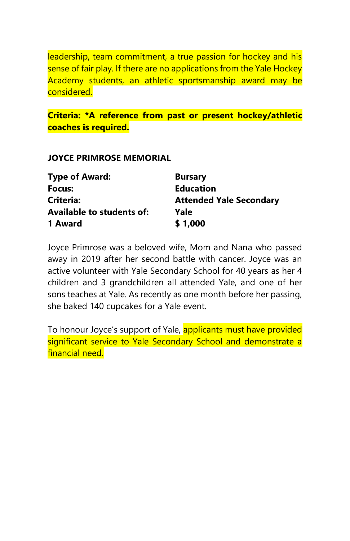leadership, team commitment, a true passion for hockey and his sense of fair play. If there are no applications from the Yale Hockey Academy students, an athletic sportsmanship award may be considered.

# **Criteria: \*A reference from past or present hockey/athletic coaches is required.**

#### **JOYCE PRIMROSE MEMORIAL**

| <b>Type of Award:</b>            | <b>Bursary</b>                 |
|----------------------------------|--------------------------------|
| Focus:                           | <b>Education</b>               |
| Criteria:                        | <b>Attended Yale Secondary</b> |
| <b>Available to students of:</b> | Yale                           |
| 1 Award                          | \$1,000                        |

Joyce Primrose was a beloved wife, Mom and Nana who passed away in 2019 after her second battle with cancer. Joyce was an active volunteer with Yale Secondary School for 40 years as her 4 children and 3 grandchildren all attended Yale, and one of her sons teaches at Yale. As recently as one month before her passing, she baked 140 cupcakes for a Yale event.

To honour Joyce's support of Yale, applicants must have provided significant service to Yale Secondary School and demonstrate a financial need.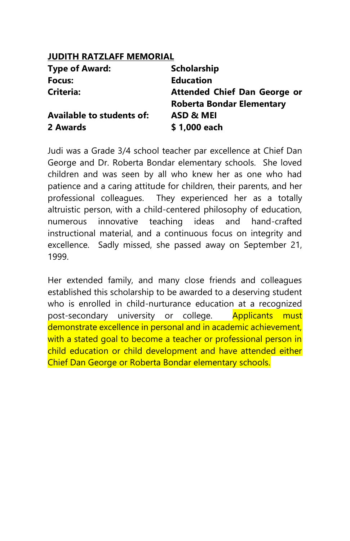# **JUDITH RATZLAFF MEMORIAL**

| <b>Type of Award:</b>            | <b>Scholarship</b>                  |
|----------------------------------|-------------------------------------|
| Focus:                           | <b>Education</b>                    |
| Criteria:                        | <b>Attended Chief Dan George or</b> |
|                                  | <b>Roberta Bondar Elementary</b>    |
| <b>Available to students of:</b> | ASD & MEI                           |
| 2 Awards                         | \$1,000 each                        |

Judi was a Grade 3/4 school teacher par excellence at Chief Dan George and Dr. Roberta Bondar elementary schools. She loved children and was seen by all who knew her as one who had patience and a caring attitude for children, their parents, and her professional colleagues. They experienced her as a totally altruistic person, with a child-centered philosophy of education, numerous innovative teaching ideas and hand-crafted instructional material, and a continuous focus on integrity and excellence. Sadly missed, she passed away on September 21, 1999.

Her extended family, and many close friends and colleagues established this scholarship to be awarded to a deserving student who is enrolled in child-nurturance education at a recognized post-secondary university or college. Applicants must demonstrate excellence in personal and in academic achievement, with a stated goal to become a teacher or professional person in child education or child development and have attended either Chief Dan George or Roberta Bondar elementary schools.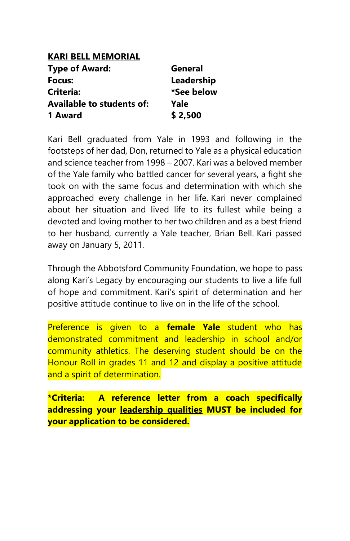| <b>KARI BELL MEMORIAL</b>        |            |
|----------------------------------|------------|
| <b>Type of Award:</b>            | General    |
| Focus:                           | Leadership |
| Criteria:                        | *See below |
| <b>Available to students of:</b> | Yale       |
| 1 Award                          | \$2,500    |

Kari Bell graduated from Yale in 1993 and following in the footsteps of her dad, Don, returned to Yale as a physical education and science teacher from 1998 – 2007. Kari was a beloved member of the Yale family who battled cancer for several years, a fight she took on with the same focus and determination with which she approached every challenge in her life. Kari never complained about her situation and lived life to its fullest while being a devoted and loving mother to her two children and as a best friend to her husband, currently a Yale teacher, Brian Bell. Kari passed away on January 5, 2011.

Through the Abbotsford Community Foundation, we hope to pass along Kari's Legacy by encouraging our students to live a life full of hope and commitment. Kari's spirit of determination and her positive attitude continue to live on in the life of the school.

Preference is given to a **female Yale** student who has demonstrated commitment and leadership in school and/or community athletics. The deserving student should be on the Honour Roll in grades 11 and 12 and display a positive attitude and a spirit of determination.

**\*Criteria: A reference letter from a coach specifically addressing your leadership qualities MUST be included for your application to be considered.**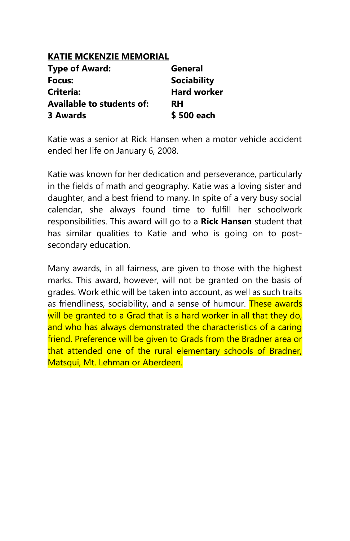### **KATIE MCKENZIE MEMORIAL**

| <b>Type of Award:</b>            | General            |
|----------------------------------|--------------------|
| Focus:                           | <b>Sociability</b> |
| Criteria:                        | <b>Hard worker</b> |
| <b>Available to students of:</b> | <b>RH</b>          |
| <b>3 Awards</b>                  | \$500 each         |

Katie was a senior at Rick Hansen when a motor vehicle accident ended her life on January 6, 2008.

Katie was known for her dedication and perseverance, particularly in the fields of math and geography. Katie was a loving sister and daughter, and a best friend to many. In spite of a very busy social calendar, she always found time to fulfill her schoolwork responsibilities. This award will go to a **Rick Hansen** student that has similar qualities to Katie and who is going on to postsecondary education.

Many awards, in all fairness, are given to those with the highest marks. This award, however, will not be granted on the basis of grades. Work ethic will be taken into account, as well as such traits as friendliness, sociability, and a sense of humour. These awards will be granted to a Grad that is a hard worker in all that they do, and who has always demonstrated the characteristics of a caring friend. Preference will be given to Grads from the Bradner area or that attended one of the rural elementary schools of Bradner, Matsqui, Mt. Lehman or Aberdeen.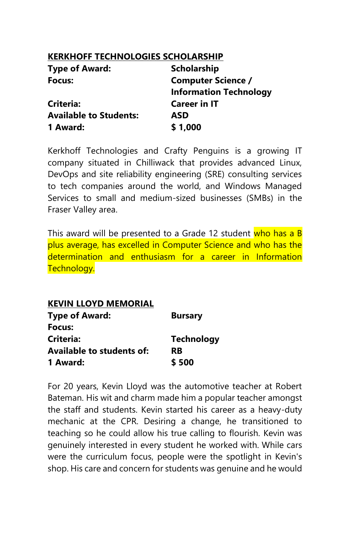### **KERKHOFF TECHNOLOGIES SCHOLARSHIP**

| <b>Type of Award:</b>         | <b>Scholarship</b>            |
|-------------------------------|-------------------------------|
| Focus:                        | <b>Computer Science /</b>     |
|                               | <b>Information Technology</b> |
| <b>Criteria:</b>              | <b>Career in IT</b>           |
| <b>Available to Students:</b> | ASD                           |
| 1 Award:                      | \$1,000                       |

Kerkhoff Technologies and Crafty Penguins is a growing IT company situated in Chilliwack that provides advanced Linux, DevOps and site reliability engineering (SRE) consulting services to tech companies around the world, and Windows Managed Services to small and medium-sized businesses (SMBs) in the Fraser Valley area.

This award will be presented to a Grade 12 student who has a B plus average, has excelled in Computer Science and who has the determination and enthusiasm for a career in Information Technology.

| <b>KEVIN LLOYD MEMORIAL</b> |                   |
|-----------------------------|-------------------|
| <b>Type of Award:</b>       | <b>Bursary</b>    |
| Focus:                      |                   |
| Criteria:                   | <b>Technology</b> |
| Available to students of:   | <b>RB</b>         |
| 1 Award:                    | \$500             |

For 20 years, Kevin Lloyd was the automotive teacher at Robert Bateman. His wit and charm made him a popular teacher amongst the staff and students. Kevin started his career as a heavy-duty mechanic at the CPR. Desiring a change, he transitioned to teaching so he could allow his true calling to flourish. Kevin was genuinely interested in every student he worked with. While cars were the curriculum focus, people were the spotlight in Kevin's shop. His care and concern for students was genuine and he would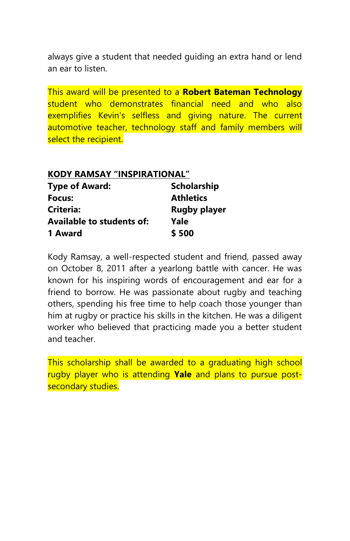always give a student that needed guiding an extra hand or lend an ear to listen.

This award will be presented to a **Robert Bateman Technology** student who demonstrates financial need and who also exemplifies Kevin's selfless and giving nature. The current automotive teacher, technology staff and family members will select the recipient.

| <b>KODY RAMSAY "INSPIRATIONAL"</b> |                     |
|------------------------------------|---------------------|
| <b>Type of Award:</b>              | Scholarship         |
| Focus:                             | <b>Athletics</b>    |
| Criteria:                          | <b>Rugby player</b> |
| <b>Available to students of:</b>   | Yale                |
| 1 Award                            | \$500               |

Kody Ramsay, a well-respected student and friend, passed away on October 8, 2011 after a yearlong battle with cancer. He was known for his inspiring words of encouragement and ear for a friend to borrow. He was passionate about rugby and teaching others, spending his free time to help coach those younger than him at rugby or practice his skills in the kitchen. He was a diligent worker who believed that practicing made you a better student and teacher.

This scholarship shall be awarded to a graduating high school rugby player who is attending **Yale** and plans to pursue postsecondary studies.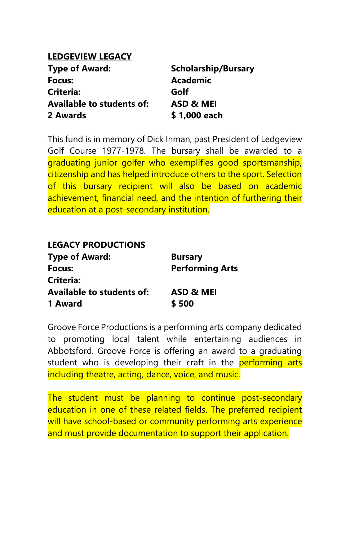### **LEDGEVIEW LEGACY**

| <b>Type of Award:</b>            | <b>Scholarship/Bursary</b> |
|----------------------------------|----------------------------|
| Focus:                           | <b>Academic</b>            |
| Criteria:                        | Golf                       |
| <b>Available to students of:</b> | ASD & MEI                  |
| 2 Awards                         | \$1,000 each               |

This fund is in memory of Dick Inman, past President of Ledgeview Golf Course 1977-1978. The bursary shall be awarded to a graduating junior golfer who exemplifies good sportsmanship, citizenship and has helped introduce others to the sport. Selection of this bursary recipient will also be based on academic achievement, financial need, and the intention of furthering their education at a post-secondary institution.

| <b>LEGACY PRODUCTIONS</b> |                        |
|---------------------------|------------------------|
| <b>Type of Award:</b>     | <b>Bursary</b>         |
| Focus:                    | <b>Performing Arts</b> |
| Criteria:                 |                        |
| Available to students of: | ASD & MEI              |
| 1 Award                   | \$500                  |

Groove Force Productions is a performing arts company dedicated to promoting local talent while entertaining audiences in Abbotsford. Groove Force is offering an award to a graduating student who is developing their craft in the **performing arts** including theatre, acting, dance, voice, and music.

The student must be planning to continue post-secondary education in one of these related fields. The preferred recipient will have school-based or community performing arts experience and must provide documentation to support their application.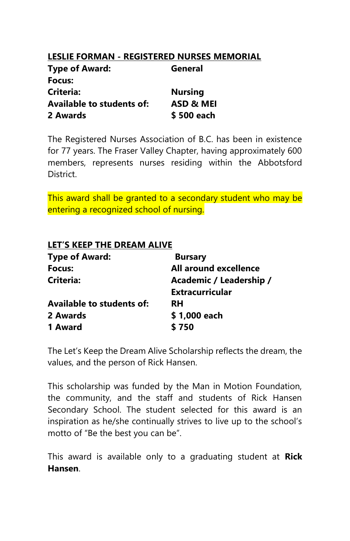# **LESLIE FORMAN - REGISTERED NURSES MEMORIAL**

| <b>Type of Award:</b>            | General        |
|----------------------------------|----------------|
| Focus:                           |                |
| <b>Criteria:</b>                 | <b>Nursing</b> |
| <b>Available to students of:</b> | ASD & MEI      |
| 2 Awards                         | \$500 each     |

The Registered Nurses Association of B.C. has been in existence for 77 years. The Fraser Valley Chapter, having approximately 600 members, represents nurses residing within the Abbotsford District.

This award shall be granted to a secondary student who may be entering a recognized school of nursing.

# **LET'S KEEP THE DREAM ALIVE**

| <b>Bursary</b>          |
|-------------------------|
| All around excellence   |
| Academic / Leadership / |
| <b>Extracurricular</b>  |
| <b>RH</b>               |
| \$1,000 each            |
| \$750                   |
|                         |

The Let's Keep the Dream Alive Scholarship reflects the dream, the values, and the person of Rick Hansen.

This scholarship was funded by the Man in Motion Foundation, the community, and the staff and students of Rick Hansen Secondary School. The student selected for this award is an inspiration as he/she continually strives to live up to the school's motto of "Be the best you can be".

This award is available only to a graduating student at **Rick Hansen**.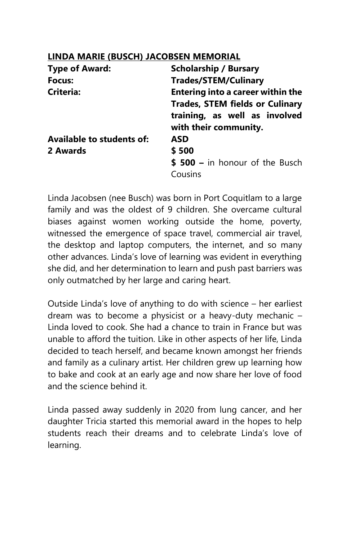# **LINDA MARIE (BUSCH) JACOBSEN MEMORIAL**

| <b>Type of Award:</b>     | <b>Scholarship / Bursary</b>             |
|---------------------------|------------------------------------------|
| Focus:                    | <b>Trades/STEM/Culinary</b>              |
| Criteria:                 | <b>Entering into a career within the</b> |
|                           | <b>Trades, STEM fields or Culinary</b>   |
|                           | training, as well as involved            |
|                           | with their community.                    |
| Available to students of: | ASD                                      |
| 2 Awards                  | \$500                                    |
|                           | $$500 - in honour of the Busch$          |
|                           | Cousins                                  |

Linda Jacobsen (nee Busch) was born in Port Coquitlam to a large family and was the oldest of 9 children. She overcame cultural biases against women working outside the home, poverty, witnessed the emergence of space travel, commercial air travel, the desktop and laptop computers, the internet, and so many other advances. Linda's love of learning was evident in everything she did, and her determination to learn and push past barriers was only outmatched by her large and caring heart.

Outside Linda's love of anything to do with science – her earliest dream was to become a physicist or a heavy-duty mechanic – Linda loved to cook. She had a chance to train in France but was unable to afford the tuition. Like in other aspects of her life, Linda decided to teach herself, and became known amongst her friends and family as a culinary artist. Her children grew up learning how to bake and cook at an early age and now share her love of food and the science behind it.

Linda passed away suddenly in 2020 from lung cancer, and her daughter Tricia started this memorial award in the hopes to help students reach their dreams and to celebrate Linda's love of learning.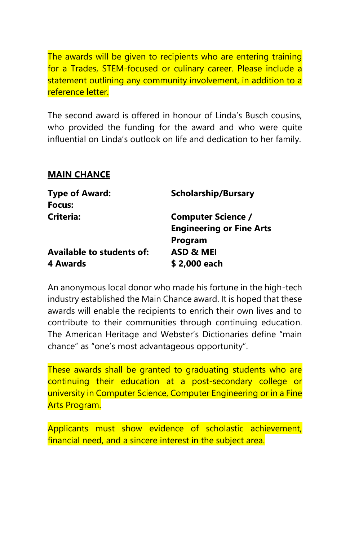The awards will be given to recipients who are entering training for a Trades, STEM-focused or culinary career. Please include a statement outlining any community involvement, in addition to a reference letter.

The second award is offered in honour of Linda's Busch cousins, who provided the funding for the award and who were quite influential on Linda's outlook on life and dedication to her family.

#### **MAIN CHANCE**

| <b>Type of Award:</b>     | <b>Scholarship/Bursary</b>      |
|---------------------------|---------------------------------|
| Focus:                    |                                 |
| Criteria:                 | <b>Computer Science /</b>       |
|                           | <b>Engineering or Fine Arts</b> |
|                           | Program                         |
| Available to students of: | <b>ASD &amp; MEI</b>            |
| 4 Awards                  | \$2,000 each                    |

An anonymous local donor who made his fortune in the high-tech industry established the Main Chance award. It is hoped that these awards will enable the recipients to enrich their own lives and to contribute to their communities through continuing education. The American Heritage and Webster's Dictionaries define "main chance" as "one's most advantageous opportunity".

These awards shall be granted to graduating students who are continuing their education at a post-secondary college or university in Computer Science, Computer Engineering or in a Fine Arts Program.

Applicants must show evidence of scholastic achievement, financial need, and a sincere interest in the subject area.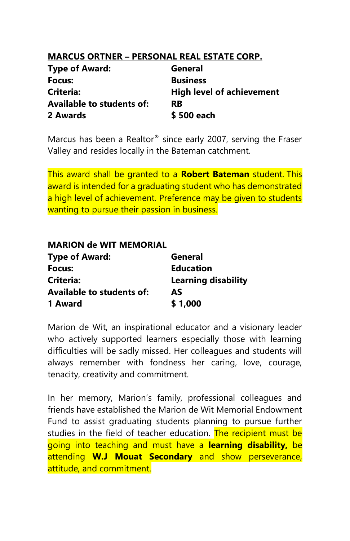## **MARCUS ORTNER – PERSONAL REAL ESTATE CORP.**

| <b>Type of Award:</b>            | General                          |
|----------------------------------|----------------------------------|
| Focus:                           | <b>Business</b>                  |
| Criteria:                        | <b>High level of achievement</b> |
| <b>Available to students of:</b> | <b>RB</b>                        |
| 2 Awards                         | \$500 each                       |

Marcus has been a Realtor® since early 2007, serving the Fraser Valley and resides locally in the Bateman catchment.

This award shall be granted to a **Robert Bateman** student. This award is intended for a graduating student who has demonstrated a high level of achievement. Preference may be given to students wanting to pursue their passion in business.

## **MARION de WIT MEMORIAL**

| <b>Type of Award:</b>            | General                    |
|----------------------------------|----------------------------|
| Focus:                           | <b>Education</b>           |
| Criteria:                        | <b>Learning disability</b> |
| <b>Available to students of:</b> | AS                         |
| 1 Award                          | \$1,000                    |

Marion de Wit, an inspirational educator and a visionary leader who actively supported learners especially those with learning difficulties will be sadly missed. Her colleagues and students will always remember with fondness her caring, love, courage, tenacity, creativity and commitment.

In her memory, Marion's family, professional colleagues and friends have established the Marion de Wit Memorial Endowment Fund to assist graduating students planning to pursue further studies in the field of teacher education. The recipient must be going into teaching and must have a **learning disability,** be attending **W.J Mouat Secondary** and show perseverance, attitude, and commitment.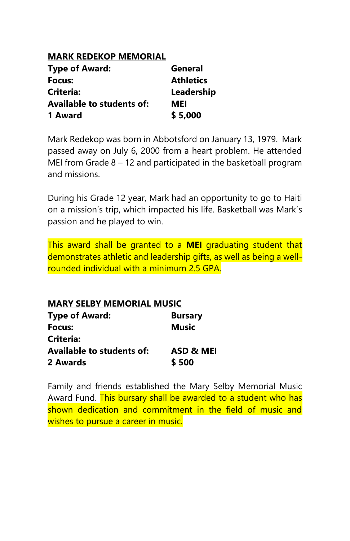## **MARK REDEKOP MEMORIAL**

| <b>Type of Award:</b>            | General          |
|----------------------------------|------------------|
| Focus:                           | <b>Athletics</b> |
| Criteria:                        | Leadership       |
| <b>Available to students of:</b> | MEI              |
| 1 Award                          | \$5,000          |

Mark Redekop was born in Abbotsford on January 13, 1979. Mark passed away on July 6, 2000 from a heart problem. He attended MEI from Grade 8 – 12 and participated in the basketball program and missions.

During his Grade 12 year, Mark had an opportunity to go to Haiti on a mission's trip, which impacted his life. Basketball was Mark's passion and he played to win.

This award shall be granted to a **MEI** graduating student that demonstrates athletic and leadership gifts, as well as being a wellrounded individual with a minimum 2.5 GPA.

**MARY SELBY MEMORIAL MUSIC Type of Award: Bursary Focus: Music Criteria: Available to students of: ASD & MEI 2 Awards \$ 500**

Family and friends established the Mary Selby Memorial Music Award Fund. This bursary shall be awarded to a student who has shown dedication and commitment in the field of music and wishes to pursue a career in music.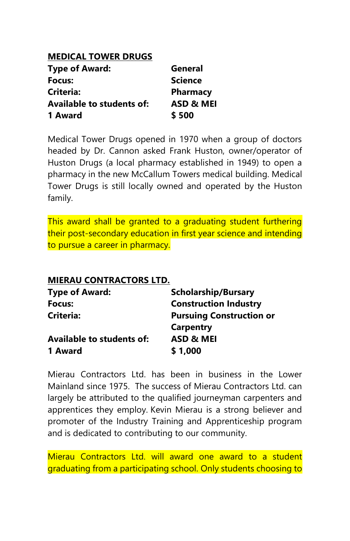## **MEDICAL TOWER DRUGS**

| <b>Type of Award:</b>            | General              |
|----------------------------------|----------------------|
| Focus:                           | <b>Science</b>       |
| Criteria:                        | Pharmacy             |
| <b>Available to students of:</b> | <b>ASD &amp; MEI</b> |
| 1 Award                          | \$500                |

Medical Tower Drugs opened in 1970 when a group of doctors headed by Dr. Cannon asked Frank Huston, owner/operator of Huston Drugs (a local pharmacy established in 1949) to open a pharmacy in the new McCallum Towers medical building. Medical Tower Drugs is still locally owned and operated by the Huston family.

This award shall be granted to a graduating student furthering their post-secondary education in first year science and intending to pursue a career in pharmacy.

## **MIERAU CONTRACTORS LTD.**

| <b>Scholarship/Bursary</b>      |
|---------------------------------|
| <b>Construction Industry</b>    |
| <b>Pursuing Construction or</b> |
| <b>Carpentry</b>                |
| ASD & MEI                       |
| \$1,000                         |
|                                 |

Mierau Contractors Ltd. has been in business in the Lower Mainland since 1975. The success of Mierau Contractors Ltd. can largely be attributed to the qualified journeyman carpenters and apprentices they employ. Kevin Mierau is a strong believer and promoter of the Industry Training and Apprenticeship program and is dedicated to contributing to our community.

Mierau Contractors Ltd. will award one award to a student graduating from a participating school. Only students choosing to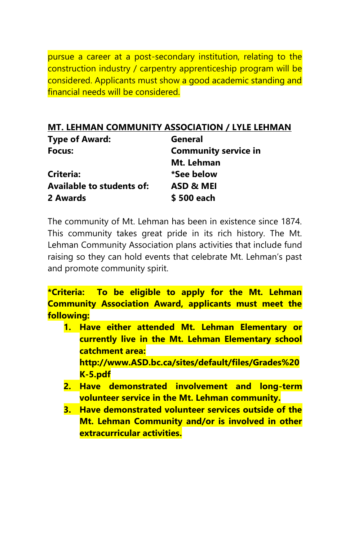pursue a career at a post-secondary institution, relating to the construction industry / carpentry apprenticeship program will be considered. Applicants must show a good academic standing and financial needs will be considered.

## **MT. LEHMAN COMMUNITY ASSOCIATION / LYLE LEHMAN**

| <b>Type of Award:</b>            | General                     |
|----------------------------------|-----------------------------|
| Focus:                           | <b>Community service in</b> |
|                                  | Mt. Lehman                  |
| Criteria:                        | *See below                  |
| <b>Available to students of:</b> | ASD & MEI                   |
| 2 Awards                         | \$500 each                  |

The community of Mt. Lehman has been in existence since 1874. This community takes great pride in its rich history. The Mt. Lehman Community Association plans activities that include fund raising so they can hold events that celebrate Mt. Lehman's past and promote community spirit.

**\*Criteria: To be eligible to apply for the Mt. Lehman Community Association Award, applicants must meet the following:**

- **1. Have either attended Mt. Lehman Elementary or currently live in the Mt. Lehman Elementary school catchment area: http://www.ASD.bc.ca/sites/default/files/Grades%20 K-5.pdf**
- **2. Have demonstrated involvement and long-term volunteer service in the Mt. Lehman community.**
- **3. Have demonstrated volunteer services outside of the Mt. Lehman Community and/or is involved in other extracurricular activities.**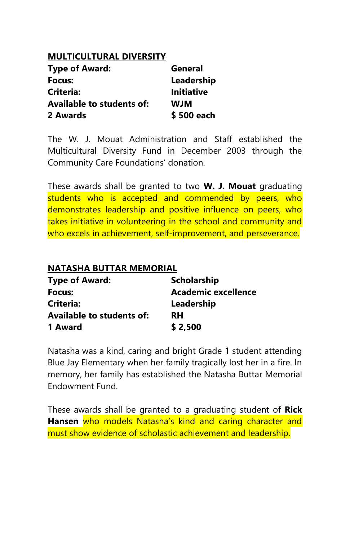## **MULTICULTURAL DIVERSITY**

| <b>Type of Award:</b>            | General           |
|----------------------------------|-------------------|
| Focus:                           | Leadership        |
| Criteria:                        | <b>Initiative</b> |
| <b>Available to students of:</b> | <b>WIW</b>        |
| 2 Awards                         | \$500 each        |

The W. J. Mouat Administration and Staff established the Multicultural Diversity Fund in December 2003 through the Community Care Foundations' donation.

These awards shall be granted to two **W. J. Mouat** graduating students who is accepted and commended by peers, who demonstrates leadership and positive influence on peers, who takes initiative in volunteering in the school and community and who excels in achievement, self-improvement, and perseverance.

#### **NATASHA BUTTAR MEMORIAL**

| <b>Type of Award:</b>            | <b>Scholarship</b>  |
|----------------------------------|---------------------|
| Focus:                           | Academic excellence |
| Criteria:                        | Leadership          |
| <b>Available to students of:</b> | RH                  |
| 1 Award                          | \$2,500             |

Natasha was a kind, caring and bright Grade 1 student attending Blue Jay Elementary when her family tragically lost her in a fire. In memory, her family has established the Natasha Buttar Memorial Endowment Fund.

These awards shall be granted to a graduating student of **Rick Hansen** who models Natasha's kind and caring character and must show evidence of scholastic achievement and leadership.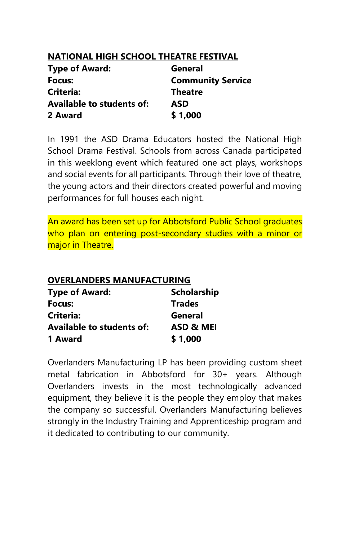## **NATIONAL HIGH SCHOOL THEATRE FESTIVAL**

| <b>Type of Award:</b>     | General                  |
|---------------------------|--------------------------|
| Focus:                    | <b>Community Service</b> |
| <b>Criteria:</b>          | <b>Theatre</b>           |
| Available to students of: | ASD                      |
| 2 Award                   | \$1,000                  |

In 1991 the ASD Drama Educators hosted the National High School Drama Festival. Schools from across Canada participated in this weeklong event which featured one act plays, workshops and social events for all participants. Through their love of theatre, the young actors and their directors created powerful and moving performances for full houses each night.

An award has been set up for Abbotsford Public School graduates who plan on entering post-secondary studies with a minor or major in Theatre.

### **OVERLANDERS MANUFACTURING**

| <b>Type of Award:</b>            | <b>Scholarship</b> |
|----------------------------------|--------------------|
| Focus:                           | <b>Trades</b>      |
| Criteria:                        | General            |
| <b>Available to students of:</b> | ASD & MEI          |
| 1 Award                          | \$1,000            |

Overlanders Manufacturing LP has been providing custom sheet metal fabrication in Abbotsford for 30+ years. Although Overlanders invests in the most technologically advanced equipment, they believe it is the people they employ that makes the company so successful. Overlanders Manufacturing believes strongly in the Industry Training and Apprenticeship program and it dedicated to contributing to our community.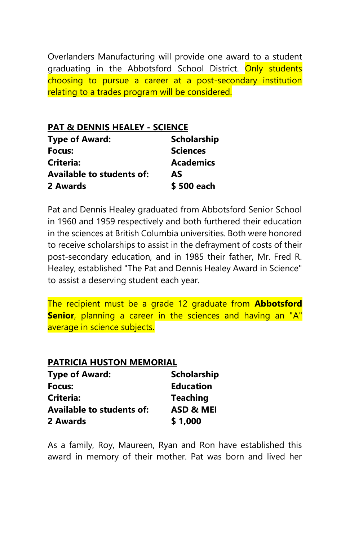Overlanders Manufacturing will provide one award to a student graduating in the Abbotsford School District. Only students choosing to pursue a career at a post-secondary institution relating to a trades program will be considered.

**PAT & DENNIS HEALEY - SCIENCE Type of Award: Scholarship Focus: Sciences Criteria: Academics Available to students of: AS 2 Awards \$ 500 each**

Pat and Dennis Healey graduated from Abbotsford Senior School in 1960 and 1959 respectively and both furthered their education in the sciences at British Columbia universities. Both were honored to receive scholarships to assist in the defrayment of costs of their post-secondary education, and in 1985 their father, Mr. Fred R. Healey, established "The Pat and Dennis Healey Award in Science" to assist a deserving student each year.

The recipient must be a grade 12 graduate from **Abbotsford Senior**, planning a career in the sciences and having an "A" average in science subjects.

| PATRICIA HUSTON MEMORIAL         |                    |
|----------------------------------|--------------------|
| <b>Type of Award:</b>            | <b>Scholarship</b> |
| Focus:                           | <b>Education</b>   |
| <b>Criteria:</b>                 | <b>Teaching</b>    |
| <b>Available to students of:</b> | ASD & MEI          |
| 2 Awards                         | \$1,000            |

As a family, Roy, Maureen, Ryan and Ron have established this award in memory of their mother. Pat was born and lived her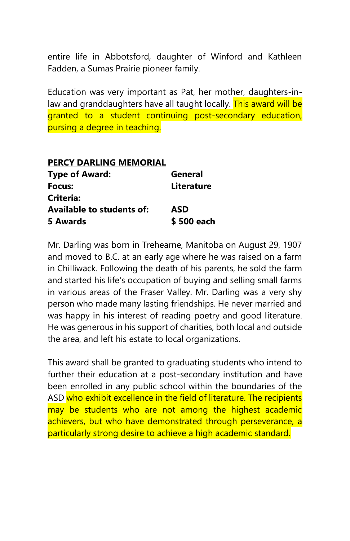entire life in Abbotsford, daughter of Winford and Kathleen Fadden, a Sumas Prairie pioneer family.

Education was very important as Pat, her mother, daughters-inlaw and granddaughters have all taught locally. This award will be granted to a student continuing post-secondary education, pursing a degree in teaching.

| PERCY DARLING MEMORIAL           |            |
|----------------------------------|------------|
| <b>Type of Award:</b>            | General    |
| Focus:                           | Literature |
| Criteria:                        |            |
| <b>Available to students of:</b> | ASD        |
| 5 Awards                         | \$500 each |

Mr. Darling was born in Trehearne, Manitoba on August 29, 1907 and moved to B.C. at an early age where he was raised on a farm in Chilliwack. Following the death of his parents, he sold the farm and started his life's occupation of buying and selling small farms in various areas of the Fraser Valley. Mr. Darling was a very shy person who made many lasting friendships. He never married and was happy in his interest of reading poetry and good literature. He was generous in his support of charities, both local and outside the area, and left his estate to local organizations.

This award shall be granted to graduating students who intend to further their education at a post-secondary institution and have been enrolled in any public school within the boundaries of the ASD who exhibit excellence in the field of literature. The recipients may be students who are not among the highest academic achievers, but who have demonstrated through perseverance, a particularly strong desire to achieve a high academic standard.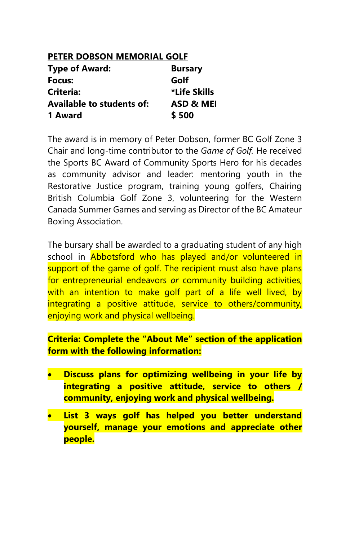## **PETER DOBSON MEMORIAL GOLF**

| <b>Type of Award:</b>            | <b>Bursary</b> |
|----------------------------------|----------------|
| Focus:                           | Golf           |
| Criteria:                        | *Life Skills   |
| <b>Available to students of:</b> | ASD & MEI      |
| 1 Award                          | \$500          |

The award is in memory of Peter Dobson, former BC Golf Zone 3 Chair and long-time contributor to the *Game of Golf.* He received the Sports BC Award of Community Sports Hero for his decades as community advisor and leader: mentoring youth in the Restorative Justice program, training young golfers, Chairing British Columbia Golf Zone 3, volunteering for the Western Canada Summer Games and serving as Director of the BC Amateur Boxing Association.

The bursary shall be awarded to a graduating student of any high school in **Abbotsford who has played and/or volunteered in** support of the game of golf. The recipient must also have plans for entrepreneurial endeavors *or* community building activities, with an intention to make golf part of a life well lived, by integrating a positive attitude, service to others/community, enjoying work and physical wellbeing.

**Criteria: Complete the "About Me" section of the application form with the following information:**

- **Discuss plans for optimizing wellbeing in your life by integrating a positive attitude, service to others / community, enjoying work and physical wellbeing.**
- **List 3 ways golf has helped you better understand yourself, manage your emotions and appreciate other people.**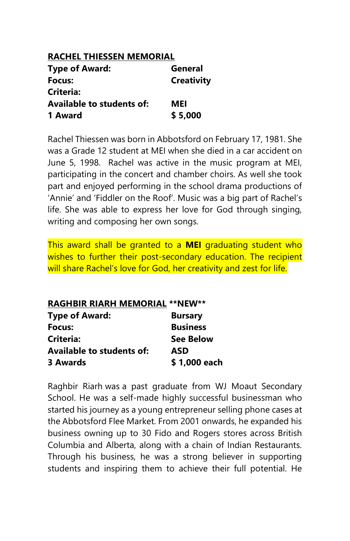## **RACHEL THIESSEN MEMORIAL**

| <b>Type of Award:</b>            | General           |
|----------------------------------|-------------------|
| Focus:                           | <b>Creativity</b> |
| Criteria:                        |                   |
| <b>Available to students of:</b> | MEI               |
| 1 Award                          | \$5,000           |

Rachel Thiessen was born in Abbotsford on February 17, 1981. She was a Grade 12 student at MEI when she died in a car accident on June 5, 1998. Rachel was active in the music program at MEI, participating in the concert and chamber choirs. As well she took part and enjoyed performing in the school drama productions of 'Annie' and 'Fiddler on the Roof'. Music was a big part of Rachel's life. She was able to express her love for God through singing, writing and composing her own songs.

This award shall be granted to a **MEI** graduating student who wishes to further their post-secondary education. The recipient will share Rachel's love for God, her creativity and zest for life.

| <b>RAGHBIR RIARH MEMORIAL ** NEW**</b> |                  |
|----------------------------------------|------------------|
| <b>Type of Award:</b>                  | <b>Bursary</b>   |
| Focus:                                 | <b>Business</b>  |
| Criteria:                              | <b>See Below</b> |
| <b>Available to students of:</b>       | ASD              |
| 3 Awards                               | \$1,000 each     |

Raghbir Riarh was a past graduate from WJ Moaut Secondary School. He was a self-made highly successful businessman who started his journey as a young entrepreneur selling phone cases at the Abbotsford Flee Market. From 2001 onwards, he expanded his business owning up to 30 Fido and Rogers stores across British Columbia and Alberta, along with a chain of Indian Restaurants. Through his business, he was a strong believer in supporting students and inspiring them to achieve their full potential. He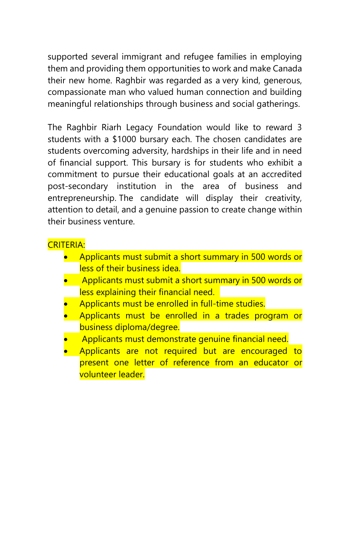supported several immigrant and refugee families in employing them and providing them opportunities to work and make Canada their new home. Raghbir was regarded as a very kind, generous, compassionate man who valued human connection and building meaningful relationships through business and social gatherings.

The Raghbir Riarh Legacy Foundation would like to reward 3 students with a \$1000 bursary each. The chosen candidates are students overcoming adversity, hardships in their life and in need of financial support. This bursary is for students who exhibit a commitment to pursue their educational goals at an accredited post-secondary institution in the area of business and entrepreneurship. The candidate will display their creativity, attention to detail, and a genuine passion to create change within their business venture.

## CRITERIA:

- Applicants must submit a short summary in 500 words or less of their business idea.
- Applicants must submit a short summary in 500 words or less explaining their financial need.
- Applicants must be enrolled in full-time studies.
- Applicants must be enrolled in a trades program or business diploma/degree.
- Applicants must demonstrate genuine financial need.
- Applicants are not required but are encouraged to present one letter of reference from an educator or volunteer leader.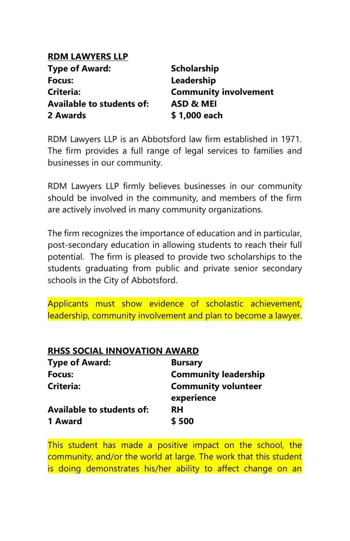## **RDM LAWYERS LLP**

| Type of Award:            | <b>Scholarship</b>           |
|---------------------------|------------------------------|
| Focus:                    | Leadership                   |
| Criteria:                 | <b>Community involvement</b> |
| Available to students of: | ASD & MEI                    |
| 2 Awards                  | \$1,000 each                 |

RDM Lawyers LLP is an Abbotsford law firm established in 1971. The firm provides a full range of legal services to families and businesses in our community.

RDM Lawyers LLP firmly believes businesses in our community should be involved in the community, and members of the firm are actively involved in many community organizations.

The firm recognizes the importance of education and in particular, post-secondary education in allowing students to reach their full potential. The firm is pleased to provide two scholarships to the students graduating from public and private senior secondary schools in the City of Abbotsford.

Applicants must show evidence of scholastic achievement, leadership, community involvement and plan to become a lawyer.

| <b>RHSS SOCIAL INNOVATION AWARD</b> |                             |
|-------------------------------------|-----------------------------|
| <b>Type of Award:</b>               | <b>Bursary</b>              |
| Focus:                              | <b>Community leadership</b> |
| Criteria:                           | <b>Community volunteer</b>  |
|                                     | experience                  |
| <b>Available to students of:</b>    | <b>RH</b>                   |
| 1 Award                             | \$500                       |

This student has made a positive impact on the school, the community, and/or the world at large. The work that this student is doing demonstrates his/her ability to affect change on an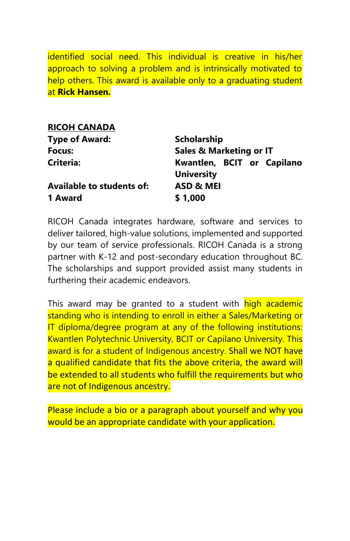identified social need. This individual is creative in his/her approach to solving a problem and is intrinsically motivated to help others. This award is available only to a graduating student at **Rick Hansen.**

| <b>RICOH CANADA</b>              |                                                 |
|----------------------------------|-------------------------------------------------|
| <b>Type of Award:</b>            | <b>Scholarship</b>                              |
| Focus:                           | <b>Sales &amp; Marketing or IT</b>              |
| <b>Criteria:</b>                 | Kwantlen, BCIT or Capilano<br><b>University</b> |
| <b>Available to students of:</b> | <b>ASD &amp; MEI</b>                            |
| 1 Award                          | \$1,000                                         |

RICOH Canada integrates hardware, software and services to deliver tailored, high-value solutions, implemented and supported by our team of service professionals. RICOH Canada is a strong partner with K-12 and post-secondary education throughout BC. The scholarships and support provided assist many students in furthering their academic endeavors.

This award may be granted to a student with high academic standing who is intending to enroll in either a Sales/Marketing or IT diploma/degree program at any of the following institutions: Kwantlen Polytechnic University, BCIT or Capilano University. This award is for a student of Indigenous ancestry. Shall we NOT have a qualified candidate that fits the above criteria, the award will be extended to all students who fulfill the requirements but who are not of Indigenous ancestry.

Please include a bio or a paragraph about yourself and why you would be an appropriate candidate with your application.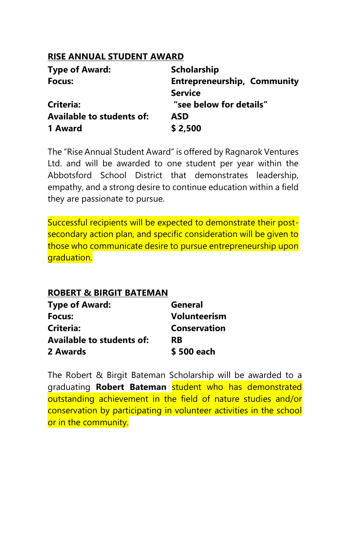## **RISE ANNUAL STUDENT AWARD**

| <b>Type of Award:</b>            | <b>Scholarship</b>                 |
|----------------------------------|------------------------------------|
| Focus:                           | <b>Entrepreneurship, Community</b> |
|                                  | <b>Service</b>                     |
| Criteria:                        | "see below for details"            |
| <b>Available to students of:</b> | ASD                                |
| 1 Award                          | \$2,500                            |

The "Rise Annual Student Award" is offered by Ragnarok Ventures Ltd. and will be awarded to one student per year within the Abbotsford School District that demonstrates leadership, empathy, and a strong desire to continue education within a field they are passionate to pursue.

Successful recipients will be expected to demonstrate their postsecondary action plan, and specific consideration will be given to those who communicate desire to pursue entrepreneurship upon graduation.

## **ROBERT & BIRGIT BATEMAN**

| <b>Type of Award:</b>     | General             |
|---------------------------|---------------------|
| Focus:                    | <b>Volunteerism</b> |
| Criteria:                 | <b>Conservation</b> |
| Available to students of: | <b>RB</b>           |
| 2 Awards                  | \$500 each          |

The Robert & Birgit Bateman Scholarship will be awarded to a graduating **Robert Bateman** student who has demonstrated outstanding achievement in the field of nature studies and/or conservation by participating in volunteer activities in the school or in the community.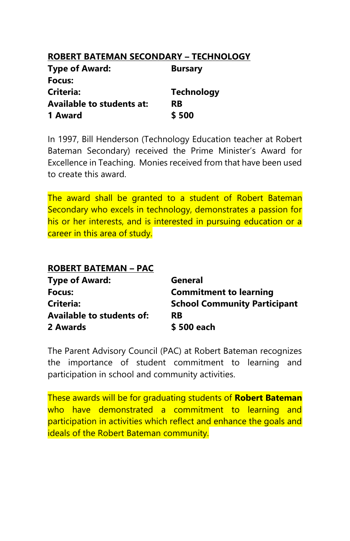## **ROBERT BATEMAN SECONDARY – TECHNOLOGY**

| <b>Type of Award:</b>            | <b>Bursary</b>    |
|----------------------------------|-------------------|
| Focus:                           |                   |
| Criteria:                        | <b>Technology</b> |
| <b>Available to students at:</b> | <b>RB</b>         |
| 1 Award                          | \$500             |

In 1997, Bill Henderson (Technology Education teacher at Robert Bateman Secondary) received the Prime Minister's Award for Excellence in Teaching. Monies received from that have been used to create this award.

The award shall be granted to a student of Robert Bateman Secondary who excels in technology, demonstrates a passion for his or her interests, and is interested in pursuing education or a career in this area of study.

| <b>ROBERT BATEMAN - PAC</b>      |                                     |
|----------------------------------|-------------------------------------|
| <b>Type of Award:</b>            | General                             |
| Focus:                           | <b>Commitment to learning</b>       |
| Criteria:                        | <b>School Community Participant</b> |
| <b>Available to students of:</b> | <b>RB</b>                           |
| 2 Awards                         | \$500 each                          |

The Parent Advisory Council (PAC) at Robert Bateman recognizes the importance of student commitment to learning and participation in school and community activities.

These awards will be for graduating students of **Robert Bateman** who have demonstrated a commitment to learning and participation in activities which reflect and enhance the goals and ideals of the Robert Bateman community.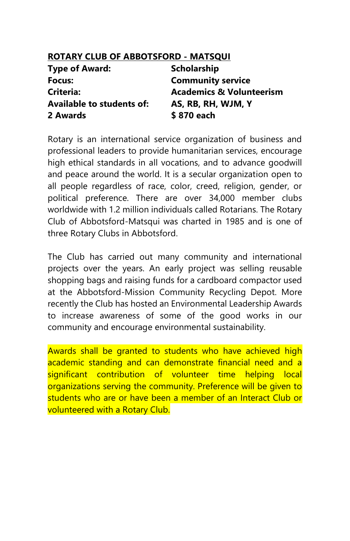| ROTARY CLUB OF ABBOTSFORD - MATSQUI |                                     |
|-------------------------------------|-------------------------------------|
| <b>Type of Award:</b>               | <b>Scholarship</b>                  |
| Focus:                              | <b>Community service</b>            |
| Criteria:                           | <b>Academics &amp; Volunteerism</b> |
| <b>Available to students of:</b>    | AS, RB, RH, WJM, Y                  |
| 2 Awards                            | \$870 each                          |

Rotary is an international service organization of business and professional leaders to provide humanitarian services, encourage high ethical standards in all vocations, and to advance goodwill and peace around the world. It is a secular organization open to all people regardless of race, color, creed, religion, gender, or political preference. There are over 34,000 member clubs worldwide with 1.2 million individuals called Rotarians. The Rotary Club of Abbotsford-Matsqui was charted in 1985 and is one of three Rotary Clubs in Abbotsford.

The Club has carried out many community and international projects over the years. An early project was selling reusable shopping bags and raising funds for a cardboard compactor used at the Abbotsford-Mission Community Recycling Depot. More recently the Club has hosted an Environmental Leadership Awards to increase awareness of some of the good works in our community and encourage environmental sustainability.

Awards shall be granted to students who have achieved high academic standing and can demonstrate financial need and a significant contribution of volunteer time helping local organizations serving the community. Preference will be given to students who are or have been a member of an Interact Club or volunteered with a Rotary Club.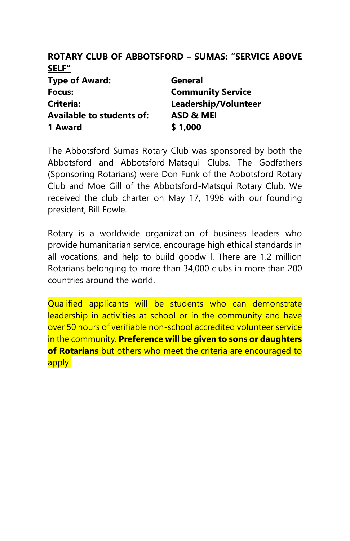#### **ROTARY CLUB OF ABBOTSFORD – SUMAS: "SERVICE ABOVE SELF"**

| General                  |
|--------------------------|
| <b>Community Service</b> |
| Leadership/Volunteer     |
| ASD & MEI                |
| \$1,000                  |
|                          |

The Abbotsford-Sumas Rotary Club was sponsored by both the Abbotsford and Abbotsford-Matsqui Clubs. The Godfathers (Sponsoring Rotarians) were Don Funk of the Abbotsford Rotary Club and Moe Gill of the Abbotsford-Matsqui Rotary Club. We received the club charter on May 17, 1996 with our founding president, Bill Fowle.

Rotary is a worldwide organization of business leaders who provide humanitarian service, encourage high ethical standards in all vocations, and help to build goodwill. There are 1.2 million Rotarians belonging to more than 34,000 clubs in more than 200 countries around the world.

Qualified applicants will be students who can demonstrate leadership in activities at school or in the community and have over 50 hours of verifiable non-school accredited volunteer service in the community. **Preference will be given to sons or daughters of Rotarians** but others who meet the criteria are encouraged to apply.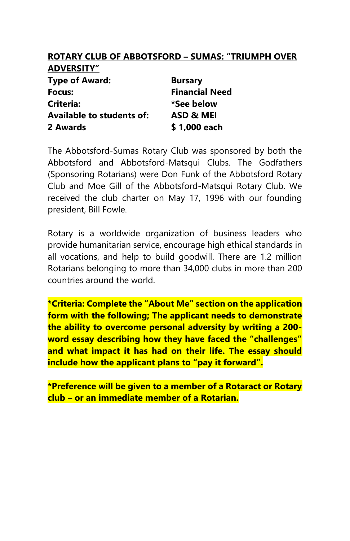### **ROTARY CLUB OF ABBOTSFORD – SUMAS: "TRIUMPH OVER ADVERSITY"**

| <b>Type of Award:</b>            | <b>Bursary</b>        |
|----------------------------------|-----------------------|
| Focus:                           | <b>Financial Need</b> |
| Criteria:                        | *See below            |
| <b>Available to students of:</b> | ASD & MEI             |
| 2 Awards                         | \$1,000 each          |

The Abbotsford-Sumas Rotary Club was sponsored by both the Abbotsford and Abbotsford-Matsqui Clubs. The Godfathers (Sponsoring Rotarians) were Don Funk of the Abbotsford Rotary Club and Moe Gill of the Abbotsford-Matsqui Rotary Club. We received the club charter on May 17, 1996 with our founding president, Bill Fowle.

Rotary is a worldwide organization of business leaders who provide humanitarian service, encourage high ethical standards in all vocations, and help to build goodwill. There are 1.2 million Rotarians belonging to more than 34,000 clubs in more than 200 countries around the world.

**\*Criteria: Complete the "About Me" section on the application form with the following; The applicant needs to demonstrate the ability to overcome personal adversity by writing a 200 word essay describing how they have faced the "challenges" and what impact it has had on their life. The essay should include how the applicant plans to "pay it forward".**

**\*Preference will be given to a member of a Rotaract or Rotary club – or an immediate member of a Rotarian.**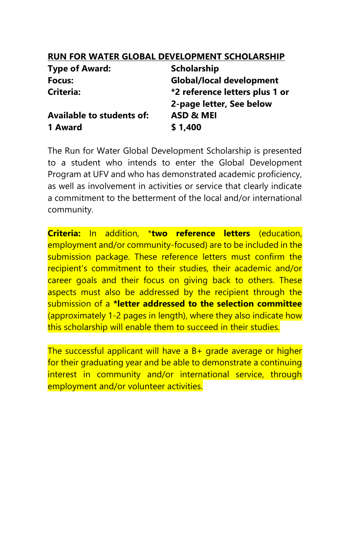## **RUN FOR WATER GLOBAL DEVELOPMENT SCHOLARSHIP**

| <b>Scholarship</b>             |
|--------------------------------|
| Global/local development       |
| *2 reference letters plus 1 or |
| 2-page letter, See below       |
| ASD & MEI                      |
| \$1,400                        |
|                                |

The Run for Water Global Development Scholarship is presented to a student who intends to enter the Global Development Program at UFV and who has demonstrated academic proficiency, as well as involvement in activities or service that clearly indicate a commitment to the betterment of the local and/or international community.

**Criteria:** In addition, \***two reference letters** (education, employment and/or community-focused) are to be included in the submission package. These reference letters must confirm the recipient's commitment to their studies, their academic and/or career goals and their focus on giving back to others. These aspects must also be addressed by the recipient through the submission of a **\*letter addressed to the selection committee** (approximately 1-2 pages in length), where they also indicate how this scholarship will enable them to succeed in their studies.

The successful applicant will have a B+ grade average or higher for their graduating year and be able to demonstrate a continuing interest in community and/or international service, through employment and/or volunteer activities.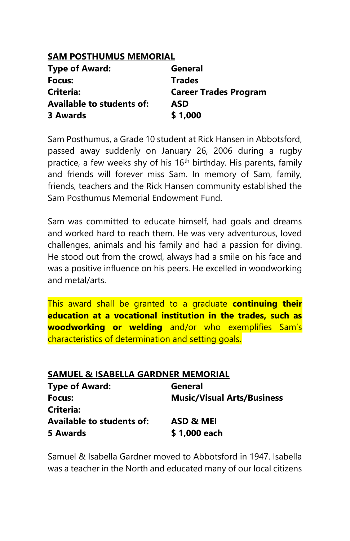### **SAM POSTHUMUS MEMORIAL**

| <b>Type of Award:</b>     | General                      |
|---------------------------|------------------------------|
| Focus:                    | <b>Trades</b>                |
| <b>Criteria:</b>          | <b>Career Trades Program</b> |
| Available to students of: | ASD                          |
| 3 Awards                  | \$1,000                      |

Sam Posthumus, a Grade 10 student at Rick Hansen in Abbotsford, passed away suddenly on January 26, 2006 during a rugby practice, a few weeks shy of his 16<sup>th</sup> birthday. His parents, family and friends will forever miss Sam. In memory of Sam, family, friends, teachers and the Rick Hansen community established the Sam Posthumus Memorial Endowment Fund.

Sam was committed to educate himself, had goals and dreams and worked hard to reach them. He was very adventurous, loved challenges, animals and his family and had a passion for diving. He stood out from the crowd, always had a smile on his face and was a positive influence on his peers. He excelled in woodworking and metal/arts.

This award shall be granted to a graduate **continuing their education at a vocational institution in the trades, such as woodworking or welding** and/or who exemplifies Sam's characteristics of determination and setting goals.

| <b>SAMUEL &amp; ISABELLA GARDNER MEMORIAL</b> |                                   |
|-----------------------------------------------|-----------------------------------|
| <b>Type of Award:</b>                         | General                           |
| Focus:                                        | <b>Music/Visual Arts/Business</b> |
| Criteria:                                     |                                   |
| <b>Available to students of:</b>              | ASD & MEI                         |
| 5 Awards                                      | \$1,000 each                      |

Samuel & Isabella Gardner moved to Abbotsford in 1947. Isabella was a teacher in the North and educated many of our local citizens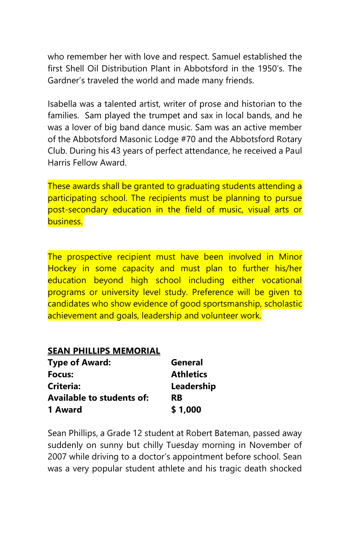who remember her with love and respect. Samuel established the first Shell Oil Distribution Plant in Abbotsford in the 1950's. The Gardner's traveled the world and made many friends.

Isabella was a talented artist, writer of prose and historian to the families. Sam played the trumpet and sax in local bands, and he was a lover of big band dance music. Sam was an active member of the Abbotsford Masonic Lodge #70 and the Abbotsford Rotary Club. During his 43 years of perfect attendance, he received a Paul Harris Fellow Award.

These awards shall be granted to graduating students attending a participating school. The recipients must be planning to pursue post-secondary education in the field of music, visual arts or business.

The prospective recipient must have been involved in Minor Hockey in some capacity and must plan to further his/her education beyond high school including either vocational programs or university level study. Preference will be given to candidates who show evidence of good sportsmanship, scholastic achievement and goals, leadership and volunteer work.

### **SEAN PHILLIPS MEMORIAL**

| <b>Type of Award:</b>     | General          |
|---------------------------|------------------|
| Focus:                    | <b>Athletics</b> |
| Criteria:                 | Leadership       |
| Available to students of: | RB               |
| 1 Award                   | \$1,000          |

Sean Phillips, a Grade 12 student at Robert Bateman, passed away suddenly on sunny but chilly Tuesday morning in November of 2007 while driving to a doctor's appointment before school. Sean was a very popular student athlete and his tragic death shocked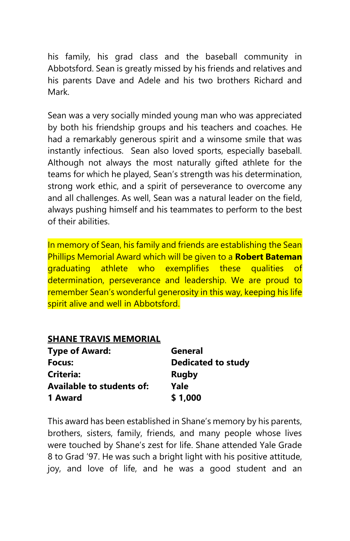his family, his grad class and the baseball community in Abbotsford. Sean is greatly missed by his friends and relatives and his parents Dave and Adele and his two brothers Richard and Mark.

Sean was a very socially minded young man who was appreciated by both his friendship groups and his teachers and coaches. He had a remarkably generous spirit and a winsome smile that was instantly infectious. Sean also loved sports, especially baseball. Although not always the most naturally gifted athlete for the teams for which he played, Sean's strength was his determination, strong work ethic, and a spirit of perseverance to overcome any and all challenges. As well, Sean was a natural leader on the field, always pushing himself and his teammates to perform to the best of their abilities.

In memory of Sean, his family and friends are establishing the Sean Phillips Memorial Award which will be given to a **Robert Bateman** graduating athlete who exemplifies these qualities of determination, perseverance and leadership. We are proud to remember Sean's wonderful generosity in this way, keeping his life spirit alive and well in Abbotsford.

### **SHANE TRAVIS MEMORIAL**

| <b>Type of Award:</b>            | General                   |
|----------------------------------|---------------------------|
| Focus:                           | <b>Dedicated to study</b> |
| Criteria:                        | <b>Rugby</b>              |
| <b>Available to students of:</b> | Yale                      |
| 1 Award                          | \$1,000                   |

This award has been established in Shane's memory by his parents, brothers, sisters, family, friends, and many people whose lives were touched by Shane's zest for life. Shane attended Yale Grade 8 to Grad '97. He was such a bright light with his positive attitude, joy, and love of life, and he was a good student and an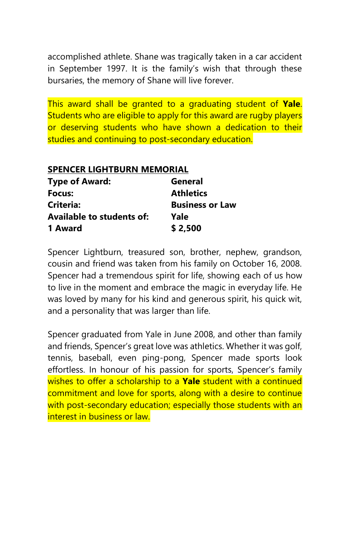accomplished athlete. Shane was tragically taken in a car accident in September 1997. It is the family's wish that through these bursaries, the memory of Shane will live forever.

This award shall be granted to a graduating student of **Yale**. Students who are eligible to apply for this award are rugby players or deserving students who have shown a dedication to their studies and continuing to post-secondary education.

### **SPENCER LIGHTBURN MEMORIAL**

| <b>Type of Award:</b>            | General                |
|----------------------------------|------------------------|
| Focus:                           | <b>Athletics</b>       |
| Criteria:                        | <b>Business or Law</b> |
| <b>Available to students of:</b> | Yale                   |
| 1 Award                          | \$2,500                |

Spencer Lightburn, treasured son, brother, nephew, grandson, cousin and friend was taken from his family on October 16, 2008. Spencer had a tremendous spirit for life, showing each of us how to live in the moment and embrace the magic in everyday life. He was loved by many for his kind and generous spirit, his quick wit, and a personality that was larger than life.

Spencer graduated from Yale in June 2008, and other than family and friends, Spencer's great love was athletics. Whether it was golf, tennis, baseball, even ping-pong, Spencer made sports look effortless. In honour of his passion for sports, Spencer's family wishes to offer a scholarship to a **Yale** student with a continued commitment and love for sports, along with a desire to continue with post-secondary education; especially those students with an interest in business or law.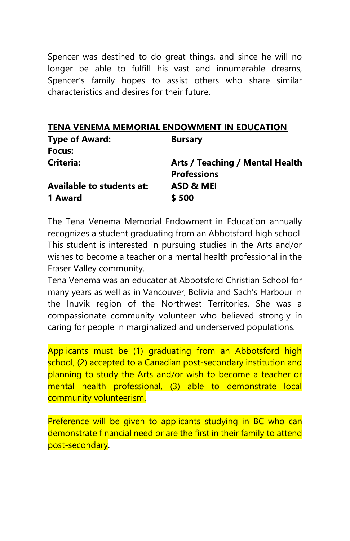Spencer was destined to do great things, and since he will no longer be able to fulfill his vast and innumerable dreams, Spencer's family hopes to assist others who share similar characteristics and desires for their future.

|  |  | TENA VENEMA MEMORIAL ENDOWMENT IN EDUCATION |
|--|--|---------------------------------------------|
|  |  |                                             |

| <b>Bursary</b>                  |
|---------------------------------|
|                                 |
| Arts / Teaching / Mental Health |
| <b>Professions</b>              |
| ASD & MEI                       |
| \$500                           |
|                                 |

The Tena Venema Memorial Endowment in Education annually recognizes a student graduating from an Abbotsford high school. This student is interested in pursuing studies in the Arts and/or wishes to become a teacher or a mental health professional in the Fraser Valley community.

Tena Venema was an educator at Abbotsford Christian School for many years as well as in Vancouver, Bolivia and Sach's Harbour in the Inuvik region of the Northwest Territories. She was a compassionate community volunteer who believed strongly in caring for people in marginalized and underserved populations.

Applicants must be (1) graduating from an Abbotsford high school, (2) accepted to a Canadian post-secondary institution and planning to study the Arts and/or wish to become a teacher or mental health professional, (3) able to demonstrate local community volunteerism.

Preference will be given to applicants studying in BC who can demonstrate financial need or are the first in their family to attend post-secondary.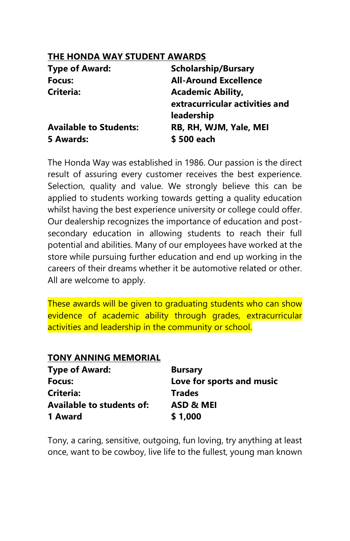### **THE HONDA WAY STUDENT AWARDS**

| <b>Type of Award:</b>         | <b>Scholarship/Bursary</b>     |
|-------------------------------|--------------------------------|
| Focus:                        | <b>All-Around Excellence</b>   |
| <b>Criteria:</b>              | <b>Academic Ability,</b>       |
|                               | extracurricular activities and |
|                               | leadership                     |
| <b>Available to Students:</b> | RB, RH, WJM, Yale, MEI         |
| 5 Awards:                     | \$500 each                     |

The Honda Way was established in 1986. Our passion is the direct result of assuring every customer receives the best experience. Selection, quality and value. We strongly believe this can be applied to students working towards getting a quality education whilst having the best experience university or college could offer. Our dealership recognizes the importance of education and postsecondary education in allowing students to reach their full potential and abilities. Many of our employees have worked at the store while pursuing further education and end up working in the careers of their dreams whether it be automotive related or other. All are welcome to apply.

These awards will be given to graduating students who can show evidence of academic ability through grades, extracurricular activities and leadership in the community or school.

## **TONY ANNING MEMORIAL**

| <b>Type of Award:</b>            | <b>Bursary</b>            |
|----------------------------------|---------------------------|
| Focus:                           | Love for sports and music |
| Criteria:                        | <b>Trades</b>             |
| <b>Available to students of:</b> | ASD & MEI                 |
| 1 Award                          | \$1,000                   |

Tony, a caring, sensitive, outgoing, fun loving, try anything at least once, want to be cowboy, live life to the fullest, young man known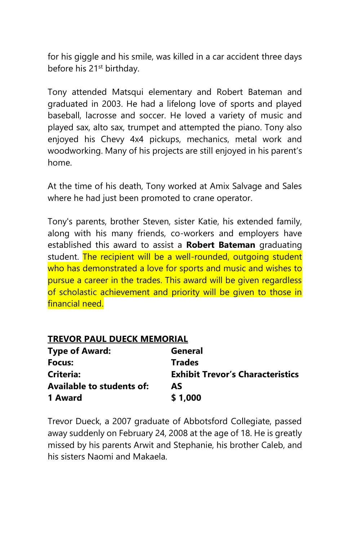for his giggle and his smile, was killed in a car accident three days before his 21<sup>st</sup> birthday.

Tony attended Matsqui elementary and Robert Bateman and graduated in 2003. He had a lifelong love of sports and played baseball, lacrosse and soccer. He loved a variety of music and played sax, alto sax, trumpet and attempted the piano. Tony also enjoyed his Chevy 4x4 pickups, mechanics, metal work and woodworking. Many of his projects are still enjoyed in his parent's home.

At the time of his death, Tony worked at Amix Salvage and Sales where he had just been promoted to crane operator.

Tony's parents, brother Steven, sister Katie, his extended family, along with his many friends, co-workers and employers have established this award to assist a **Robert Bateman** graduating student. The recipient will be a well-rounded, outgoing student who has demonstrated a love for sports and music and wishes to pursue a career in the trades. This award will be given regardless of scholastic achievement and priority will be given to those in financial need.

### **TREVOR PAUL DUECK MEMORIAL**

| <b>Type of Award:</b>            | General                                 |
|----------------------------------|-----------------------------------------|
| Focus:                           | <b>Trades</b>                           |
| Criteria:                        | <b>Exhibit Trevor's Characteristics</b> |
| <b>Available to students of:</b> | AS                                      |
| 1 Award                          | \$1,000                                 |

Trevor Dueck, a 2007 graduate of Abbotsford Collegiate, passed away suddenly on February 24, 2008 at the age of 18. He is greatly missed by his parents Arwit and Stephanie, his brother Caleb, and his sisters Naomi and Makaela.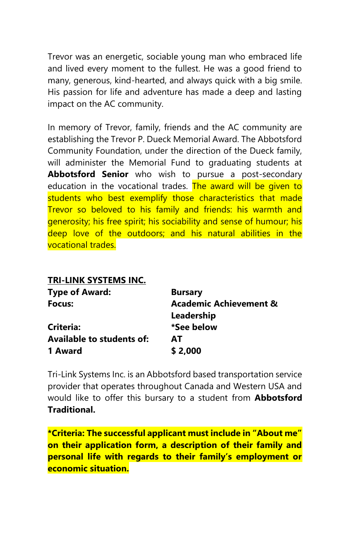Trevor was an energetic, sociable young man who embraced life and lived every moment to the fullest. He was a good friend to many, generous, kind-hearted, and always quick with a big smile. His passion for life and adventure has made a deep and lasting impact on the AC community.

In memory of Trevor, family, friends and the AC community are establishing the Trevor P. Dueck Memorial Award. The Abbotsford Community Foundation, under the direction of the Dueck family, will administer the Memorial Fund to graduating students at **Abbotsford Senior** who wish to pursue a post-secondary education in the vocational trades. The award will be given to students who best exemplify those characteristics that made Trevor so beloved to his family and friends: his warmth and generosity; his free spirit; his sociability and sense of humour; his deep love of the outdoors; and his natural abilities in the vocational trades.

### **TRI-LINK SYSTEMS INC.**

| <b>Type of Award:</b>            | <b>Bursary</b>                    |
|----------------------------------|-----------------------------------|
| Focus:                           | <b>Academic Achievement &amp;</b> |
|                                  | Leadership                        |
| Criteria:                        | *See below                        |
| <b>Available to students of:</b> | AT                                |
| 1 Award                          | \$2,000                           |

Tri-Link Systems Inc. is an Abbotsford based transportation service provider that operates throughout Canada and Western USA and would like to offer this bursary to a student from **Abbotsford Traditional.** 

**\*Criteria: The successful applicant must include in "About me" on their application form, a description of their family and personal life with regards to their family's employment or economic situation.**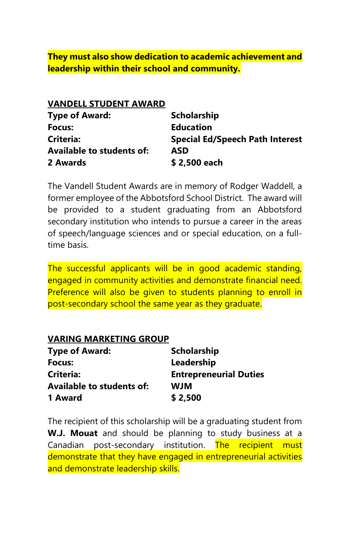**They must also show dedication to academic achievement and leadership within their school and community.**

#### **VANDELL STUDENT AWARD**

| <b>Type of Award:</b>            | <b>Scholarship</b>                     |
|----------------------------------|----------------------------------------|
| Focus:                           | <b>Education</b>                       |
| <b>Criteria:</b>                 | <b>Special Ed/Speech Path Interest</b> |
| <b>Available to students of:</b> | ASD                                    |
| 2 Awards                         | \$2,500 each                           |

The Vandell Student Awards are in memory of Rodger Waddell, a former employee of the Abbotsford School District. The award will be provided to a student graduating from an Abbotsford secondary institution who intends to pursue a career in the areas of speech/language sciences and or special education, on a fulltime basis.

The successful applicants will be in good academic standing, engaged in community activities and demonstrate financial need. Preference will also be given to students planning to enroll in post-secondary school the same year as they graduate.

#### **VARING MARKETING GROUP**

| <b>Type of Award:</b>            | <b>Scholarship</b>            |
|----------------------------------|-------------------------------|
| Focus:                           | Leadership                    |
| Criteria:                        | <b>Entrepreneurial Duties</b> |
| <b>Available to students of:</b> | <b>WJM</b>                    |
| 1 Award                          | \$2,500                       |

The recipient of this scholarship will be a graduating student from **W.J. Mouat** and should be planning to study business at a Canadian post-secondary institution. The recipient must demonstrate that they have engaged in entrepreneurial activities and demonstrate leadership skills.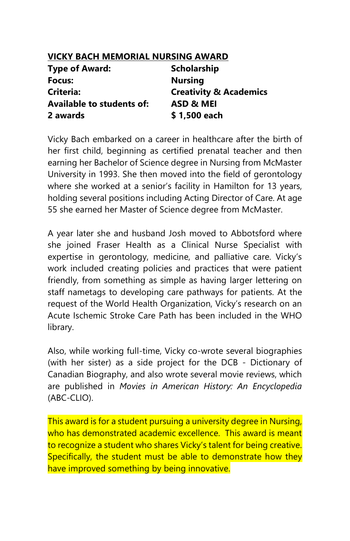| <b>VICKY BACH MEMORIAL NURSING AWARD</b> |                                   |
|------------------------------------------|-----------------------------------|
| <b>Type of Award:</b>                    | <b>Scholarship</b>                |
| Focus:                                   | <b>Nursing</b>                    |
| Criteria:                                | <b>Creativity &amp; Academics</b> |
| <b>Available to students of:</b>         | ASD & MEI                         |
| 2 awards                                 | \$1,500 each                      |

Vicky Bach embarked on a career in healthcare after the birth of her first child, beginning as certified prenatal teacher and then earning her Bachelor of Science degree in Nursing from McMaster University in 1993. She then moved into the field of gerontology where she worked at a senior's facility in Hamilton for 13 years, holding several positions including Acting Director of Care. At age 55 she earned her Master of Science degree from McMaster.

A year later she and husband Josh moved to Abbotsford where she joined Fraser Health as a Clinical Nurse Specialist with expertise in gerontology, medicine, and palliative care. Vicky's work included creating policies and practices that were patient friendly, from something as simple as having larger lettering on staff nametags to developing care pathways for patients. At the request of the World Health Organization, Vicky's research on an Acute Ischemic Stroke Care Path has been included in the WHO library.

Also, while working full-time, Vicky co-wrote several biographies (with her sister) as a side project for the DCB - Dictionary of Canadian Biography, and also wrote several movie reviews, which are published in *Movies in American History: An Encyclopedia*  (ABC-CLIO).

This award is for a student pursuing a university degree in Nursing, who has demonstrated academic excellence. This award is meant to recognize a student who shares Vicky's talent for being creative. Specifically, the student must be able to demonstrate how they have improved something by being innovative.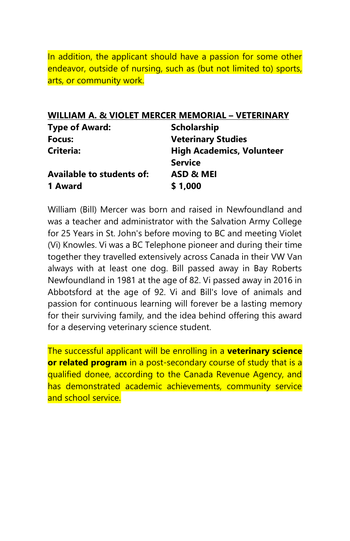In addition, the applicant should have a passion for some other endeavor, outside of nursing, such as (but not limited to) sports, arts, or community work.

### **WILLIAM A. & VIOLET MERCER MEMORIAL – VETERINARY**

| <b>Type of Award:</b>            | <b>Scholarship</b>               |
|----------------------------------|----------------------------------|
| Focus:                           | <b>Veterinary Studies</b>        |
| Criteria:                        | <b>High Academics, Volunteer</b> |
|                                  | <b>Service</b>                   |
| <b>Available to students of:</b> | ASD & MEI                        |
| 1 Award                          | \$1,000                          |

William (Bill) Mercer was born and raised in Newfoundland and was a teacher and administrator with the Salvation Army College for 25 Years in St. John's before moving to BC and meeting Violet (Vi) Knowles. Vi was a BC Telephone pioneer and during their time together they travelled extensively across Canada in their VW Van always with at least one dog. Bill passed away in Bay Roberts Newfoundland in 1981 at the age of 82. Vi passed away in 2016 in Abbotsford at the age of 92. Vi and Bill's love of animals and passion for continuous learning will forever be a lasting memory for their surviving family, and the idea behind offering this award for a deserving veterinary science student.

The successful applicant will be enrolling in a **veterinary science or related program** in a post-secondary course of study that is a qualified donee, according to the Canada Revenue Agency, and has demonstrated academic achievements, community service and school service.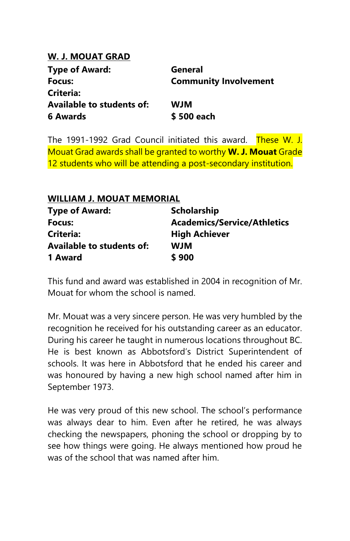## **W. J. MOUAT GRAD**

| <b>Type of Award:</b>            | General                      |
|----------------------------------|------------------------------|
| Focus:                           | <b>Community Involvement</b> |
| Criteria:                        |                              |
| <b>Available to students of:</b> | <b>WJM</b>                   |
| 6 Awards                         | \$500 each                   |

The 1991-1992 Grad Council initiated this award. These W. J. Mouat Grad awards shall be granted to worthy **W. J. Mouat** Grade 12 students who will be attending a post-secondary institution.

| WILLIAM J. MOUAT MEMORIAL |                                    |
|---------------------------|------------------------------------|
| <b>Type of Award:</b>     | <b>Scholarship</b>                 |
| Focus:                    | <b>Academics/Service/Athletics</b> |
| Criteria:                 | <b>High Achiever</b>               |
| Available to students of: | <b>WJM</b>                         |
| 1 Award                   | \$900                              |

This fund and award was established in 2004 in recognition of Mr. Mouat for whom the school is named.

Mr. Mouat was a very sincere person. He was very humbled by the recognition he received for his outstanding career as an educator. During his career he taught in numerous locations throughout BC. He is best known as Abbotsford's District Superintendent of schools. It was here in Abbotsford that he ended his career and was honoured by having a new high school named after him in September 1973.

He was very proud of this new school. The school's performance was always dear to him. Even after he retired, he was always checking the newspapers, phoning the school or dropping by to see how things were going. He always mentioned how proud he was of the school that was named after him.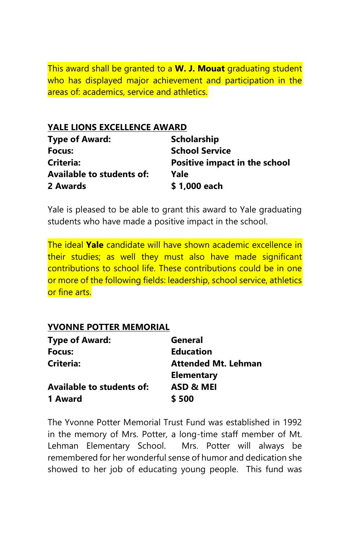This award shall be granted to a **W. J. Mouat** graduating student who has displayed major achievement and participation in the areas of: academics, service and athletics.

## **YALE LIONS EXCELLENCE AWARD**

| <b>Type of Award:</b>     | <b>Scholarship</b>                   |
|---------------------------|--------------------------------------|
| Focus:                    | <b>School Service</b>                |
| <b>Criteria:</b>          | <b>Positive impact in the school</b> |
| Available to students of: | Yale                                 |
| 2 Awards                  | \$1,000 each                         |

Yale is pleased to be able to grant this award to Yale graduating students who have made a positive impact in the school.

The ideal **Yale** candidate will have shown academic excellence in their studies; as well they must also have made significant contributions to school life. These contributions could be in one or more of the following fields: leadership, school service, athletics or fine arts.

### **YVONNE POTTER MEMORIAL**

| <b>Type of Award:</b>            | General                    |
|----------------------------------|----------------------------|
| Focus:                           | <b>Education</b>           |
| Criteria:                        | <b>Attended Mt. Lehman</b> |
|                                  | <b>Elementary</b>          |
| <b>Available to students of:</b> | ASD & MEI                  |
| 1 Award                          | \$500                      |

The Yvonne Potter Memorial Trust Fund was established in 1992 in the memory of Mrs. Potter, a long-time staff member of Mt. Lehman Elementary School. Mrs. Potter will always be remembered for her wonderful sense of humor and dedication she showed to her job of educating young people. This fund was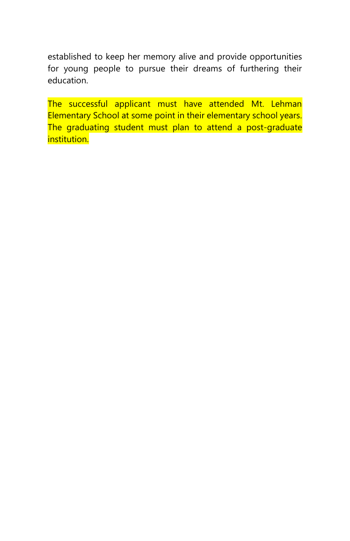established to keep her memory alive and provide opportunities for young people to pursue their dreams of furthering their education.

The successful applicant must have attended Mt. Lehman Elementary School at some point in their elementary school years. The graduating student must plan to attend a post-graduate institution.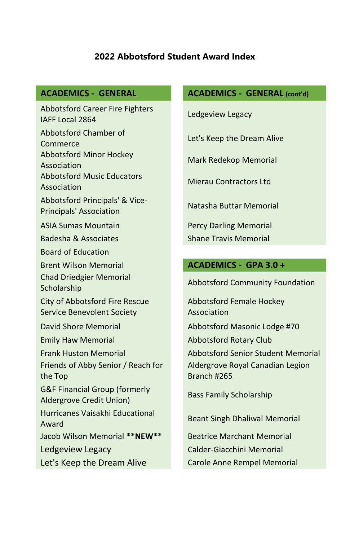## **2022 Abbotsford Student Award Index**

Abbotsford Career Fire Fighters IAFF Local 2864 Ledgeview Legacy Abbotsford Chamber of Commerce Let's Keep the Dream Alive Abbotsford Minor Hockey Association Mark Redekop Memorial Abbotsford Music Educators Association Mierau Contractors Ltd Abbotsford Principals' & Vice-Principals' Association Natasha Buttar Memorial ASIA Sumas Mountain **Percy Darling Memorial** Badesha & Associates Shane Travis Memorial Board of Education Brent Wilson Memorial **ACADEMICS - GPA 3.0 +** Chad Driedgier Memorial Scholarship Abbotsford Community Foundation<br>Scholarship City of Abbotsford Fire Rescue Service Benevolent Society David Shore Memorial **Abbotsford Masonic Lodge #70** Emily Haw Memorial **Abbotsford Rotary Club** Friends of Abby Senior / Reach for the Top G&F Financial Group (formerly Aldergrove Credit Union) Bass Family Scholarship Hurricanes Vaisakhi Educational Award Beant Singh Dhaliwal Memorial Jacob Wilson Memorial **\*\*NEW\*\*** Beatrice Marchant Memorial Ledgeview Legacy **Calder-Giacchini Memorial** Let's Keep the Dream Alive Carole Anne Rempel Memorial

## **ACADEMICS - GENERAL ACADEMICS - GENERAL (cont'd)**

Abbotsford Female Hockey Association

Frank Huston Memorial Abbotsford Senior Student Memorial Aldergrove Royal Canadian Legion Branch #265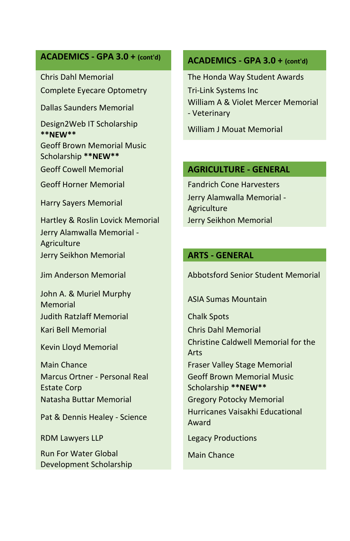# **ACADEMICS - GPA 3.0 + (cont'd) ACADEMICS - GPA 3.0 + (cont'd)**

Complete Eyecare Optometry Tri-Link Systems Inc

Design2Web IT Scholarship **\*\*NEW\*\*** William J Mouat Memorial

Geoff Brown Memorial Music Scholarship **\*\*NEW\*\***

Hartley & Roslin Lovick Memorial Jerry Seikhon Memorial Jerry Alamwalla Memorial - Agriculture Jerry Seikhon Memorial **ARTS - GENERAL**

John A. & Muriel Murphy Memorial Music Mulphy ASIA Sumas Mountain Judith Ratzlaff Memorial Chalk Spots Kari Bell Memorial Chris Dahl Memorial

Main Chance **Fraser Valley Stage Memorial** Marcus Ortner - Personal Real Estate Corp Natasha Buttar Memorial Gregory Potocky Memorial

Run For Water Global Development Scholarship

Chris Dahl Memorial The Honda Way Student Awards Dallas Saunders Memorial William A & Violet Mercer Memorial - Veterinary

### Geoff Cowell Memorial **AGRICULTURE - GENERAL**

Geoff Horner Memorial **Fandrich Cone Harvesters** Harry Sayers Memorial Jerry Alamwalla Memorial - Agriculture

Jim Anderson Memorial Abbotsford Senior Student Memorial

Kevin Lloyd Memorial Christine Caldwell Memorial for the Arts Geoff Brown Memorial Music Scholarship **\*\*NEW\*\*** Pat & Dennis Healey - Science Hurricanes Vaisakhi Educational Award

RDM Lawyers LLP **Legacy Productions** 

Main Chance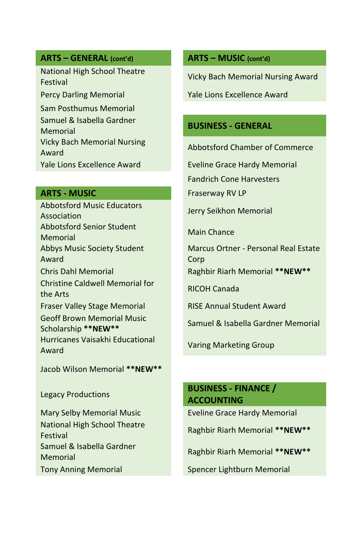## **ARTS – GENERAL (cont'd) ARTS – MUSIC (cont'd)**

National High School Theatre Festival Vicky Bach Memorial Nursing Award

Sam Posthumus Memorial Samuel & Isabella Gardner Memorial **BUSINESS - GENERAL** Vicky Bach Memorial Nursing Abbotsford Chamber of Commerce<br>Award

### **ARTS - MUSIC Example 20 Fraserway RV LP**

Abbotsford Music Educators Abbotsion a wasic Educators **Figure 1.1 September 1.1 September 2.1 September 2.1 September 2.1 September 2.1 September 2.1 September 2.1 September 2.1 September 2.1 September 2.1 September 2.1 September 2.1 September 2.1** Abbotsford Senior Student Main Chance Memorial Abbys Music Society Student Award Christine Caldwell Memorial for the Arts Fraser Valley Stage Memorial RISE Annual Student Award Geoff Brown Memorial Music Scholarship **\*\*NEW\*\*** Samuel & Isabella Gardner Memorial Hurricanes Vaisakhi Educational Award Varing Marketing Group

Jacob Wilson Memorial **\*\*NEW\*\***

National High School Theatre Festival Raghbir Riarh Memorial **\*\*NEW\*\*** Samuel & Isabella Gardner Memorial Raghbir Riarh Memorial **\*\*NEW\*\*** Tony Anning Memorial Spencer Lightburn Memorial

Percy Darling Memorial New Yale Lions Excellence Award

Yale Lions Excellence Award Eveline Grace Hardy Memorial

Fandrich Cone Harvesters

Marcus Ortner - Personal Real Estate Corp

Chris Dahl Memorial Raghbir Riarh Memorial **\*\*NEW\*\***

# Legacy Productions **BUSINESS - FINANCE / ACCOUNTING**

Mary Selby Memorial Music Eveline Grace Hardy Memorial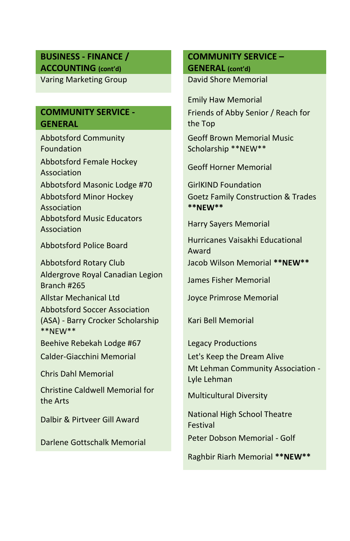#### **BUSINESS - FINANCE / ACCOUNTING (cont'd)**

Varing Marketing Group David Shore Memorial

### **COMMUNITY SERVICE - GENERAL**

Abbotsford Community Foundation Abbotsford Female Hockey Association Geoff Horner Memorial Abbotsford Masonic Lodge #70 GirlKIND Foundation Abbotsford Minor Hockey Association Abbotsford Music Educators Association Harry Sayers Memorial

Abbotsford Rotary Club Jacob Wilson Memorial **\*\*NEW\*\*** Aldergrove Royal Canadian Legion Aldergrove Royal Carliadian Eeglon James Fisher Memorial Allstar Mechanical Ltd Joyce Primrose Memorial Abbotsford Soccer Association (ASA) - Barry Crocker Scholarship \*\*NEW\*\*

Beehive Rebekah Lodge #67 Legacy Productions

Christine Caldwell Memorial for the Arts Multicultural Diversity

# **COMMUNITY SERVICE – GENERAL (cont'd)**

Emily Haw Memorial Friends of Abby Senior / Reach for the Top Geoff Brown Memorial Music Scholarship \*\*NEW\*\*

Goetz Family Construction & Trades **\*\*NEW\*\***

Abbotsford Police Board Hurricanes Vaisakhi Educational Award

Kari Bell Memorial

Calder-Giacchini Memorial Let's Keep the Dream Alive Chris Dahl Memorial Mt Lehman Community Association - Lyle Lehman

Dalbir & Pirtveer Gill Award National High School Theatre Festival

Darlene Gottschalk Memorial Peter Dobson Memorial - Golf

Raghbir Riarh Memorial **\*\*NEW\*\***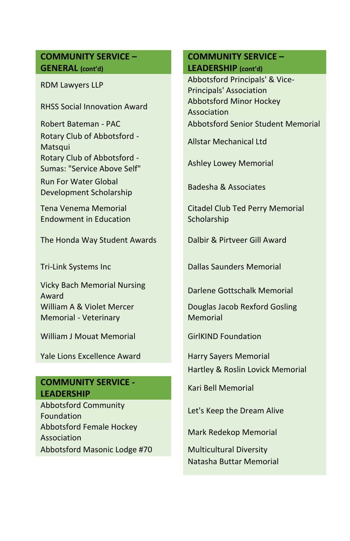### **COMMUNITY SERVICE – GENERAL (cont'd)**

Rotary Club of Abbotsford - Matsqui Allstar Mechanical Ltd<br>Matsqui Rotary Club of Abbotsford - Sumas: "Service Above Self" Ashley Lowey Memorial

Run For Water Global Development Scholarship Badesha & Associates

Tena Venema Memorial Endowment in Education

The Honda Way Student Awards Dalbir & Pirtveer Gill Award

Vicky Bach Memorial Nursing **Award Darlene Gottschalk Memorial Award** William A & Violet Mercer Memorial - Veterinary

William J Mouat Memorial **GirlKIND Foundation** 

Yale Lions Excellence Award Harry Sayers Memorial

### **COMMUNITY SERVICE - LEADERSHIP** Kari Bell Memorial

Abbotsford Community Foundation Let's Keep the Dream Alive Abbotsford Female Hockey Association Mark Redekop Memorial Abbotsford Masonic Lodge #70 Multicultural Diversity

## **COMMUNITY SERVICE – LEADERSHIP (cont'd)**

RDM Lawyers LLP **Abbotsford Principals' & Vice-**Principals' Association RHSS Social Innovation Award **Abbotsford Minor Hockey** Association Robert Bateman - PAC Abbotsford Senior Student Memorial

Citadel Club Ted Perry Memorial **Scholarship** 

Tri-Link Systems Inc Dallas Saunders Memorial

Douglas Jacob Rexford Gosling Memorial

Hartley & Roslin Lovick Memorial

Natasha Buttar Memorial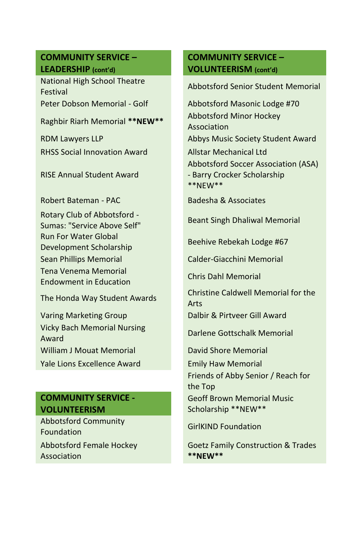## **COMMUNITY SERVICE – LEADERSHIP (cont'd)**

National High School Theatre Festival Abbotsford Senior Student Memorial

RHSS Social Innovation Award **Allstar Mechanical Ltd** 

RISE Annual Student Award

Robert Bateman - PAC Badesha & Associates

Rotary Club of Abbotsford - Sumas: "Service Above Self" Beant Singh Dhaliwal Memorial Run For Water Global Development Scholarship Beehive Rebekah Lodge #67 Sean Phillips Memorial Calder-Giacchini Memorial Tena Venema Memorial Endowment in Education Chris Dahl Memorial

Varing Marketing Group **Dalbir & Pirtveer Gill Award** Vicky Bach Memorial Nursing **Award Darlene Gottschalk Memorial** Award William J Mouat Memorial **David Shore Memorial** Yale Lions Excellence Award **Emily Haw Memorial** 

# **COMMUNITY SERVICE - VOLUNTEERISM**

Abbotsford Community **Exploression decommunity** GirlKIND Foundation Abbotsford Female Hockey Association

## **COMMUNITY SERVICE – VOLUNTEERISM (cont'd)**

Peter Dobson Memorial - Golf Abbotsford Masonic Lodge #70 Raghbir Riarh Memorial **\*\*NEW\*\*** Abbotsford Minor Hockey Association RDM Lawyers LLP Abbys Music Society Student Award Abbotsford Soccer Association (ASA) - Barry Crocker Scholarship \*\*NEW\*\*

The Honda Way Student Awards Christine Caldwell Memorial for the Arts

Friends of Abby Senior / Reach for the Top Geoff Brown Memorial Music

Scholarship \*\*NEW\*\*

Goetz Family Construction & Trades **\*\*NEW\*\***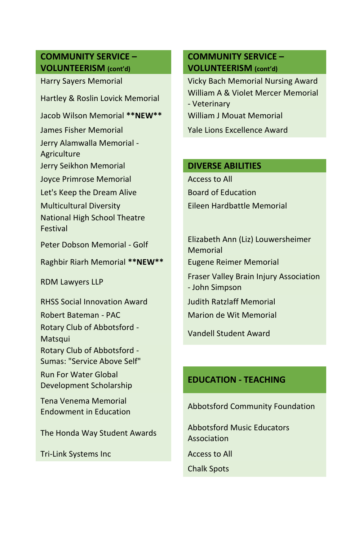## **COMMUNITY SERVICE – VOLUNTEERISM (cont'd)**

Jacob Wilson Memorial **\*\*NEW\*\*** William J Mouat Memorial

Jerry Alamwalla Memorial - Agriculture

Jerry Seikhon Memorial **DIVERSE ABILITIES**

Joyce Primrose Memorial Access to All

Let's Keep the Dream Alive Board of Education

National High School Theatre Festival

Raghbir Riarh Memorial **\*\*NEW\*\*** Eugene Reimer Memorial

RHSS Social Innovation Award Judith Ratzlaff Memorial Robert Bateman - PAC Marion de Wit Memorial Rotary Club of Abbotsford - Matsqui Vandell Student Award Rotary Club of Abbotsford - Sumas: "Service Above Self"

Run For Water Global Development Scholarship **EDUCATION - TEACHING**

Tena Venema Memorial

Tri-Link Systems Inc **Access to All** Access to All

## **COMMUNITY SERVICE – VOLUNTEERISM (cont'd)**

Harry Sayers Memorial **Wicky Bach Memorial Nursing Award** Hartley & Roslin Lovick Memorial William A & Violet Mercer Memorial - Veterinary James Fisher Memorial Yale Lions Excellence Award

Multicultural Diversity Eileen Hardbattle Memorial

Peter Dobson Memorial - Golf Elizabeth Ann (Liz) Louwersheimer Memorial RDM Lawyers LLP **Fraser Valley Brain Injury Association** - John Simpson

Endowment in Education Abbotsford Community Foundation

The Honda Way Student Awards Abbotsford Music Educators Association

Chalk Spots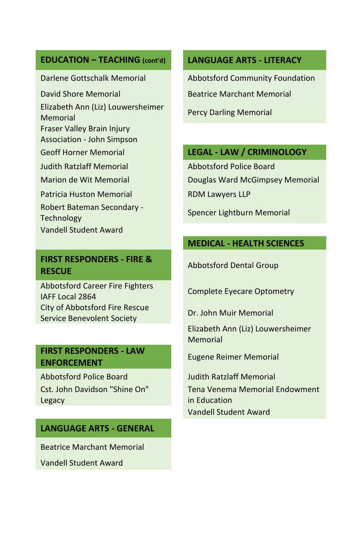### **EDUCATION – TEACHING (cont'd) LANGUAGE ARTS - LITERACY**

Elizabeth Ann (Liz) Louwersheimer **Memorial Memorial Percy Darling Memorial** Fraser Valley Brain Injury

Association - John Simpson

Judith Ratzlaff Memorial Abbotsford Police Board

Patricia Huston Memorial RDM Lawyers LLP

Robert Bateman Secondary - Technology Spencer Lightburn Memorial

Vandell Student Award

### **FIRST RESPONDERS - FIRE & RESCUE** Abbotsford Dental Group

Abbotsford Career Fire Fighters Abbotsford career rife righters Complete Eyecare Optometry City of Abbotsford Fire Rescue Service Benevolent Society Dr. John Muir Memorial

## **FIRST RESPONDERS - LAW Eugene Reimer Memorial**<br> **Eugene Reimer Memorial**

Abbotsford Police Board **Judith Ratzlaff Memorial** Cst. John Davidson "Shine On" Legacy

## **LANGUAGE ARTS - GENERAL**

Beatrice Marchant Memorial

Vandell Student Award

Darlene Gottschalk Memorial Abbotsford Community Foundation

David Shore Memorial **Beatrice Marchant Memorial** 

### Geoff Horner Memorial **LEGAL - LAW / CRIMINOLOGY**

Marion de Wit Memorial **Douglas Ward McGimpsey Memorial** 

### **MEDICAL - HEALTH SCIENCES**

Elizabeth Ann (Liz) Louwersheimer Memorial

Tena Venema Memorial Endowment in Education Vandell Student Award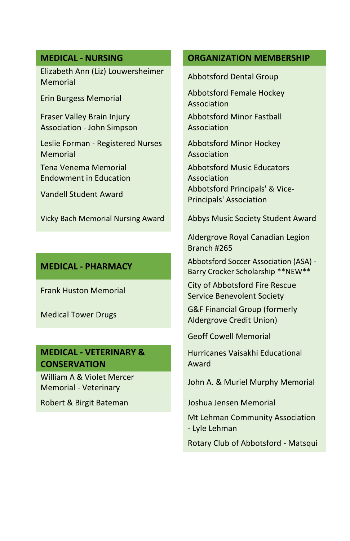Elizabeth Ann (Liz) Louwersheimer Elizabeth Alm (Elz) Ebawer shelling Abbotsford Dental Group

Fraser Valley Brain Injury Association - John Simpson

Leslie Forman - Registered Nurses Memorial

Tena Venema Memorial Endowment in Education

# **MEDICAL - VETERINARY & CONSERVATION**

William A & Violet Mercer Memorial - Veterinary John A. & Muriel Murphy Memorial

#### **MEDICAL - NURSING ORGANIZATION MEMBERSHIP**

Erin Burgess Memorial Abbotsford Female Hockey Association

> Abbotsford Minor Fastball Association

Abbotsford Minor Hockey Association

Abbotsford Music Educators Association Vandell Student Award Abbotsford Principals' & Vice-Principals' Association

Vicky Bach Memorial Nursing Award Abbys Music Society Student Award

Aldergrove Royal Canadian Legion Branch #265

**MEDICAL - PHARMACY** Abbotsford Soccer Association (ASA) -Barry Crocker Scholarship \*\*NEW\*\*

Frank Huston Memorial City of Abbotsford Fire Rescue Service Benevolent Society

Medical Tower Drugs G&F Financial Group (formerly Aldergrove Credit Union)

Geoff Cowell Memorial

Hurricanes Vaisakhi Educational Award

Robert & Birgit Bateman Joshua Jensen Memorial

Mt Lehman Community Association - Lyle Lehman

Rotary Club of Abbotsford - Matsqui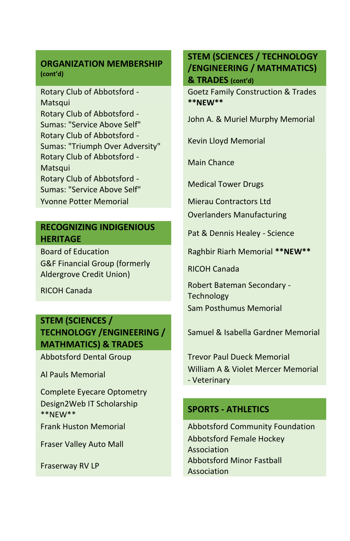#### **ORGANIZATION MEMBERSHIP (cont'd)**

Rotary Club of Abbotsford - **Matsqui** Rotary Club of Abbotsford - Sumas: "Service Above Self" John A. & Muriel Murphy Memorial Rotary Club of Abbotsford - Sumas: "Triumph Over Adversity" Kevin Lloyd Memorial Rotary Club of Abbotsford - Main Chance Matsqui Main Chance Rotary Club of Abbotsford - Sumas: "Service Above Self" Medical Tower Drugs **Yvonne Potter Memorial Mierau Contractors Ltd** 

### **RECOGNIZING INDIGENIOUS HERITAGE HERITAGE Pat & Dennis Healey - Science**

G&F Financial Group (formerly **Aldergrove Credit Union)** RICOH Canada<br>Aldergrove Credit Union)

# **STEM (SCIENCES / TECHNOLOGY /ENGINEERING / MATHMATICS) & TRADES**

Complete Eyecare Optometry Design2Web IT Scholarship \*\*NEW\*\* **SPORTS - ATHLETICS**

## **STEM (SCIENCES / TECHNOLOGY /ENGINEERING / MATHMATICS) & TRADES (cont'd)**

Goetz Family Construction & Trades **\*\*NEW\*\***

Overlanders Manufacturing

Board of Education **Raghbir Riarh Memorial \*\*NEW\*\*** 

Robert Bateman Secondary - Robert Bateman Secondary -**Technology** Sam Posthumus Memorial

Samuel & Isabella Gardner Memorial

Abbotsford Dental Group Trevor Paul Dueck Memorial Al Pauls Memorial William A & Violet Mercer Memorial - Veterinary

Frank Huston Memorial **Abbotsford Community Foundation** Fraser Valley Auto Mall Abbotsford Female Hockey Association Fraserway RV LP **Abbotsford Minor Fastball** Association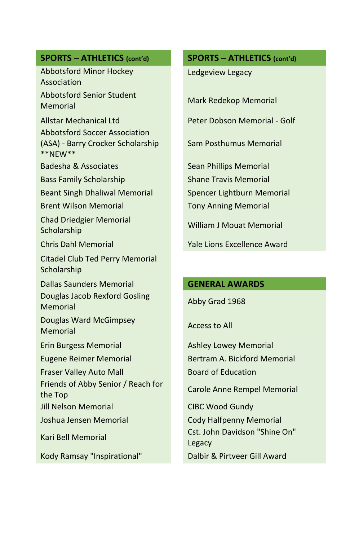Abbotsford Minor Hockey Association Abbotsford Senior Student Memorial Mark Redekop Memorial

Allstar Mechanical Ltd Peter Dobson Memorial - Golf Abbotsford Soccer Association (ASA) - Barry Crocker Scholarship \*\*NEW\*\*

Bass Family Scholarship Shane Travis Memorial

Beant Singh Dhaliwal Memorial Spencer Lightburn Memorial

Brent Wilson Memorial **Tony Anning Memorial** 

Chad Driedgier Memorial Scholarship William J Mouat Memorial

Citadel Club Ted Perry Memorial Scholarship

Dallas Saunders Memorial **GENERAL AWARDS** Douglas Jacob Rexford Gosling **Memorial** Memorial Abby Grad 1968

Douglas Ward McGimpsey Boughts with Memorial Memorial

Fraser Valley Auto Mall Board of Education

Friends of Abby Senior / Reach for The Top Carole Anne Rempel Memorial<br>the Top

Jill Nelson Memorial CIBC Wood Gundy

Kody Ramsay "Inspirational" Dalbir & Pirtveer Gill Award

## **SPORTS – ATHLETICS (cont'd) SPORTS – ATHLETICS (cont'd)**

Ledgeview Legacy

Sam Posthumus Memorial

Badesha & Associates Sean Phillips Memorial

Chris Dahl Memorial Yale Lions Excellence Award

Erin Burgess Memorial Ashley Lowey Memorial Eugene Reimer Memorial Bertram A. Bickford Memorial

Joshua Jensen Memorial Cody Halfpenny Memorial Kari Bell Memorial Cst. John Davidson "Shine On" Legacy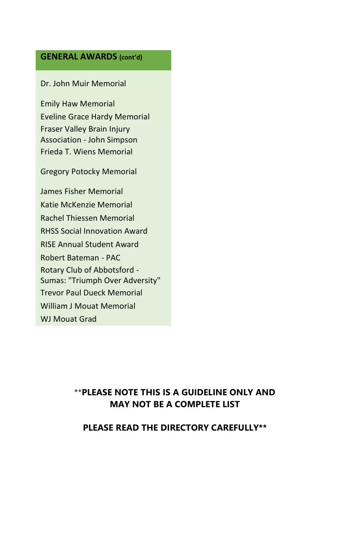#### **GENERAL AWARDS (cont'd)**

Dr. John Muir Memorial

Emily Haw Memorial Eveline Grace Hardy Memorial Fraser Valley Brain Injury Association - John Simpson Frieda T. Wiens Memorial

Gregory Potocky Memorial

James Fisher Memorial Katie McKenzie Memorial Rachel Thiessen Memorial RHSS Social Innovation Award RISE Annual Student Award Robert Bateman - PAC Rotary Club of Abbotsford - Sumas: "Triumph Over Adversity" Trevor Paul Dueck Memorial William J Mouat Memorial WJ Mouat Grad

## \*\***PLEASE NOTE THIS IS A GUIDELINE ONLY AND MAY NOT BE A COMPLETE LIST**

#### **PLEASE READ THE DIRECTORY CAREFULLY\*\***